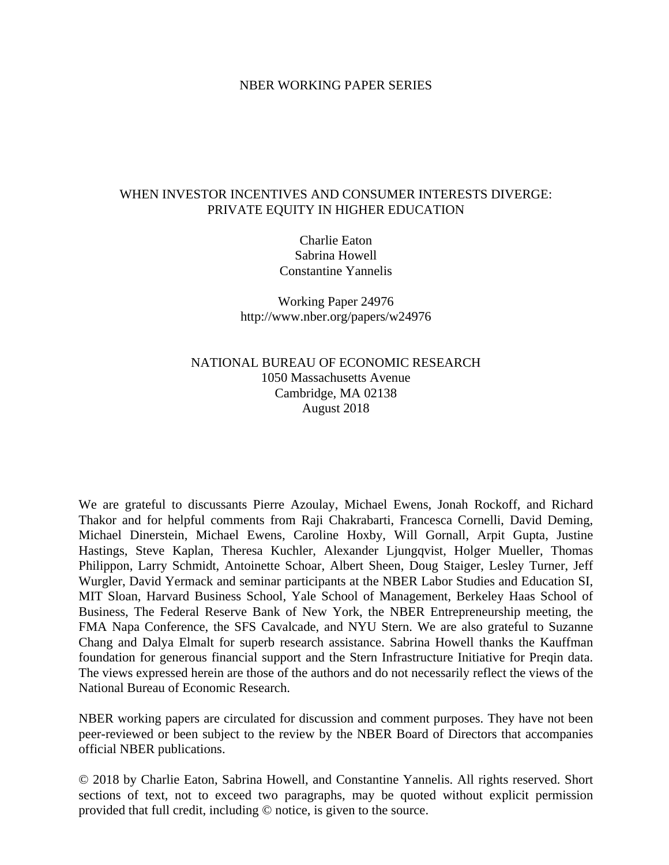### NBER WORKING PAPER SERIES

## WHEN INVESTOR INCENTIVES AND CONSUMER INTERESTS DIVERGE: PRIVATE EQUITY IN HIGHER EDUCATION

Charlie Eaton Sabrina Howell Constantine Yannelis

Working Paper 24976 http://www.nber.org/papers/w24976

## NATIONAL BUREAU OF ECONOMIC RESEARCH 1050 Massachusetts Avenue Cambridge, MA 02138 August 2018

We are grateful to discussants Pierre Azoulay, Michael Ewens, Jonah Rockoff, and Richard Thakor and for helpful comments from Raji Chakrabarti, Francesca Cornelli, David Deming, Michael Dinerstein, Michael Ewens, Caroline Hoxby, Will Gornall, Arpit Gupta, Justine Hastings, Steve Kaplan, Theresa Kuchler, Alexander Ljungqvist, Holger Mueller, Thomas Philippon, Larry Schmidt, Antoinette Schoar, Albert Sheen, Doug Staiger, Lesley Turner, Jeff Wurgler, David Yermack and seminar participants at the NBER Labor Studies and Education SI, MIT Sloan, Harvard Business School, Yale School of Management, Berkeley Haas School of Business, The Federal Reserve Bank of New York, the NBER Entrepreneurship meeting, the FMA Napa Conference, the SFS Cavalcade, and NYU Stern. We are also grateful to Suzanne Chang and Dalya Elmalt for superb research assistance. Sabrina Howell thanks the Kauffman foundation for generous financial support and the Stern Infrastructure Initiative for Preqin data. The views expressed herein are those of the authors and do not necessarily reflect the views of the National Bureau of Economic Research.

NBER working papers are circulated for discussion and comment purposes. They have not been peer-reviewed or been subject to the review by the NBER Board of Directors that accompanies official NBER publications.

© 2018 by Charlie Eaton, Sabrina Howell, and Constantine Yannelis. All rights reserved. Short sections of text, not to exceed two paragraphs, may be quoted without explicit permission provided that full credit, including © notice, is given to the source.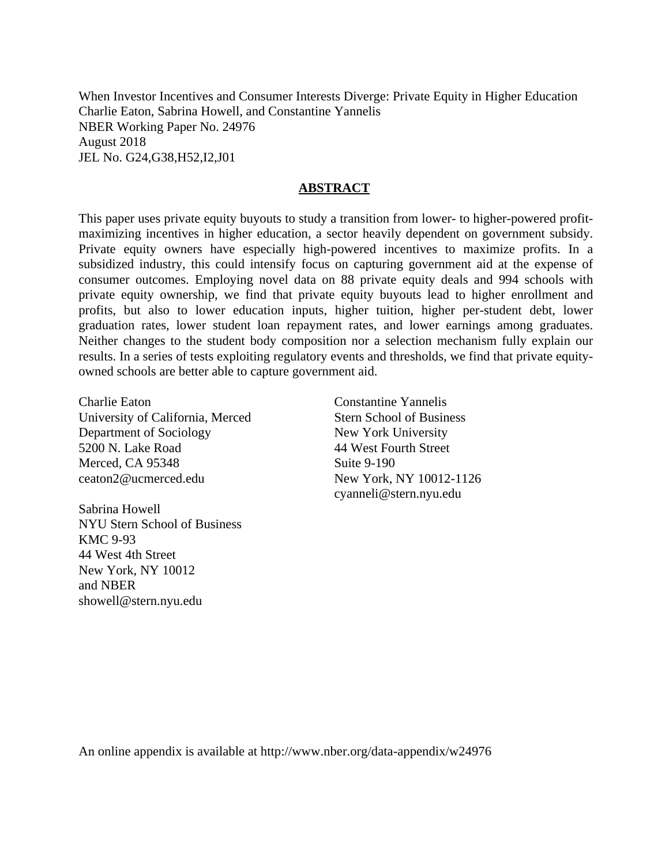When Investor Incentives and Consumer Interests Diverge: Private Equity in Higher Education Charlie Eaton, Sabrina Howell, and Constantine Yannelis NBER Working Paper No. 24976 August 2018 JEL No. G24,G38,H52,I2,J01

### **ABSTRACT**

This paper uses private equity buyouts to study a transition from lower- to higher-powered profitmaximizing incentives in higher education, a sector heavily dependent on government subsidy. Private equity owners have especially high-powered incentives to maximize profits. In a subsidized industry, this could intensify focus on capturing government aid at the expense of consumer outcomes. Employing novel data on 88 private equity deals and 994 schools with private equity ownership, we find that private equity buyouts lead to higher enrollment and profits, but also to lower education inputs, higher tuition, higher per-student debt, lower graduation rates, lower student loan repayment rates, and lower earnings among graduates. Neither changes to the student body composition nor a selection mechanism fully explain our results. In a series of tests exploiting regulatory events and thresholds, we find that private equityowned schools are better able to capture government aid.

Charlie Eaton University of California, Merced Department of Sociology 5200 N. Lake Road Merced, CA 95348 ceaton2@ucmerced.edu

Sabrina Howell NYU Stern School of Business KMC 9-93 44 West 4th Street New York, NY 10012 and NBER showell@stern.nyu.edu

Constantine Yannelis Stern School of Business New York University 44 West Fourth Street Suite 9-190 New York, NY 10012-1126 cyanneli@stern.nyu.edu

An online appendix is available at http://www.nber.org/data-appendix/w24976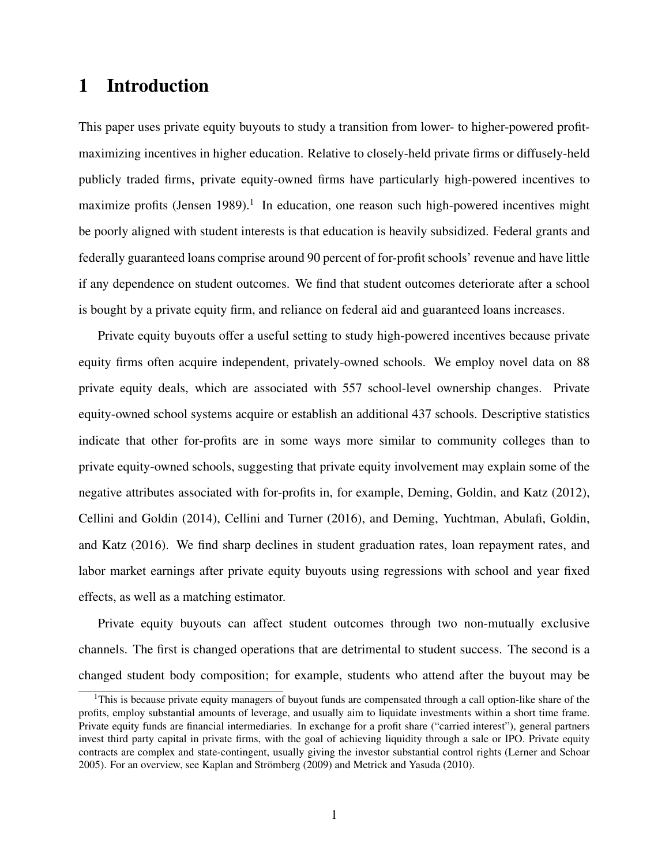# 1 Introduction

This paper uses private equity buyouts to study a transition from lower- to higher-powered profitmaximizing incentives in higher education. Relative to closely-held private firms or diffusely-held publicly traded firms, private equity-owned firms have particularly high-powered incentives to maximize profits [\(Jensen 1989\)](#page-36-0).<sup>1</sup> In education, one reason such high-powered incentives might be poorly aligned with student interests is that education is heavily subsidized. Federal grants and federally guaranteed loans comprise around 90 percent of for-profit schools' revenue and have little if any dependence on student outcomes. We find that student outcomes deteriorate after a school is bought by a private equity firm, and reliance on federal aid and guaranteed loans increases.

Private equity buyouts offer a useful setting to study high-powered incentives because private equity firms often acquire independent, privately-owned schools. We employ novel data on 88 private equity deals, which are associated with 557 school-level ownership changes. Private equity-owned school systems acquire or establish an additional 437 schools. Descriptive statistics indicate that other for-profits are in some ways more similar to community colleges than to private equity-owned schools, suggesting that private equity involvement may explain some of the negative attributes associated with for-profits in, for example, [Deming, Goldin, and Katz](#page-35-0) [\(2012\)](#page-35-0), [Cellini and Goldin](#page-34-0) [\(2014\)](#page-34-0), [Cellini and Turner](#page-34-1) [\(2016\)](#page-34-1), and [Deming, Yuchtman, Abulafi, Goldin,](#page-35-1) [and Katz](#page-35-1) [\(2016\)](#page-35-1). We find sharp declines in student graduation rates, loan repayment rates, and labor market earnings after private equity buyouts using regressions with school and year fixed effects, as well as a matching estimator.

Private equity buyouts can affect student outcomes through two non-mutually exclusive channels. The first is changed operations that are detrimental to student success. The second is a changed student body composition; for example, students who attend after the buyout may be

<span id="page-2-0"></span><sup>&</sup>lt;sup>1</sup>This is because private equity managers of buyout funds are compensated through a call option-like share of the profits, employ substantial amounts of leverage, and usually aim to liquidate investments within a short time frame. Private equity funds are financial intermediaries. In exchange for a profit share ("carried interest"), general partners invest third party capital in private firms, with the goal of achieving liquidity through a sale or IPO. Private equity contracts are complex and state-contingent, usually giving the investor substantial control rights [\(Lerner and Schoar](#page-36-1) [2005\)](#page-36-1). For an overview, see [Kaplan and Strömberg](#page-36-2) [\(2009\)](#page-36-2) and [Metrick and Yasuda](#page-36-3) [\(2010\)](#page-36-3).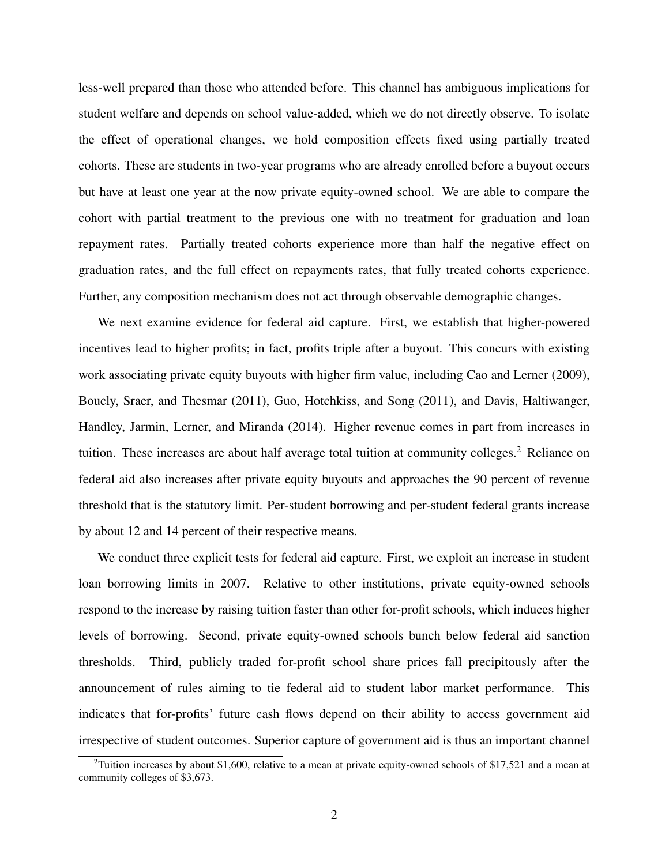less-well prepared than those who attended before. This channel has ambiguous implications for student welfare and depends on school value-added, which we do not directly observe. To isolate the effect of operational changes, we hold composition effects fixed using partially treated cohorts. These are students in two-year programs who are already enrolled before a buyout occurs but have at least one year at the now private equity-owned school. We are able to compare the cohort with partial treatment to the previous one with no treatment for graduation and loan repayment rates. Partially treated cohorts experience more than half the negative effect on graduation rates, and the full effect on repayments rates, that fully treated cohorts experience. Further, any composition mechanism does not act through observable demographic changes.

We next examine evidence for federal aid capture. First, we establish that higher-powered incentives lead to higher profits; in fact, profits triple after a buyout. This concurs with existing work associating private equity buyouts with higher firm value, including [Cao and Lerner](#page-34-2) [\(2009\)](#page-34-2), [Boucly, Sraer, and Thesmar](#page-34-3) [\(2011\)](#page-34-3), [Guo, Hotchkiss, and Song](#page-35-2) [\(2011\)](#page-35-2), and [Davis, Haltiwanger,](#page-35-3) [Handley, Jarmin, Lerner, and Miranda](#page-35-3) [\(2014\)](#page-35-3). Higher revenue comes in part from increases in tuition. These increases are about half average total tuition at community colleges.<sup>[2](#page-3-0)</sup> Reliance on federal aid also increases after private equity buyouts and approaches the 90 percent of revenue threshold that is the statutory limit. Per-student borrowing and per-student federal grants increase by about 12 and 14 percent of their respective means.

We conduct three explicit tests for federal aid capture. First, we exploit an increase in student loan borrowing limits in 2007. Relative to other institutions, private equity-owned schools respond to the increase by raising tuition faster than other for-profit schools, which induces higher levels of borrowing. Second, private equity-owned schools bunch below federal aid sanction thresholds. Third, publicly traded for-profit school share prices fall precipitously after the announcement of rules aiming to tie federal aid to student labor market performance. This indicates that for-profits' future cash flows depend on their ability to access government aid irrespective of student outcomes. Superior capture of government aid is thus an important channel

<span id="page-3-0"></span><sup>&</sup>lt;sup>2</sup>Tuition increases by about \$1,600, relative to a mean at private equity-owned schools of \$17,521 and a mean at community colleges of \$3,673.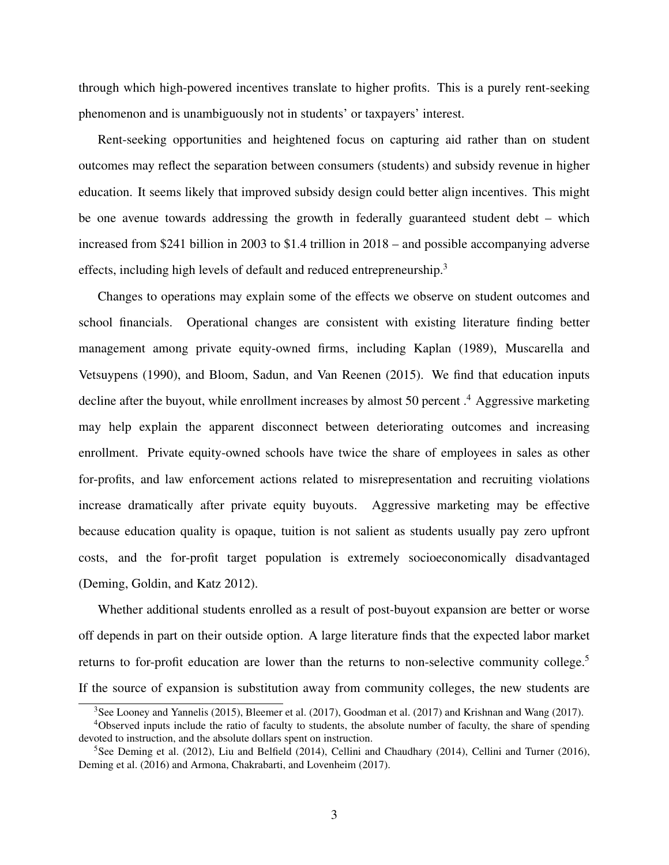through which high-powered incentives translate to higher profits. This is a purely rent-seeking phenomenon and is unambiguously not in students' or taxpayers' interest.

Rent-seeking opportunities and heightened focus on capturing aid rather than on student outcomes may reflect the separation between consumers (students) and subsidy revenue in higher education. It seems likely that improved subsidy design could better align incentives. This might be one avenue towards addressing the growth in federally guaranteed student debt – which increased from \$241 billion in 2003 to \$1.4 trillion in 2018 – and possible accompanying adverse effects, including high levels of default and reduced entrepreneurship[.3](#page-4-0)

Changes to operations may explain some of the effects we observe on student outcomes and school financials. Operational changes are consistent with existing literature finding better management among private equity-owned firms, including [Kaplan](#page-36-4) [\(1989\)](#page-36-4), [Muscarella and](#page-37-0) [Vetsuypens](#page-37-0) [\(1990\)](#page-37-0), and [Bloom, Sadun, and Van Reenen](#page-34-4) [\(2015\)](#page-34-4). We find that education inputs decline after the buyout, while enrollment increases by almost 50 percent .<sup>[4](#page-4-1)</sup> Aggressive marketing may help explain the apparent disconnect between deteriorating outcomes and increasing enrollment. Private equity-owned schools have twice the share of employees in sales as other for-profits, and law enforcement actions related to misrepresentation and recruiting violations increase dramatically after private equity buyouts. Aggressive marketing may be effective because education quality is opaque, tuition is not salient as students usually pay zero upfront costs, and the for-profit target population is extremely socioeconomically disadvantaged [\(Deming, Goldin, and Katz 2012\)](#page-35-0).

Whether additional students enrolled as a result of post-buyout expansion are better or worse off depends in part on their outside option. A large literature finds that the expected labor market returns to for-profit education are lower than the returns to non-selective community college.<sup>5</sup> If the source of expansion is substitution away from community colleges, the new students are

<span id="page-4-1"></span><span id="page-4-0"></span><sup>&</sup>lt;sup>3</sup>See [Looney and Yannelis](#page-36-5) [\(2015\)](#page-36-5), [Bleemer et al.](#page-34-5) [\(2017\)](#page-36-6), [Goodman et al.](#page-35-4) (2017) and [Krishnan and Wang](#page-36-6) (2017).

<sup>4</sup>Observed inputs include the ratio of faculty to students, the absolute number of faculty, the share of spending devoted to instruction, and the absolute dollars spent on instruction.

<span id="page-4-2"></span><sup>&</sup>lt;sup>5</sup>See [Deming et al.](#page-35-0) [\(2012\)](#page-35-0), [Liu and Belfield](#page-36-7) [\(2014\)](#page-34-6), [Cellini and Chaudhary](#page-34-6) (2014), [Cellini and Turner](#page-34-1) [\(2016\)](#page-34-1), [Deming et al.](#page-35-1) [\(2016\)](#page-35-1) and [Armona, Chakrabarti, and Lovenheim](#page-34-7) [\(2017\)](#page-34-7).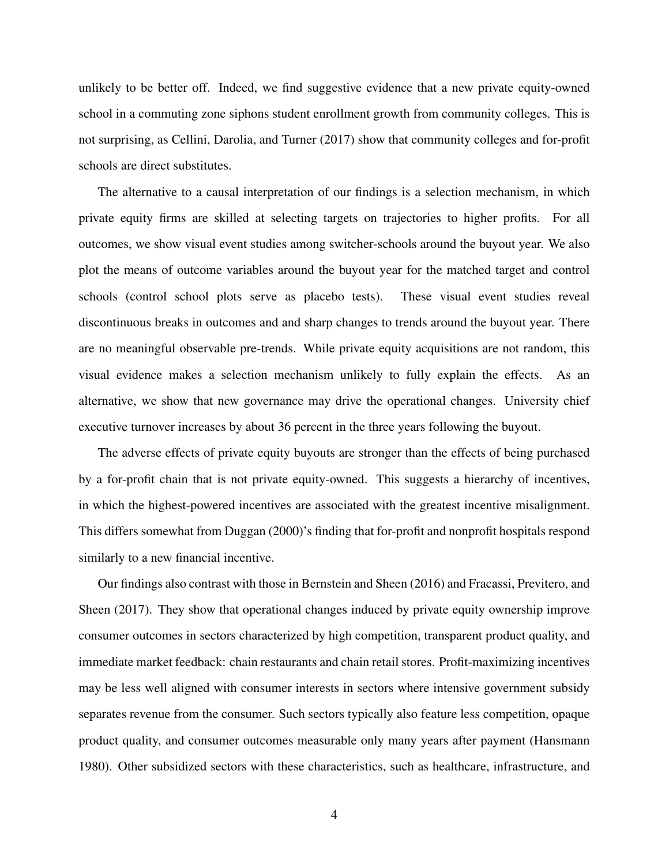unlikely to be better off. Indeed, we find suggestive evidence that a new private equity-owned school in a commuting zone siphons student enrollment growth from community colleges. This is not surprising, as [Cellini, Darolia, and Turner](#page-34-8) [\(2017\)](#page-34-8) show that community colleges and for-profit schools are direct substitutes.

The alternative to a causal interpretation of our findings is a selection mechanism, in which private equity firms are skilled at selecting targets on trajectories to higher profits. For all outcomes, we show visual event studies among switcher-schools around the buyout year. We also plot the means of outcome variables around the buyout year for the matched target and control schools (control school plots serve as placebo tests). These visual event studies reveal discontinuous breaks in outcomes and and sharp changes to trends around the buyout year. There are no meaningful observable pre-trends. While private equity acquisitions are not random, this visual evidence makes a selection mechanism unlikely to fully explain the effects. As an alternative, we show that new governance may drive the operational changes. University chief executive turnover increases by about 36 percent in the three years following the buyout.

The adverse effects of private equity buyouts are stronger than the effects of being purchased by a for-profit chain that is not private equity-owned. This suggests a hierarchy of incentives, in which the highest-powered incentives are associated with the greatest incentive misalignment. This differs somewhat from [Duggan](#page-35-5) [\(2000\)](#page-35-5)'s finding that for-profit and nonprofit hospitals respond similarly to a new financial incentive.

Our findings also contrast with those in [Bernstein and Sheen](#page-34-9) [\(2016\)](#page-34-9) and [Fracassi, Previtero, and](#page-35-6) [Sheen](#page-35-6) [\(2017\)](#page-35-6). They show that operational changes induced by private equity ownership improve consumer outcomes in sectors characterized by high competition, transparent product quality, and immediate market feedback: chain restaurants and chain retail stores. Profit-maximizing incentives may be less well aligned with consumer interests in sectors where intensive government subsidy separates revenue from the consumer. Such sectors typically also feature less competition, opaque product quality, and consumer outcomes measurable only many years after payment [\(Hansmann](#page-36-8) [1980\)](#page-36-8). Other subsidized sectors with these characteristics, such as healthcare, infrastructure, and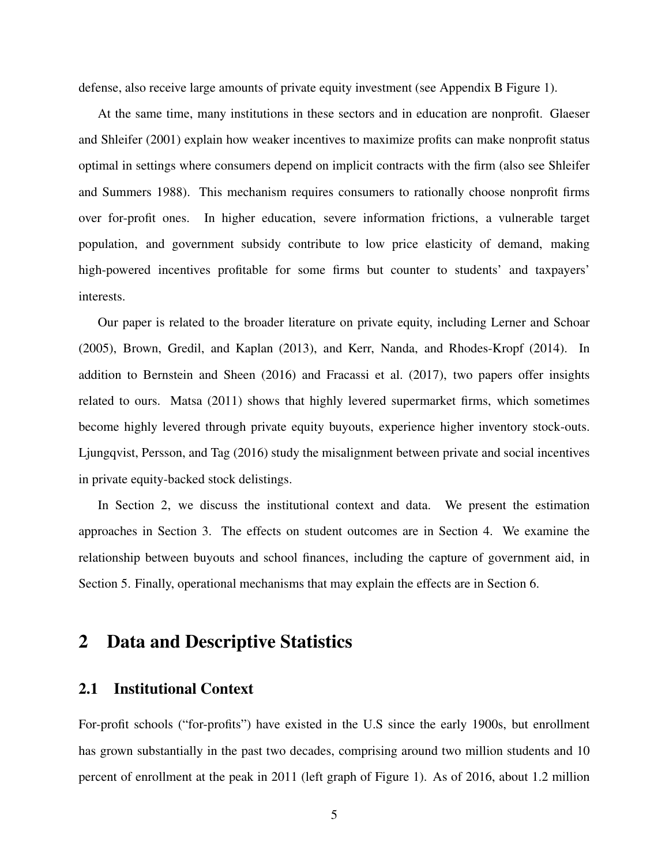defense, also receive large amounts of private equity investment (see Appendix B Figure 1).

At the same time, many institutions in these sectors and in education are nonprofit. [Glaeser](#page-35-7) [and Shleifer](#page-35-7) [\(2001\)](#page-35-7) explain how weaker incentives to maximize profits can make nonprofit status optimal in settings where consumers depend on implicit contracts with the firm (also see [Shleifer](#page-37-1) [and Summers 1988\)](#page-37-1). This mechanism requires consumers to rationally choose nonprofit firms over for-profit ones. In higher education, severe information frictions, a vulnerable target population, and government subsidy contribute to low price elasticity of demand, making high-powered incentives profitable for some firms but counter to students' and taxpayers' interests.

Our paper is related to the broader literature on private equity, including [Lerner and Schoar](#page-36-1) [\(2005\)](#page-36-1), [Brown, Gredil, and Kaplan](#page-34-10) [\(2013\)](#page-34-10), and [Kerr, Nanda, and Rhodes-Kropf](#page-36-9) [\(2014\)](#page-36-9). In addition to [Bernstein and Sheen](#page-34-9) [\(2016\)](#page-34-9) and [Fracassi et al.](#page-35-6) [\(2017\)](#page-35-6), two papers offer insights related to ours. [Matsa](#page-36-10) [\(2011\)](#page-36-10) shows that highly levered supermarket firms, which sometimes become highly levered through private equity buyouts, experience higher inventory stock-outs. [Ljungqvist, Persson, and Tag](#page-36-11) [\(2016\)](#page-36-11) study the misalignment between private and social incentives in private equity-backed stock delistings.

In Section [2,](#page-6-0) we discuss the institutional context and data. We present the estimation approaches in Section [3.](#page-12-0) The effects on student outcomes are in Section [4.](#page-15-0) We examine the relationship between buyouts and school finances, including the capture of government aid, in Section [5.](#page-21-0) Finally, operational mechanisms that may explain the effects are in Section [6.](#page-27-0)

# <span id="page-6-0"></span>2 Data and Descriptive Statistics

## 2.1 Institutional Context

For-profit schools ("for-profits") have existed in the U.S since the early 1900s, but enrollment has grown substantially in the past two decades, comprising around two million students and 10 percent of enrollment at the peak in 2011 (left graph of Figure [1\)](#page-49-0). As of 2016, about 1.2 million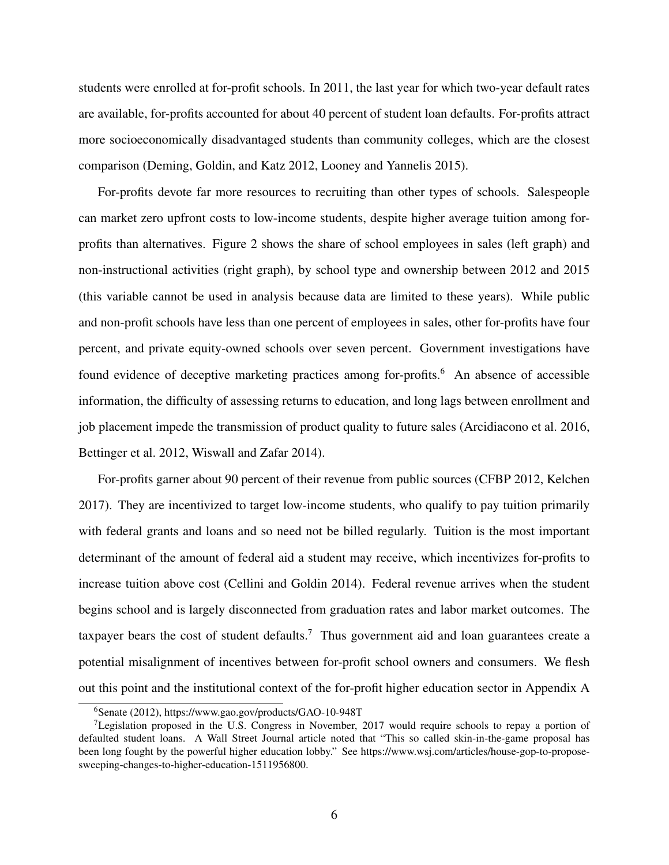students were enrolled at for-profit schools. In 2011, the last year for which two-year default rates are available, for-profits accounted for about 40 percent of student loan defaults. For-profits attract more socioeconomically disadvantaged students than community colleges, which are the closest comparison [\(Deming, Goldin, and Katz 2012,](#page-35-0) [Looney and Yannelis 2015\)](#page-36-5).

For-profits devote far more resources to recruiting than other types of schools. Salespeople can market zero upfront costs to low-income students, despite higher average tuition among forprofits than alternatives. Figure [2](#page-50-0) shows the share of school employees in sales (left graph) and non-instructional activities (right graph), by school type and ownership between 2012 and 2015 (this variable cannot be used in analysis because data are limited to these years). While public and non-profit schools have less than one percent of employees in sales, other for-profits have four percent, and private equity-owned schools over seven percent. Government investigations have found evidence of deceptive marketing practices among for-profits.<sup>[6](#page-7-0)</sup> An absence of accessible information, the difficulty of assessing returns to education, and long lags between enrollment and job placement impede the transmission of product quality to future sales [\(Arcidiacono et al. 2016,](#page-34-11) [Bettinger et al. 2012,](#page-34-12) [Wiswall and Zafar 2014\)](#page-37-2).

For-profits garner about 90 percent of their revenue from public sources [\(CFBP 2012,](#page-35-8) [Kelchen](#page-36-12) [2017\)](#page-36-12). They are incentivized to target low-income students, who qualify to pay tuition primarily with federal grants and loans and so need not be billed regularly. Tuition is the most important determinant of the amount of federal aid a student may receive, which incentivizes for-profits to increase tuition above cost [\(Cellini and Goldin 2014\)](#page-34-0). Federal revenue arrives when the student begins school and is largely disconnected from graduation rates and labor market outcomes. The taxpayer bears the cost of student defaults.<sup>7</sup> Thus government aid and loan guarantees create a potential misalignment of incentives between for-profit school owners and consumers. We flesh out this point and the institutional context of the for-profit higher education sector in Appendix A

<span id="page-7-1"></span><span id="page-7-0"></span>[<sup>6</sup>Senate](#page-37-3) [\(2012\)](#page-37-3), https://www.gao.gov/products/GAO-10-948T

<sup>&</sup>lt;sup>7</sup>Legislation proposed in the U.S. Congress in November, 2017 would require schools to repay a portion of defaulted student loans. A Wall Street Journal article noted that "This so called skin-in-the-game proposal has been long fought by the powerful higher education lobby." See https://www.wsj.com/articles/house-gop-to-proposesweeping-changes-to-higher-education-1511956800.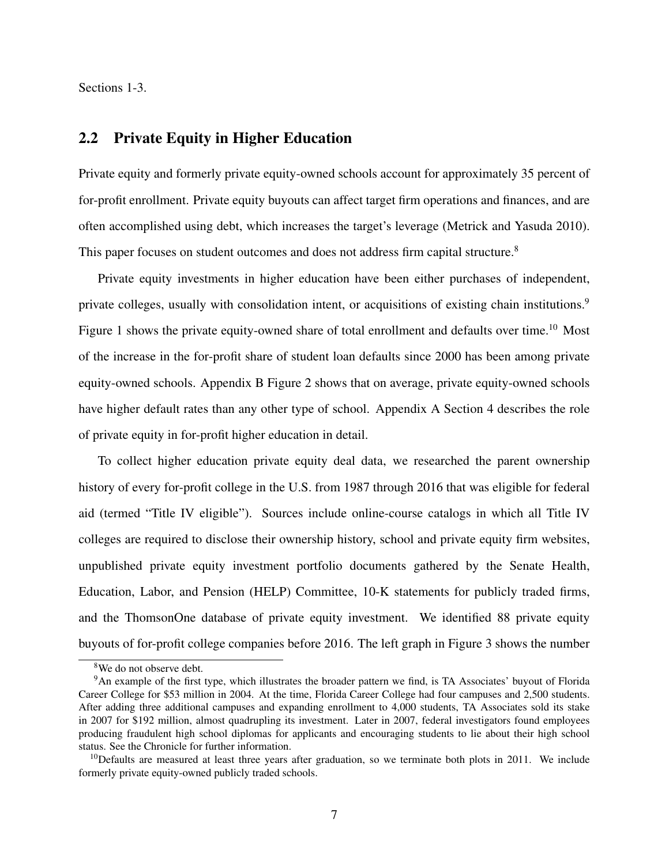Sections 1-3.

# 2.2 Private Equity in Higher Education

Private equity and formerly private equity-owned schools account for approximately 35 percent of for-profit enrollment. Private equity buyouts can affect target firm operations and finances, and are often accomplished using debt, which increases the target's leverage [\(Metrick and Yasuda 2010\)](#page-36-3). This paper focuses on student outcomes and does not address firm capital structure.<sup>8</sup>

Private equity investments in higher education have been either purchases of independent, private colleges, usually with consolidation intent, or acquisitions of existing chain institutions.<sup>[9](#page-8-1)</sup> Figure [1](#page-49-0) shows the private equity-owned share of total enrollment and defaults over time.<sup>10</sup> Most of the increase in the for-profit share of student loan defaults since 2000 has been among private equity-owned schools. Appendix B Figure 2 shows that on average, private equity-owned schools have higher default rates than any other type of school. Appendix A Section 4 describes the role of private equity in for-profit higher education in detail.

To collect higher education private equity deal data, we researched the parent ownership history of every for-profit college in the U.S. from 1987 through 2016 that was eligible for federal aid (termed "Title IV eligible"). Sources include online-course catalogs in which all Title IV colleges are required to disclose their ownership history, school and private equity firm websites, unpublished private equity investment portfolio documents gathered by the Senate Health, Education, Labor, and Pension (HELP) Committee, 10-K statements for publicly traded firms, and the ThomsonOne database of private equity investment. We identified 88 private equity buyouts of for-profit college companies before 2016. The left graph in Figure [3](#page-51-0) shows the number

<span id="page-8-1"></span><span id="page-8-0"></span><sup>8</sup>We do not observe debt.

<sup>9</sup>An example of the first type, which illustrates the broader pattern we find, is TA Associates' buyout of Florida Career College for \$53 million in 2004. At the time, Florida Career College had four campuses and 2,500 students. After adding three additional campuses and expanding enrollment to 4,000 students, TA Associates sold its stake in 2007 for \$192 million, almost quadrupling its investment. Later in 2007, federal investigators found employees producing fraudulent high school diplomas for applicants and encouraging students to lie about their high school status. See [the Chronicle](https://www.chronicle.com/article/Federal-Agents-Raid-2-Campuses/39783) for further information.

<span id="page-8-2"></span> $10$ Defaults are measured at least three years after graduation, so we terminate both plots in 2011. We include formerly private equity-owned publicly traded schools.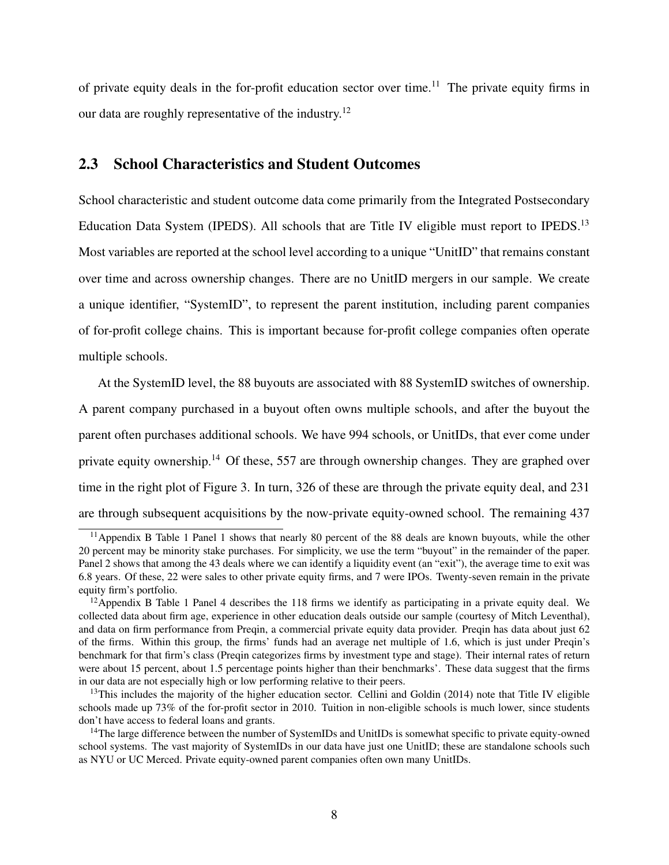of private equity deals in the for-profit education sector over time.<sup>11</sup> The private equity firms in our data are roughly representative of the industry.<sup>12</sup>

# <span id="page-9-4"></span>2.3 School Characteristics and Student Outcomes

School characteristic and student outcome data come primarily from the Integrated Postsecondary Education Data System (IPEDS). All schools that are Title IV eligible must report to IPEDS.<sup>13</sup> Most variables are reported at the school level according to a unique "UnitID" that remains constant over time and across ownership changes. There are no UnitID mergers in our sample. We create a unique identifier, "SystemID", to represent the parent institution, including parent companies of for-profit college chains. This is important because for-profit college companies often operate multiple schools.

At the SystemID level, the 88 buyouts are associated with 88 SystemID switches of ownership.

A parent company purchased in a buyout often owns multiple schools, and after the buyout the parent often purchases additional schools. We have 994 schools, or UnitIDs, that ever come under private equity ownership.[14](#page-9-3) Of these, 557 are through ownership changes. They are graphed over time in the right plot of Figure [3.](#page-51-0) In turn, 326 of these are through the private equity deal, and 231 are through subsequent acquisitions by the now-private equity-owned school. The remaining 437

<span id="page-9-0"></span><sup>&</sup>lt;sup>11</sup>Appendix B Table 1 Panel 1 shows that nearly 80 percent of the 88 deals are known buyouts, while the other 20 percent may be minority stake purchases. For simplicity, we use the term "buyout" in the remainder of the paper. Panel 2 shows that among the 43 deals where we can identify a liquidity event (an "exit"), the average time to exit was 6.8 years. Of these, 22 were sales to other private equity firms, and 7 were IPOs. Twenty-seven remain in the private equity firm's portfolio.

<span id="page-9-1"></span><sup>&</sup>lt;sup>12</sup>Appendix B Table 1 Panel 4 describes the 118 firms we identify as participating in a private equity deal. We collected data about firm age, experience in other education deals outside our sample (courtesy of Mitch Leventhal), and data on firm performance from Preqin, a commercial private equity data provider. Preqin has data about just 62 of the firms. Within this group, the firms' funds had an average net multiple of 1.6, which is just under Preqin's benchmark for that firm's class (Preqin categorizes firms by investment type and stage). Their internal rates of return were about 15 percent, about 1.5 percentage points higher than their benchmarks'. These data suggest that the firms in our data are not especially high or low performing relative to their peers.

<span id="page-9-2"></span><sup>&</sup>lt;sup>13</sup>This includes the majority of the higher education sector. [Cellini and Goldin](#page-34-0) [\(2014\)](#page-34-0) note that Title IV eligible schools made up 73% of the for-profit sector in 2010. Tuition in non-eligible schools is much lower, since students don't have access to federal loans and grants.

<span id="page-9-3"></span><sup>&</sup>lt;sup>14</sup>The large difference between the number of SystemIDs and UnitIDs is somewhat specific to private equity-owned school systems. The vast majority of SystemIDs in our data have just one UnitID; these are standalone schools such as NYU or UC Merced. Private equity-owned parent companies often own many UnitIDs.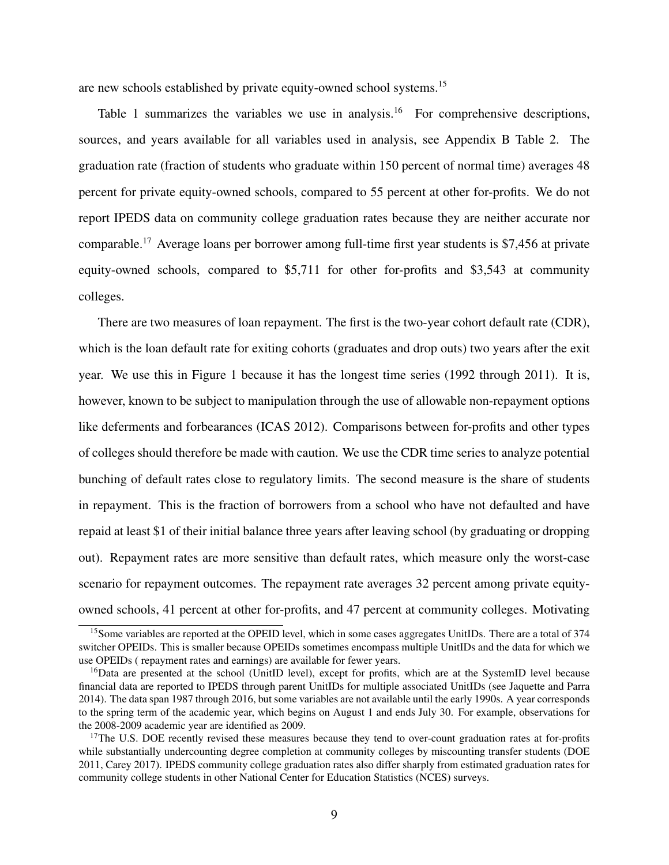are new schools established by private equity-owned school systems[.15](#page-10-0)

Table [1](#page-38-0) summarizes the variables we use in analysis.<sup>16</sup> For comprehensive descriptions, sources, and years available for all variables used in analysis, see Appendix B Table 2. The graduation rate (fraction of students who graduate within 150 percent of normal time) averages 48 percent for private equity-owned schools, compared to 55 percent at other for-profits. We do not report IPEDS data on community college graduation rates because they are neither accurate nor comparable[.17](#page-10-2) Average loans per borrower among full-time first year students is \$7,456 at private equity-owned schools, compared to \$5,711 for other for-profits and \$3,543 at community colleges.

There are two measures of loan repayment. The first is the two-year cohort default rate (CDR), which is the loan default rate for exiting cohorts (graduates and drop outs) two years after the exit year. We use this in Figure [1](#page-49-0) because it has the longest time series (1992 through 2011). It is, however, known to be subject to manipulation through the use of allowable non-repayment options like deferments and forbearances [\(ICAS 2012\)](#page-36-13). Comparisons between for-profits and other types of colleges should therefore be made with caution. We use the CDR time series to analyze potential bunching of default rates close to regulatory limits. The second measure is the share of students in repayment. This is the fraction of borrowers from a school who have not defaulted and have repaid at least \$1 of their initial balance three years after leaving school (by graduating or dropping out). Repayment rates are more sensitive than default rates, which measure only the worst-case scenario for repayment outcomes. The repayment rate averages 32 percent among private equityowned schools, 41 percent at other for-profits, and 47 percent at community colleges. Motivating

<span id="page-10-0"></span><sup>&</sup>lt;sup>15</sup>Some variables are reported at the OPEID level, which in some cases aggregates UnitIDs. There are a total of 374 switcher OPEIDs. This is smaller because OPEIDs sometimes encompass multiple UnitIDs and the data for which we use OPEIDs ( repayment rates and earnings) are available for fewer years.

<span id="page-10-1"></span><sup>&</sup>lt;sup>16</sup>Data are presented at the school (UnitID level), except for profits, which are at the SystemID level because financial data are reported to IPEDS through parent UnitIDs for multiple associated UnitIDs (see [Jaquette and Parra](#page-36-14) [2014\)](#page-36-14). The data span 1987 through 2016, but some variables are not available until the early 1990s. A year corresponds to the spring term of the academic year, which begins on August 1 and ends July 30. For example, observations for the 2008-2009 academic year are identified as 2009.

<span id="page-10-2"></span><sup>&</sup>lt;sup>17</sup>The U.S. DOE recently revised these measures because they tend to over-count graduation rates at for-profits while substantially undercounting degree completion at community colleges by miscounting transfer students [\(DOE](#page-35-9) [2011,](#page-35-9) [Carey 2017\)](#page-34-13). IPEDS community college graduation rates also differ sharply from estimated graduation rates for community college students in other National Center for Education Statistics (NCES) surveys.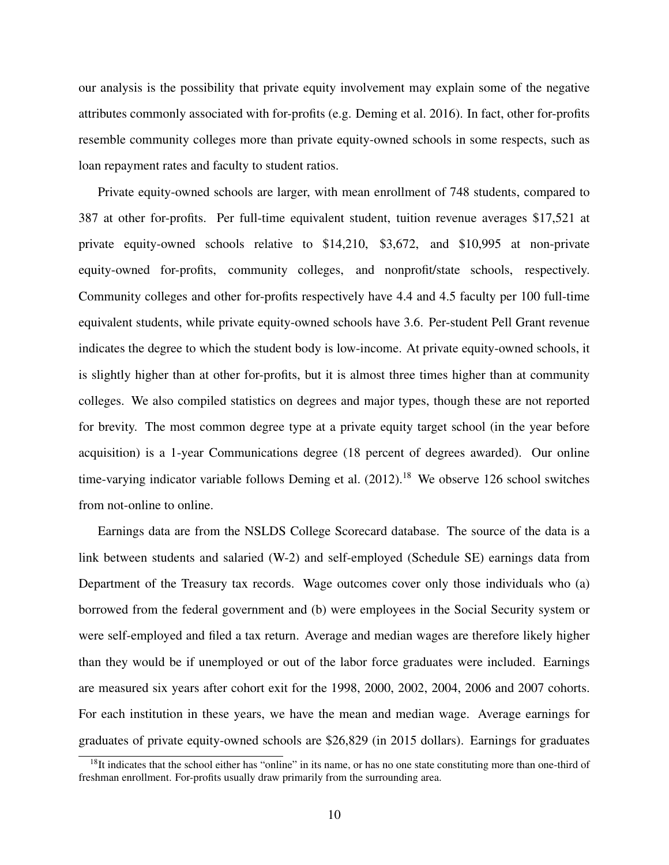our analysis is the possibility that private equity involvement may explain some of the negative attributes commonly associated with for-profits (e.g. [Deming et al. 2016\)](#page-35-1). In fact, other for-profits resemble community colleges more than private equity-owned schools in some respects, such as loan repayment rates and faculty to student ratios.

Private equity-owned schools are larger, with mean enrollment of 748 students, compared to 387 at other for-profits. Per full-time equivalent student, tuition revenue averages \$17,521 at private equity-owned schools relative to \$14,210, \$3,672, and \$10,995 at non-private equity-owned for-profits, community colleges, and nonprofit/state schools, respectively. Community colleges and other for-profits respectively have 4.4 and 4.5 faculty per 100 full-time equivalent students, while private equity-owned schools have 3.6. Per-student Pell Grant revenue indicates the degree to which the student body is low-income. At private equity-owned schools, it is slightly higher than at other for-profits, but it is almost three times higher than at community colleges. We also compiled statistics on degrees and major types, though these are not reported for brevity. The most common degree type at a private equity target school (in the year before acquisition) is a 1-year Communications degree (18 percent of degrees awarded). Our online time-varying indicator variable follows [Deming et al.](#page-35-0)  $(2012).<sup>18</sup>$  $(2012).<sup>18</sup>$  $(2012).<sup>18</sup>$  $(2012).<sup>18</sup>$  We observe 126 school switches from not-online to online.

Earnings data are from the NSLDS College Scorecard database. The source of the data is a link between students and salaried (W-2) and self-employed (Schedule SE) earnings data from Department of the Treasury tax records. Wage outcomes cover only those individuals who (a) borrowed from the federal government and (b) were employees in the Social Security system or were self-employed and filed a tax return. Average and median wages are therefore likely higher than they would be if unemployed or out of the labor force graduates were included. Earnings are measured six years after cohort exit for the 1998, 2000, 2002, 2004, 2006 and 2007 cohorts. For each institution in these years, we have the mean and median wage. Average earnings for graduates of private equity-owned schools are \$26,829 (in 2015 dollars). Earnings for graduates

<span id="page-11-0"></span> $18$ It indicates that the school either has "online" in its name, or has no one state constituting more than one-third of freshman enrollment. For-profits usually draw primarily from the surrounding area.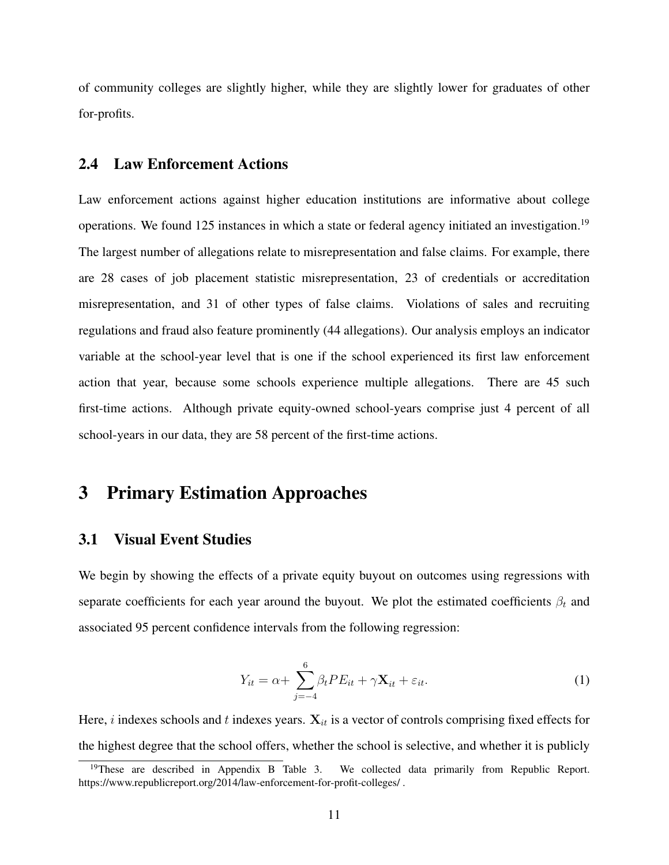of community colleges are slightly higher, while they are slightly lower for graduates of other for-profits.

# 2.4 Law Enforcement Actions

Law enforcement actions against higher education institutions are informative about college operations. We found 125 instances in which a state or federal agency initiated an investigation.<sup>19</sup> The largest number of allegations relate to misrepresentation and false claims. For example, there are 28 cases of job placement statistic misrepresentation, 23 of credentials or accreditation misrepresentation, and 31 of other types of false claims. Violations of sales and recruiting regulations and fraud also feature prominently (44 allegations). Our analysis employs an indicator variable at the school-year level that is one if the school experienced its first law enforcement action that year, because some schools experience multiple allegations. There are 45 such first-time actions. Although private equity-owned school-years comprise just 4 percent of all school-years in our data, they are 58 percent of the first-time actions.

# <span id="page-12-0"></span>3 Primary Estimation Approaches

## <span id="page-12-2"></span>3.1 Visual Event Studies

We begin by showing the effects of a private equity buyout on outcomes using regressions with separate coefficients for each year around the buyout. We plot the estimated coefficients  $\beta_t$  and associated 95 percent confidence intervals from the following regression:

<span id="page-12-3"></span>
$$
Y_{it} = \alpha + \sum_{j=-4}^{6} \beta_t P E_{it} + \gamma \mathbf{X}_{it} + \varepsilon_{it}.
$$
 (1)

Here,  $i$  indexes schools and  $t$  indexes years.  $X_{it}$  is a vector of controls comprising fixed effects for the highest degree that the school offers, whether the school is selective, and whether it is publicly

<span id="page-12-1"></span><sup>&</sup>lt;sup>19</sup>These are described in Appendix B Table 3. We collected data primarily from Republic Report. https://www.republicreport.org/2014/law-enforcement-for-profit-colleges/ .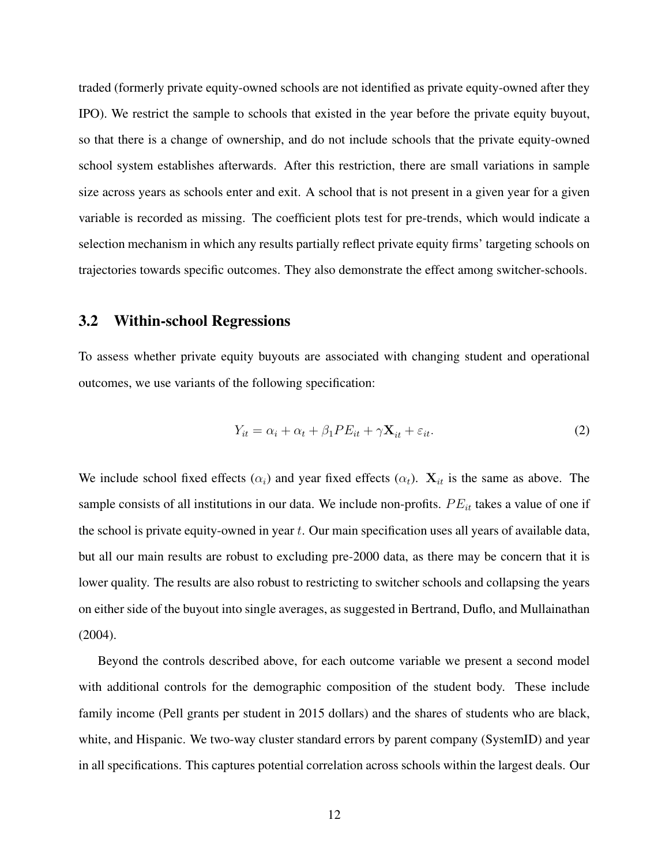traded (formerly private equity-owned schools are not identified as private equity-owned after they IPO). We restrict the sample to schools that existed in the year before the private equity buyout, so that there is a change of ownership, and do not include schools that the private equity-owned school system establishes afterwards. After this restriction, there are small variations in sample size across years as schools enter and exit. A school that is not present in a given year for a given variable is recorded as missing. The coefficient plots test for pre-trends, which would indicate a selection mechanism in which any results partially reflect private equity firms' targeting schools on trajectories towards specific outcomes. They also demonstrate the effect among switcher-schools.

## 3.2 Within-school Regressions

To assess whether private equity buyouts are associated with changing student and operational outcomes, we use variants of the following specification:

<span id="page-13-0"></span>
$$
Y_{it} = \alpha_i + \alpha_t + \beta_1 PE_{it} + \gamma \mathbf{X}_{it} + \varepsilon_{it}.
$$
 (2)

We include school fixed effects  $(\alpha_i)$  and year fixed effects  $(\alpha_t)$ .  $X_{it}$  is the same as above. The sample consists of all institutions in our data. We include non-profits. *P Eit* takes a value of one if the school is private equity-owned in year *t*. Our main specification uses all years of available data, but all our main results are robust to excluding pre-2000 data, as there may be concern that it is lower quality. The results are also robust to restricting to switcher schools and collapsing the years on either side of the buyout into single averages, as suggested in [Bertrand, Duflo, and Mullainathan](#page-34-14) [\(2004\)](#page-34-14).

Beyond the controls described above, for each outcome variable we present a second model with additional controls for the demographic composition of the student body. These include family income (Pell grants per student in 2015 dollars) and the shares of students who are black, white, and Hispanic. We two-way cluster standard errors by parent company (SystemID) and year in all specifications. This captures potential correlation across schools within the largest deals. Our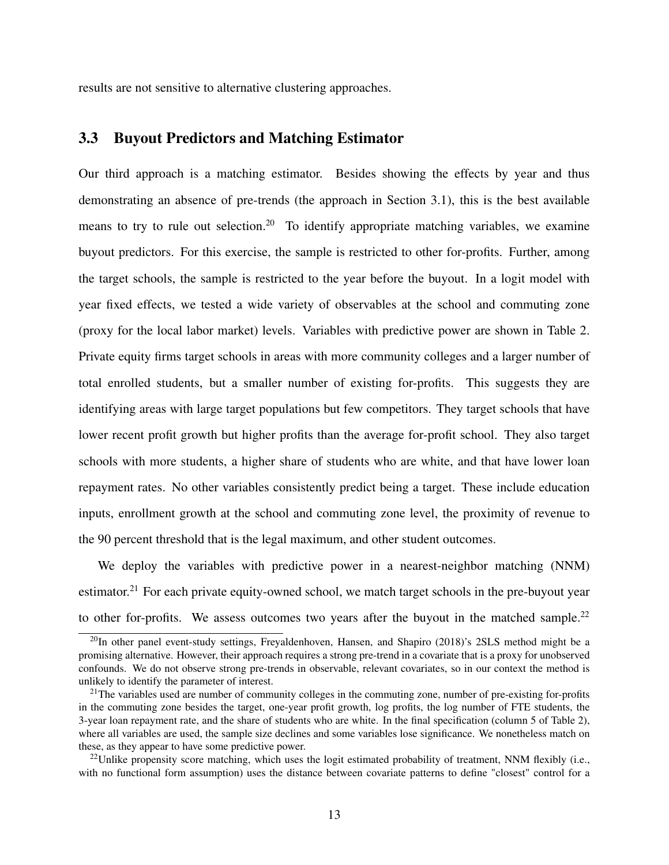results are not sensitive to alternative clustering approaches.

## <span id="page-14-3"></span>3.3 Buyout Predictors and Matching Estimator

Our third approach is a matching estimator. Besides showing the effects by year and thus demonstrating an absence of pre-trends (the approach in Section [3.1\)](#page-12-2), this is the best available means to try to rule out selection.<sup>[20](#page-14-0)</sup> To identify appropriate matching variables, we examine buyout predictors. For this exercise, the sample is restricted to other for-profits. Further, among the target schools, the sample is restricted to the year before the buyout. In a logit model with year fixed effects, we tested a wide variety of observables at the school and commuting zone (proxy for the local labor market) levels. Variables with predictive power are shown in Table [2.](#page-40-0) Private equity firms target schools in areas with more community colleges and a larger number of total enrolled students, but a smaller number of existing for-profits. This suggests they are identifying areas with large target populations but few competitors. They target schools that have lower recent profit growth but higher profits than the average for-profit school. They also target schools with more students, a higher share of students who are white, and that have lower loan repayment rates. No other variables consistently predict being a target. These include education inputs, enrollment growth at the school and commuting zone level, the proximity of revenue to the 90 percent threshold that is the legal maximum, and other student outcomes.

We deploy the variables with predictive power in a nearest-neighbor matching (NNM) estimator.<sup>[21](#page-14-1)</sup> For each private equity-owned school, we match target schools in the pre-buyout year to other for-profits. We assess outcomes two years after the buyout in the matched sample.<sup>22</sup>

<span id="page-14-0"></span> $^{20}$ In other panel event-study settings, [Freyaldenhoven, Hansen, and Shapiro](#page-35-10) [\(2018\)](#page-35-10)'s 2SLS method might be a promising alternative. However, their approach requires a strong pre-trend in a covariate that is a proxy for unobserved confounds. We do not observe strong pre-trends in observable, relevant covariates, so in our context the method is unlikely to identify the parameter of interest.

<span id="page-14-1"></span><sup>&</sup>lt;sup>21</sup>The variables used are number of community colleges in the commuting zone, number of pre-existing for-profits in the commuting zone besides the target, one-year profit growth, log profits, the log number of FTE students, the 3-year loan repayment rate, and the share of students who are white. In the final specification (column 5 of Table [2\)](#page-40-0), where all variables are used, the sample size declines and some variables lose significance. We nonetheless match on these, as they appear to have some predictive power.

<span id="page-14-2"></span><sup>&</sup>lt;sup>22</sup>Unlike propensity score matching, which uses the logit estimated probability of treatment, NNM flexibly (i.e., with no functional form assumption) uses the distance between covariate patterns to define "closest" control for a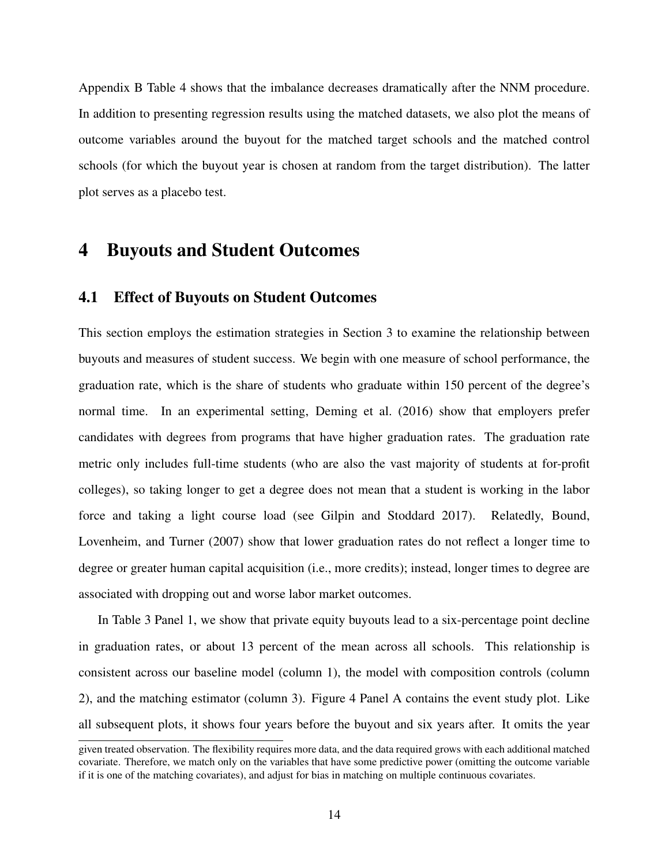Appendix B Table 4 shows that the imbalance decreases dramatically after the NNM procedure. In addition to presenting regression results using the matched datasets, we also plot the means of outcome variables around the buyout for the matched target schools and the matched control schools (for which the buyout year is chosen at random from the target distribution). The latter plot serves as a placebo test.

# <span id="page-15-0"></span>4 Buyouts and Student Outcomes

## 4.1 Effect of Buyouts on Student Outcomes

This section employs the estimation strategies in Section [3](#page-12-0) to examine the relationship between buyouts and measures of student success. We begin with one measure of school performance, the graduation rate, which is the share of students who graduate within 150 percent of the degree's normal time. In an experimental setting, [Deming et al.](#page-35-1) [\(2016\)](#page-35-1) show that employers prefer candidates with degrees from programs that have higher graduation rates. The graduation rate metric only includes full-time students (who are also the vast majority of students at for-profit colleges), so taking longer to get a degree does not mean that a student is working in the labor force and taking a light course load (see [Gilpin and Stoddard 2017\)](#page-35-11). Relatedly, [Bound,](#page-34-15) [Lovenheim, and Turner](#page-34-15) [\(2007\)](#page-34-15) show that lower graduation rates do not reflect a longer time to degree or greater human capital acquisition (i.e., more credits); instead, longer times to degree are associated with dropping out and worse labor market outcomes.

In Table [3](#page-41-0) Panel 1, we show that private equity buyouts lead to a six-percentage point decline in graduation rates, or about 13 percent of the mean across all schools. This relationship is consistent across our baseline model (column 1), the model with composition controls (column 2), and the matching estimator (column 3). Figure [4](#page-52-0) Panel A contains the event study plot. Like all subsequent plots, it shows four years before the buyout and six years after. It omits the year

given treated observation. The flexibility requires more data, and the data required grows with each additional matched covariate. Therefore, we match only on the variables that have some predictive power (omitting the outcome variable if it is one of the matching covariates), and adjust for bias in matching on multiple continuous covariates.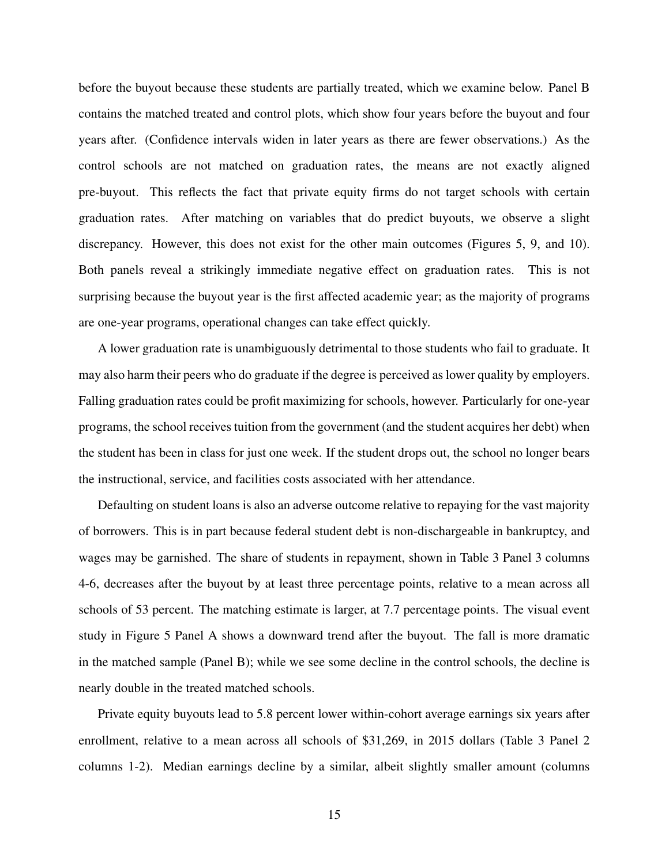before the buyout because these students are partially treated, which we examine below. Panel B contains the matched treated and control plots, which show four years before the buyout and four years after. (Confidence intervals widen in later years as there are fewer observations.) As the control schools are not matched on graduation rates, the means are not exactly aligned pre-buyout. This reflects the fact that private equity firms do not target schools with certain graduation rates. After matching on variables that do predict buyouts, we observe a slight discrepancy. However, this does not exist for the other main outcomes (Figures [5,](#page-53-0) [9,](#page-57-0) and [10\)](#page-58-0). Both panels reveal a strikingly immediate negative effect on graduation rates. This is not surprising because the buyout year is the first affected academic year; as the majority of programs are one-year programs, operational changes can take effect quickly.

A lower graduation rate is unambiguously detrimental to those students who fail to graduate. It may also harm their peers who do graduate if the degree is perceived as lower quality by employers. Falling graduation rates could be profit maximizing for schools, however. Particularly for one-year programs, the school receives tuition from the government (and the student acquires her debt) when the student has been in class for just one week. If the student drops out, the school no longer bears the instructional, service, and facilities costs associated with her attendance.

Defaulting on student loans is also an adverse outcome relative to repaying for the vast majority of borrowers. This is in part because federal student debt is non-dischargeable in bankruptcy, and wages may be garnished. The share of students in repayment, shown in Table [3](#page-41-0) Panel 3 columns 4-6, decreases after the buyout by at least three percentage points, relative to a mean across all schools of 53 percent. The matching estimate is larger, at 7.7 percentage points. The visual event study in Figure [5](#page-53-0) Panel A shows a downward trend after the buyout. The fall is more dramatic in the matched sample (Panel B); while we see some decline in the control schools, the decline is nearly double in the treated matched schools.

Private equity buyouts lead to 5.8 percent lower within-cohort average earnings six years after enrollment, relative to a mean across all schools of \$31,269, in 2015 dollars (Table [3](#page-41-0) Panel 2 columns 1-2). Median earnings decline by a similar, albeit slightly smaller amount (columns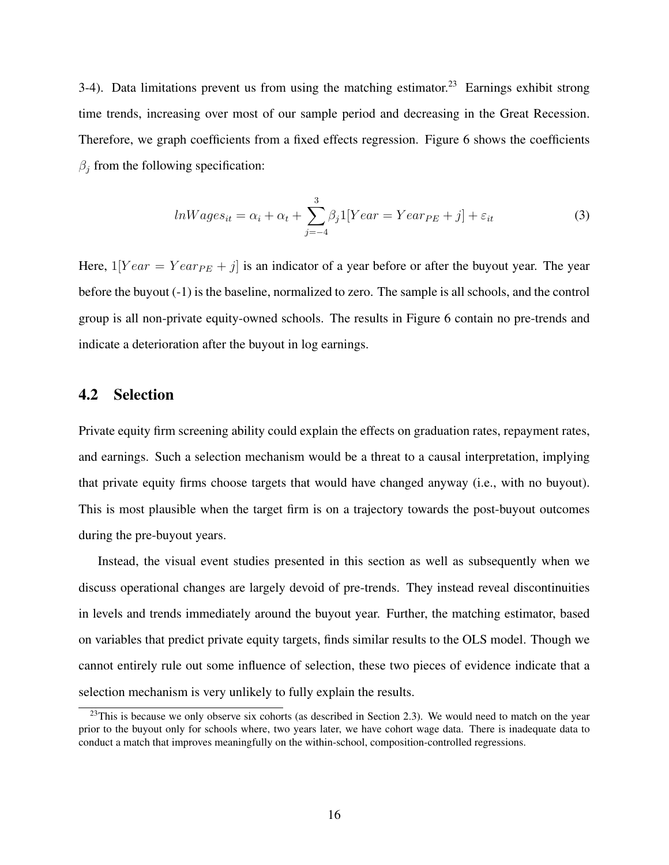3-4). Data limitations prevent us from using the matching estimator.<sup>23</sup> Earnings exhibit strong time trends, increasing over most of our sample period and decreasing in the Great Recession. Therefore, we graph coefficients from a fixed effects regression. Figure [6](#page-54-0) shows the coefficients  $\beta_j$  from the following specification:

<span id="page-17-1"></span>
$$
lnWages_{it} = \alpha_i + \alpha_t + \sum_{j=-4}^{3} \beta_j 1[Year = Year_{PE} + j] + \varepsilon_{it}
$$
\n(3)

Here,  $1[Year = Year_{PE} + j]$  is an indicator of a year before or after the buyout year. The year before the buyout (-1) is the baseline, normalized to zero. The sample is all schools, and the control group is all non-private equity-owned schools. The results in Figure [6](#page-54-0) contain no pre-trends and indicate a deterioration after the buyout in log earnings.

# 4.2 Selection

Private equity firm screening ability could explain the effects on graduation rates, repayment rates, and earnings. Such a selection mechanism would be a threat to a causal interpretation, implying that private equity firms choose targets that would have changed anyway (i.e., with no buyout). This is most plausible when the target firm is on a trajectory towards the post-buyout outcomes during the pre-buyout years.

Instead, the visual event studies presented in this section as well as subsequently when we discuss operational changes are largely devoid of pre-trends. They instead reveal discontinuities in levels and trends immediately around the buyout year. Further, the matching estimator, based on variables that predict private equity targets, finds similar results to the OLS model. Though we cannot entirely rule out some influence of selection, these two pieces of evidence indicate that a selection mechanism is very unlikely to fully explain the results.

<span id="page-17-0"></span> $^{23}$ This is because we only observe six cohorts (as described in Section [2.3\)](#page-9-4). We would need to match on the year prior to the buyout only for schools where, two years later, we have cohort wage data. There is inadequate data to conduct a match that improves meaningfully on the within-school, composition-controlled regressions.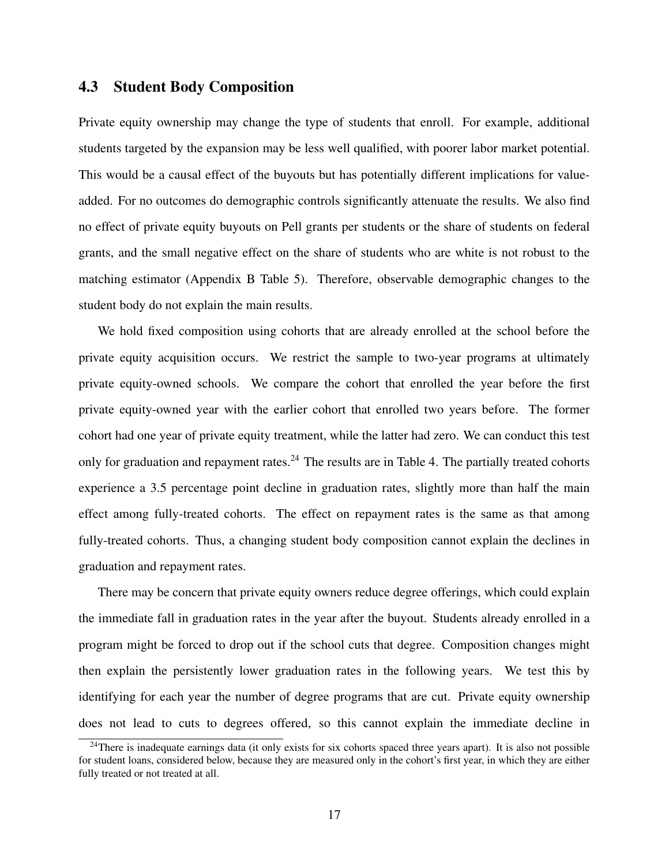# 4.3 Student Body Composition

Private equity ownership may change the type of students that enroll. For example, additional students targeted by the expansion may be less well qualified, with poorer labor market potential. This would be a causal effect of the buyouts but has potentially different implications for valueadded. For no outcomes do demographic controls significantly attenuate the results. We also find no effect of private equity buyouts on Pell grants per students or the share of students on federal grants, and the small negative effect on the share of students who are white is not robust to the matching estimator (Appendix B Table 5). Therefore, observable demographic changes to the student body do not explain the main results.

We hold fixed composition using cohorts that are already enrolled at the school before the private equity acquisition occurs. We restrict the sample to two-year programs at ultimately private equity-owned schools. We compare the cohort that enrolled the year before the first private equity-owned year with the earlier cohort that enrolled two years before. The former cohort had one year of private equity treatment, while the latter had zero. We can conduct this test only for graduation and repayment rates.<sup>24</sup> The results are in Table [4.](#page-42-0) The partially treated cohorts experience a 3.5 percentage point decline in graduation rates, slightly more than half the main effect among fully-treated cohorts. The effect on repayment rates is the same as that among fully-treated cohorts. Thus, a changing student body composition cannot explain the declines in graduation and repayment rates.

There may be concern that private equity owners reduce degree offerings, which could explain the immediate fall in graduation rates in the year after the buyout. Students already enrolled in a program might be forced to drop out if the school cuts that degree. Composition changes might then explain the persistently lower graduation rates in the following years. We test this by identifying for each year the number of degree programs that are cut. Private equity ownership does not lead to cuts to degrees offered, so this cannot explain the immediate decline in

<span id="page-18-0"></span><sup>&</sup>lt;sup>24</sup>There is inadequate earnings data (it only exists for six cohorts spaced three years apart). It is also not possible for student loans, considered below, because they are measured only in the cohort's first year, in which they are either fully treated or not treated at all.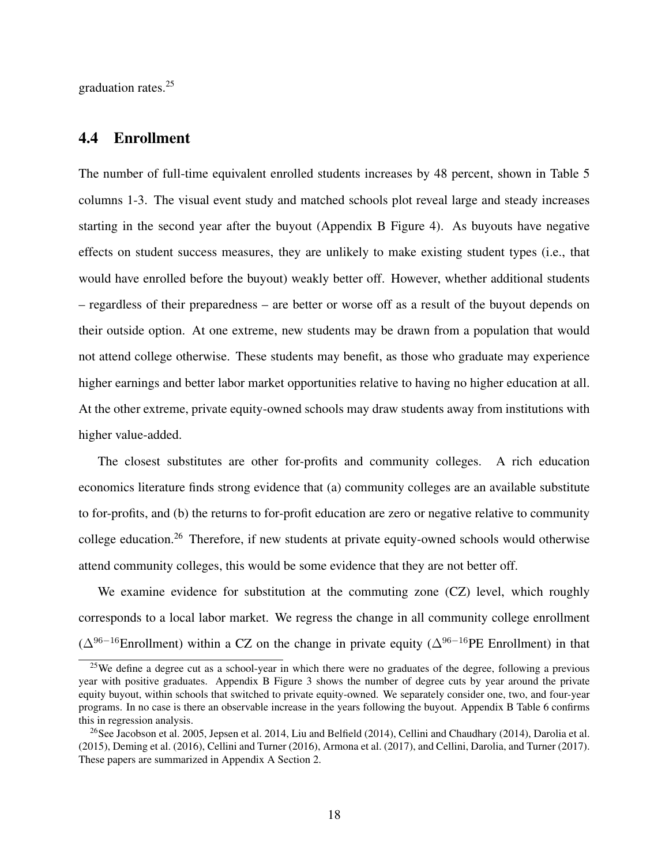graduation rates.<sup>25</sup>

## <span id="page-19-2"></span>4.4 Enrollment

The number of full-time equivalent enrolled students increases by 48 percent, shown in Table [5](#page-43-0) columns 1-3. The visual event study and matched schools plot reveal large and steady increases starting in the second year after the buyout (Appendix B Figure 4). As buyouts have negative effects on student success measures, they are unlikely to make existing student types (i.e., that would have enrolled before the buyout) weakly better off. However, whether additional students – regardless of their preparedness – are better or worse off as a result of the buyout depends on their outside option. At one extreme, new students may be drawn from a population that would not attend college otherwise. These students may benefit, as those who graduate may experience higher earnings and better labor market opportunities relative to having no higher education at all. At the other extreme, private equity-owned schools may draw students away from institutions with higher value-added.

The closest substitutes are other for-profits and community colleges. A rich education economics literature finds strong evidence that (a) community colleges are an available substitute to for-profits, and (b) the returns to for-profit education are zero or negative relative to community college education[.26](#page-19-1) Therefore, if new students at private equity-owned schools would otherwise attend community colleges, this would be some evidence that they are not better off.

We examine evidence for substitution at the commuting zone (CZ) level, which roughly corresponds to a local labor market. We regress the change in all community college enrollment  $(\Delta^{96-16}$ Enrollment) within a CZ on the change in private equity  $(\Delta^{96-16}$ PE Enrollment) in that

<span id="page-19-0"></span><sup>&</sup>lt;sup>25</sup>We define a degree cut as a school-year in which there were no graduates of the degree, following a previous year with positive graduates. Appendix B Figure 3 shows the number of degree cuts by year around the private equity buyout, within schools that switched to private equity-owned. We separately consider one, two, and four-year programs. In no case is there an observable increase in the years following the buyout. Appendix B Table 6 confirms this in regression analysis.

<span id="page-19-1"></span><sup>&</sup>lt;sup>26</sup>See [Jacobson et al. 2005,](#page-36-15) [Jepsen et al. 2014,](#page-36-16) [Liu and Belfield](#page-36-7) [\(2014\)](#page-34-6), [Cellini and Chaudhary](#page-34-6) (2014), [Darolia et al.](#page-35-12) [\(2015\)](#page-35-12), [Deming et al.](#page-35-1) [\(2016\)](#page-35-1), [Cellini and Turner](#page-34-1) [\(2016\)](#page-34-1), [Armona et al.](#page-34-7) [\(2017\)](#page-34-7), and [Cellini, Darolia, and Turner](#page-34-8) [\(2017\)](#page-34-8). These papers are summarized in Appendix A Section 2.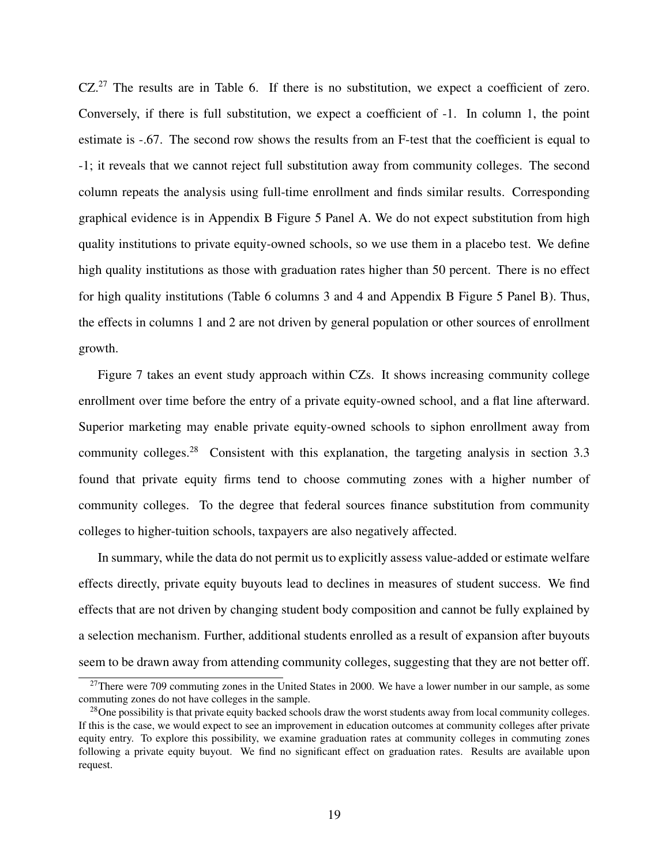CZ.<sup>27</sup> The results are in Table [6.](#page-44-0) If there is no substitution, we expect a coefficient of zero. Conversely, if there is full substitution, we expect a coefficient of -1. In column 1, the point estimate is -.67. The second row shows the results from an F-test that the coefficient is equal to -1; it reveals that we cannot reject full substitution away from community colleges. The second column repeats the analysis using full-time enrollment and finds similar results. Corresponding graphical evidence is in Appendix B Figure 5 Panel A. We do not expect substitution from high quality institutions to private equity-owned schools, so we use them in a placebo test. We define high quality institutions as those with graduation rates higher than 50 percent. There is no effect for high quality institutions (Table [6](#page-44-0) columns 3 and 4 and Appendix B Figure 5 Panel B). Thus, the effects in columns 1 and 2 are not driven by general population or other sources of enrollment growth.

Figure [7](#page-55-0) takes an event study approach within CZs. It shows increasing community college enrollment over time before the entry of a private equity-owned school, and a flat line afterward. Superior marketing may enable private equity-owned schools to siphon enrollment away from community colleges.<sup>[28](#page-20-1)</sup> Consistent with this explanation, the targeting analysis in section [3.3](#page-14-3) found that private equity firms tend to choose commuting zones with a higher number of community colleges. To the degree that federal sources finance substitution from community colleges to higher-tuition schools, taxpayers are also negatively affected.

In summary, while the data do not permit us to explicitly assess value-added or estimate welfare effects directly, private equity buyouts lead to declines in measures of student success. We find effects that are not driven by changing student body composition and cannot be fully explained by a selection mechanism. Further, additional students enrolled as a result of expansion after buyouts seem to be drawn away from attending community colleges, suggesting that they are not better off.

<span id="page-20-0"></span> $27$ There were 709 commuting zones in the United States in 2000. We have a lower number in our sample, as some commuting zones do not have colleges in the sample.

<span id="page-20-1"></span> $^{28}$ One possibility is that private equity backed schools draw the worst students away from local community colleges. If this is the case, we would expect to see an improvement in education outcomes at community colleges after private equity entry. To explore this possibility, we examine graduation rates at community colleges in commuting zones following a private equity buyout. We find no significant effect on graduation rates. Results are available upon request.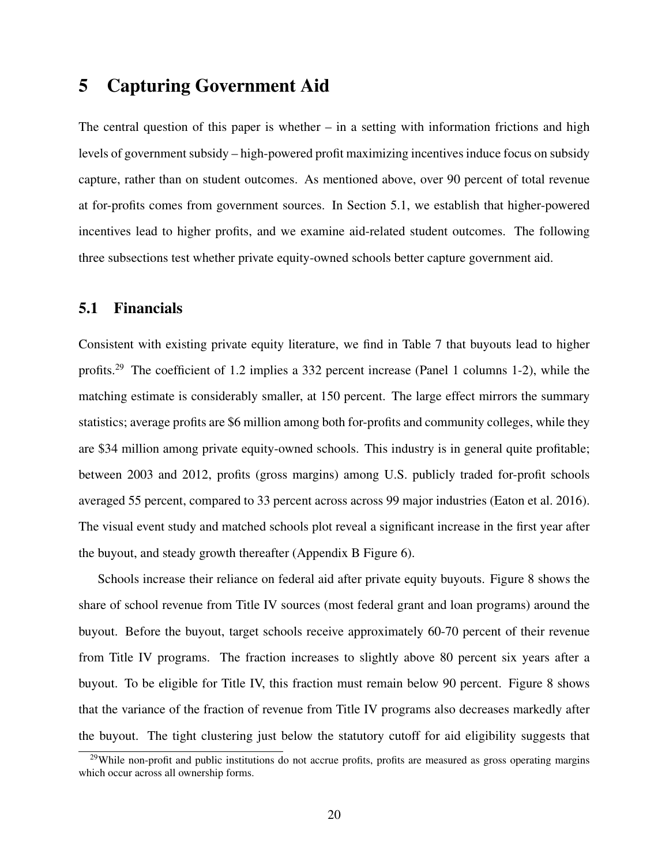# <span id="page-21-0"></span>5 Capturing Government Aid

The central question of this paper is whether  $-$  in a setting with information frictions and high levels of government subsidy – high-powered profit maximizing incentives induce focus on subsidy capture, rather than on student outcomes. As mentioned above, over 90 percent of total revenue at for-profits comes from government sources. In Section [5.1,](#page-21-1) we establish that higher-powered incentives lead to higher profits, and we examine aid-related student outcomes. The following three subsections test whether private equity-owned schools better capture government aid.

# <span id="page-21-1"></span>5.1 Financials

Consistent with existing private equity literature, we find in Table [7](#page-45-0) that buyouts lead to higher profits[.29](#page-21-2) The coefficient of 1.2 implies a 332 percent increase (Panel 1 columns 1-2), while the matching estimate is considerably smaller, at 150 percent. The large effect mirrors the summary statistics; average profits are \$6 million among both for-profits and community colleges, while they are \$34 million among private equity-owned schools. This industry is in general quite profitable; between 2003 and 2012, profits (gross margins) among U.S. publicly traded for-profit schools averaged 55 percent, compared to 33 percent across across 99 major industries [\(Eaton et al. 2016\)](#page-35-13). The visual event study and matched schools plot reveal a significant increase in the first year after the buyout, and steady growth thereafter (Appendix B Figure 6).

Schools increase their reliance on federal aid after private equity buyouts. Figure [8](#page-56-0) shows the share of school revenue from Title IV sources (most federal grant and loan programs) around the buyout. Before the buyout, target schools receive approximately 60-70 percent of their revenue from Title IV programs. The fraction increases to slightly above 80 percent six years after a buyout. To be eligible for Title IV, this fraction must remain below 90 percent. Figure [8](#page-56-0) shows that the variance of the fraction of revenue from Title IV programs also decreases markedly after the buyout. The tight clustering just below the statutory cutoff for aid eligibility suggests that

<span id="page-21-2"></span> $29$ While non-profit and public institutions do not accrue profits, profits are measured as gross operating margins which occur across all ownership forms.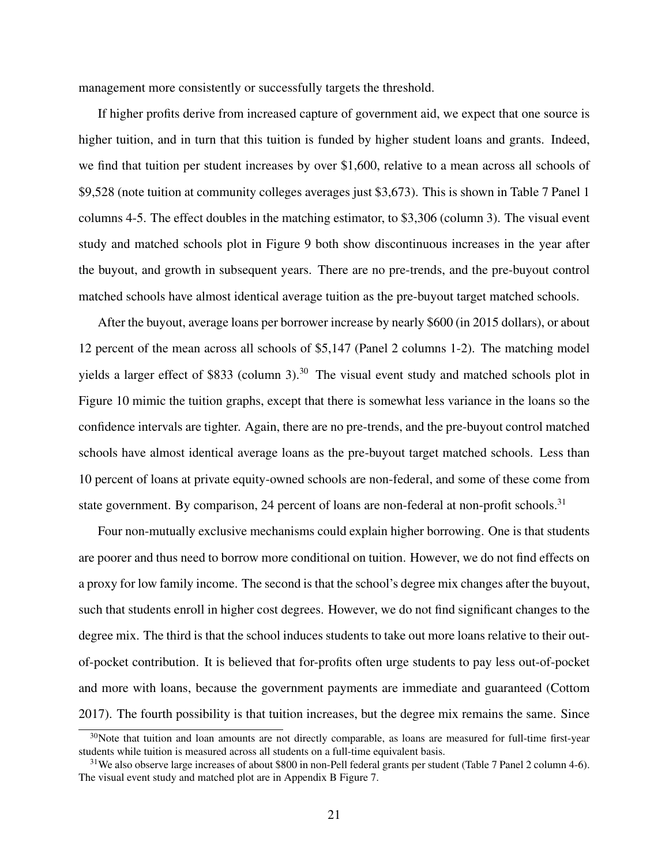management more consistently or successfully targets the threshold.

If higher profits derive from increased capture of government aid, we expect that one source is higher tuition, and in turn that this tuition is funded by higher student loans and grants. Indeed, we find that tuition per student increases by over \$1,600, relative to a mean across all schools of \$9,528 (note tuition at community colleges averages just \$3,673). This is shown in Table [7](#page-45-0) Panel 1 columns 4-5. The effect doubles in the matching estimator, to \$3,306 (column 3). The visual event study and matched schools plot in Figure [9](#page-57-0) both show discontinuous increases in the year after the buyout, and growth in subsequent years. There are no pre-trends, and the pre-buyout control matched schools have almost identical average tuition as the pre-buyout target matched schools.

After the buyout, average loans per borrower increase by nearly \$600 (in 2015 dollars), or about 12 percent of the mean across all schools of \$5,147 (Panel 2 columns 1-2). The matching model yields a larger effect of \$833 (column 3).<sup>[30](#page-22-0)</sup> The visual event study and matched schools plot in Figure [10](#page-58-0) mimic the tuition graphs, except that there is somewhat less variance in the loans so the confidence intervals are tighter. Again, there are no pre-trends, and the pre-buyout control matched schools have almost identical average loans as the pre-buyout target matched schools. Less than 10 percent of loans at private equity-owned schools are non-federal, and some of these come from state government. By comparison, 24 percent of loans are non-federal at non-profit schools.<sup>31</sup>

Four non-mutually exclusive mechanisms could explain higher borrowing. One is that students are poorer and thus need to borrow more conditional on tuition. However, we do not find effects on a proxy for low family income. The second is that the school's degree mix changes after the buyout, such that students enroll in higher cost degrees. However, we do not find significant changes to the degree mix. The third is that the school induces students to take out more loans relative to their outof-pocket contribution. It is believed that for-profits often urge students to pay less out-of-pocket and more with loans, because the government payments are immediate and guaranteed [\(Cottom](#page-35-14) [2017\)](#page-35-14). The fourth possibility is that tuition increases, but the degree mix remains the same. Since

<span id="page-22-0"></span> $30$ Note that tuition and loan amounts are not directly comparable, as loans are measured for full-time first-year students while tuition is measured across all students on a full-time equivalent basis.

<span id="page-22-1"></span> $31$ We also observe large increases of about \$800 in non-Pell federal grants per student (Table [7](#page-45-0) Panel 2 column 4-6). The visual event study and matched plot are in Appendix B Figure 7.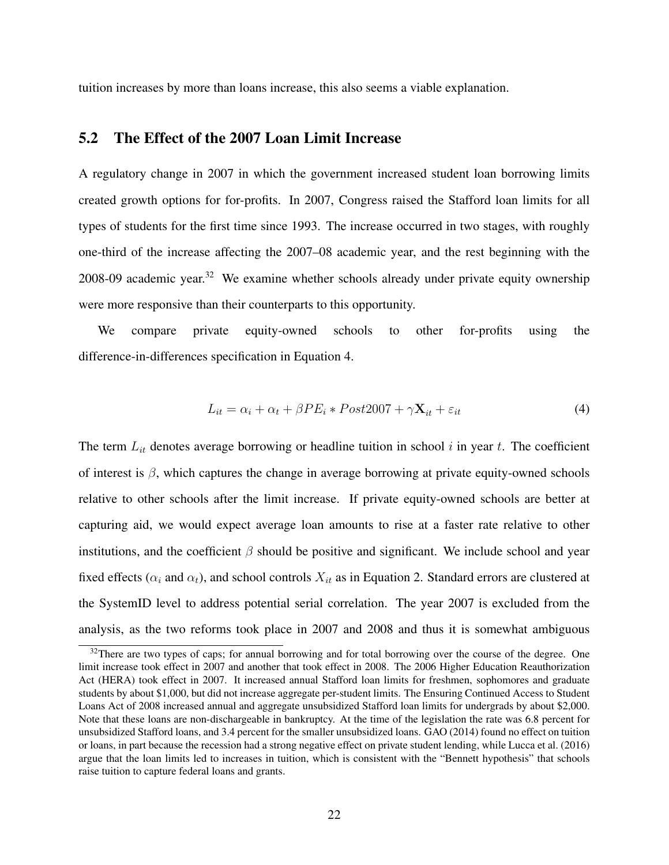tuition increases by more than loans increase, this also seems a viable explanation.

## 5.2 The Effect of the 2007 Loan Limit Increase

A regulatory change in 2007 in which the government increased student loan borrowing limits created growth options for for-profits. In 2007, Congress raised the Stafford loan limits for all types of students for the first time since 1993. The increase occurred in two stages, with roughly one-third of the increase affecting the 2007–08 academic year, and the rest beginning with the 2008-09 academic year.<sup>[32](#page-23-0)</sup> We examine whether schools already under private equity ownership were more responsive than their counterparts to this opportunity.

We compare private equity-owned schools to other for-profits using the difference-in-differences specification in Equation [4.](#page-23-1)

<span id="page-23-1"></span>
$$
L_{it} = \alpha_i + \alpha_t + \beta PE_i * Post2007 + \gamma \mathbf{X}_{it} + \varepsilon_{it}
$$
\n(4)

The term *Lit* denotes average borrowing or headline tuition in school *i* in year *t*. The coefficient of interest is  $\beta$ , which captures the change in average borrowing at private equity-owned schools relative to other schools after the limit increase. If private equity-owned schools are better at capturing aid, we would expect average loan amounts to rise at a faster rate relative to other institutions, and the coefficient  $\beta$  should be positive and significant. We include school and year fixed effects ( $\alpha_i$  and  $\alpha_t$ ), and school controls  $X_{it}$  as in Equation [2.](#page-13-0) Standard errors are clustered at the SystemID level to address potential serial correlation. The year 2007 is excluded from the analysis, as the two reforms took place in 2007 and 2008 and thus it is somewhat ambiguous

<span id="page-23-0"></span> $32$ There are two types of caps; for annual borrowing and for total borrowing over the course of the degree. One limit increase took effect in 2007 and another that took effect in 2008. The 2006 Higher Education Reauthorization Act (HERA) took effect in 2007. It increased annual Stafford loan limits for freshmen, sophomores and graduate students by about \$1,000, but did not increase aggregate per-student limits. The Ensuring Continued Access to Student Loans Act of 2008 increased annual and aggregate unsubsidized Stafford loan limits for undergrads by about \$2,000. Note that these loans are non-dischargeable in bankruptcy. At the time of the legislation the rate was 6.8 percent for unsubsidized Stafford loans, and 3.4 percent for the smaller unsubsidized loans. [GAO](#page-35-15) [\(2014\)](#page-35-15) found no effect on tuition or loans, in part because the recession had a strong negative effect on private student lending, while [Lucca et al.](#page-36-17) [\(2016\)](#page-36-17) argue that the loan limits led to increases in tuition, which is consistent with the "Bennett hypothesis" that schools raise tuition to capture federal loans and grants.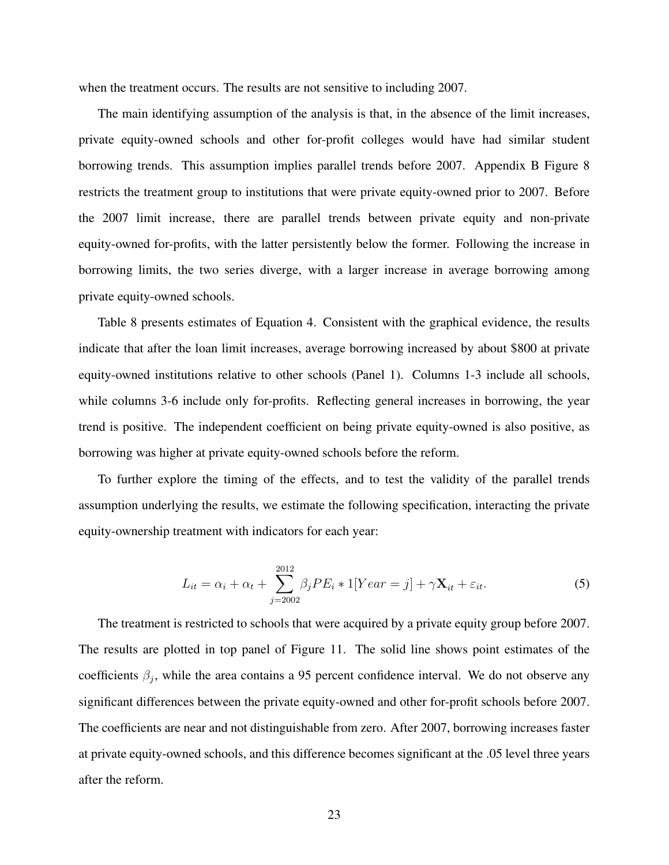when the treatment occurs. The results are not sensitive to including 2007.

The main identifying assumption of the analysis is that, in the absence of the limit increases, private equity-owned schools and other for-profit colleges would have had similar student borrowing trends. This assumption implies parallel trends before 2007. Appendix B Figure 8 restricts the treatment group to institutions that were private equity-owned prior to 2007. Before the 2007 limit increase, there are parallel trends between private equity and non-private equity-owned for-profits, with the latter persistently below the former. Following the increase in borrowing limits, the two series diverge, with a larger increase in average borrowing among private equity-owned schools.

Table [8](#page-46-0) presents estimates of Equation [4.](#page-23-1) Consistent with the graphical evidence, the results indicate that after the loan limit increases, average borrowing increased by about \$800 at private equity-owned institutions relative to other schools (Panel 1). Columns 1-3 include all schools, while columns 3-6 include only for-profits. Reflecting general increases in borrowing, the year trend is positive. The independent coefficient on being private equity-owned is also positive, as borrowing was higher at private equity-owned schools before the reform.

To further explore the timing of the effects, and to test the validity of the parallel trends assumption underlying the results, we estimate the following specification, interacting the private equity-ownership treatment with indicators for each year:

$$
L_{it} = \alpha_i + \alpha_t + \sum_{j=2002}^{2012} \beta_j PE_i * 1[Year = j] + \gamma \mathbf{X}_{it} + \varepsilon_{it}.
$$
 (5)

The treatment is restricted to schools that were acquired by a private equity group before 2007. The results are plotted in top panel of Figure [11.](#page-59-0) The solid line shows point estimates of the coefficients  $\beta_i$ , while the area contains a 95 percent confidence interval. We do not observe any significant differences between the private equity-owned and other for-profit schools before 2007. The coefficients are near and not distinguishable from zero. After 2007, borrowing increases faster at private equity-owned schools, and this difference becomes significant at the .05 level three years after the reform.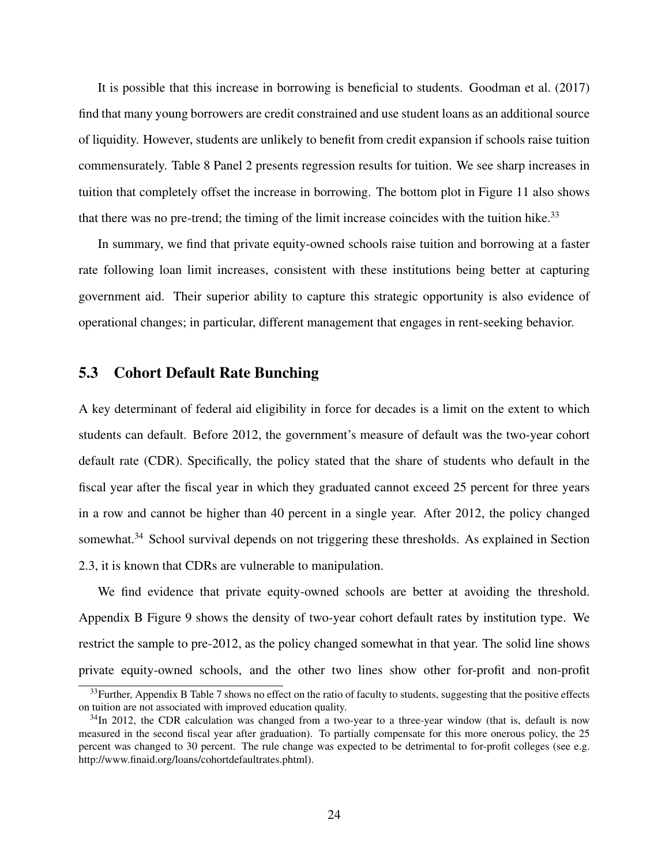It is possible that this increase in borrowing is beneficial to students. [Goodman et al.](#page-35-4) [\(2017\)](#page-35-4) find that many young borrowers are credit constrained and use student loans as an additional source of liquidity. However, students are unlikely to benefit from credit expansion if schools raise tuition commensurately. Table [8](#page-46-0) Panel 2 presents regression results for tuition. We see sharp increases in tuition that completely offset the increase in borrowing. The bottom plot in Figure [11](#page-59-0) also shows that there was no pre-trend; the timing of the limit increase coincides with the tuition hike.<sup>33</sup>

In summary, we find that private equity-owned schools raise tuition and borrowing at a faster rate following loan limit increases, consistent with these institutions being better at capturing government aid. Their superior ability to capture this strategic opportunity is also evidence of operational changes; in particular, different management that engages in rent-seeking behavior.

## 5.3 Cohort Default Rate Bunching

A key determinant of federal aid eligibility in force for decades is a limit on the extent to which students can default. Before 2012, the government's measure of default was the two-year cohort default rate (CDR). Specifically, the policy stated that the share of students who default in the fiscal year after the fiscal year in which they graduated cannot exceed 25 percent for three years in a row and cannot be higher than 40 percent in a single year. After 2012, the policy changed somewhat.<sup>34</sup> School survival depends on not triggering these thresholds. As explained in Section [2.3,](#page-9-4) it is known that CDRs are vulnerable to manipulation.

We find evidence that private equity-owned schools are better at avoiding the threshold. Appendix B Figure 9 shows the density of two-year cohort default rates by institution type. We restrict the sample to pre-2012, as the policy changed somewhat in that year. The solid line shows private equity-owned schools, and the other two lines show other for-profit and non-profit

<span id="page-25-0"></span> $33$ Further, Appendix B Table 7 shows no effect on the ratio of faculty to students, suggesting that the positive effects on tuition are not associated with improved education quality.

<span id="page-25-1"></span> $34$ In 2012, the CDR calculation was changed from a two-year to a three-year window (that is, default is now measured in the second fiscal year after graduation). To partially compensate for this more onerous policy, the 25 percent was changed to 30 percent. The rule change was expected to be detrimental to for-profit colleges (see e.g. http://www.finaid.org/loans/cohortdefaultrates.phtml).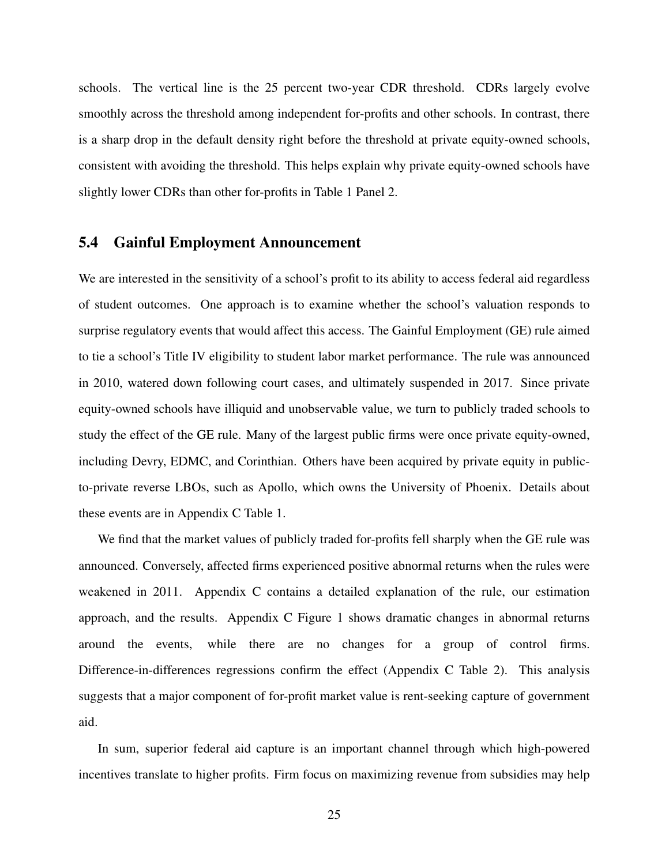schools. The vertical line is the 25 percent two-year CDR threshold. CDRs largely evolve smoothly across the threshold among independent for-profits and other schools. In contrast, there is a sharp drop in the default density right before the threshold at private equity-owned schools, consistent with avoiding the threshold. This helps explain why private equity-owned schools have slightly lower CDRs than other for-profits in Table [1](#page-38-0) Panel 2.

# 5.4 Gainful Employment Announcement

We are interested in the sensitivity of a school's profit to its ability to access federal aid regardless of student outcomes. One approach is to examine whether the school's valuation responds to surprise regulatory events that would affect this access. The Gainful Employment (GE) rule aimed to tie a school's Title IV eligibility to student labor market performance. The rule was announced in 2010, watered down following court cases, and ultimately suspended in 2017. Since private equity-owned schools have illiquid and unobservable value, we turn to publicly traded schools to study the effect of the GE rule. Many of the largest public firms were once private equity-owned, including Devry, EDMC, and Corinthian. Others have been acquired by private equity in publicto-private reverse LBOs, such as Apollo, which owns the University of Phoenix. Details about these events are in Appendix C Table 1.

We find that the market values of publicly traded for-profits fell sharply when the GE rule was announced. Conversely, affected firms experienced positive abnormal returns when the rules were weakened in 2011. Appendix C contains a detailed explanation of the rule, our estimation approach, and the results. Appendix C Figure 1 shows dramatic changes in abnormal returns around the events, while there are no changes for a group of control firms. Difference-in-differences regressions confirm the effect (Appendix C Table 2). This analysis suggests that a major component of for-profit market value is rent-seeking capture of government aid.

In sum, superior federal aid capture is an important channel through which high-powered incentives translate to higher profits. Firm focus on maximizing revenue from subsidies may help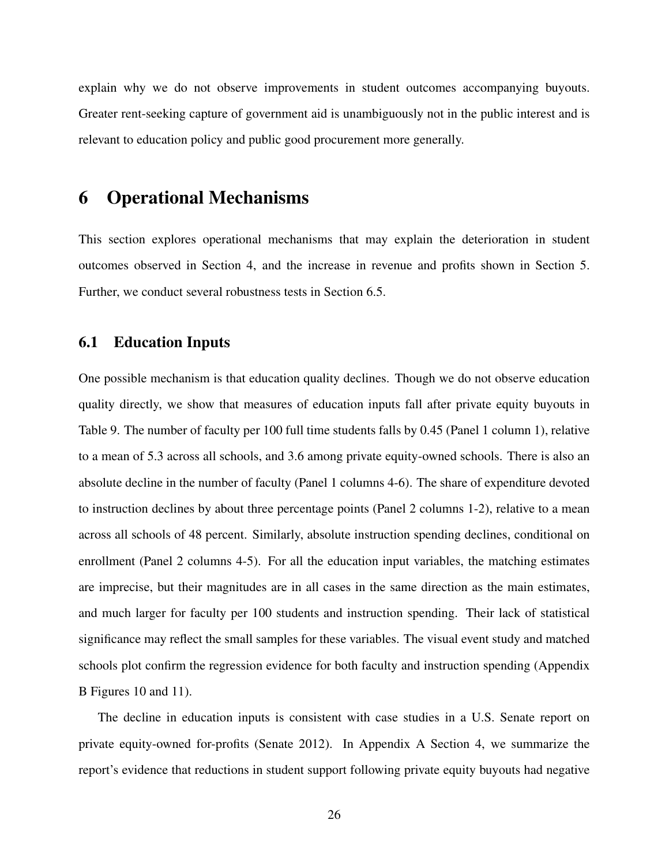explain why we do not observe improvements in student outcomes accompanying buyouts. Greater rent-seeking capture of government aid is unambiguously not in the public interest and is relevant to education policy and public good procurement more generally.

# <span id="page-27-0"></span>6 Operational Mechanisms

This section explores operational mechanisms that may explain the deterioration in student outcomes observed in Section [4,](#page-15-0) and the increase in revenue and profits shown in Section [5.](#page-21-0) Further, we conduct several robustness tests in Section [6.5.](#page-30-0)

## 6.1 Education Inputs

One possible mechanism is that education quality declines. Though we do not observe education quality directly, we show that measures of education inputs fall after private equity buyouts in Table [9.](#page-47-0) The number of faculty per 100 full time students falls by 0.45 (Panel 1 column 1), relative to a mean of 5.3 across all schools, and 3.6 among private equity-owned schools. There is also an absolute decline in the number of faculty (Panel 1 columns 4-6). The share of expenditure devoted to instruction declines by about three percentage points (Panel 2 columns 1-2), relative to a mean across all schools of 48 percent. Similarly, absolute instruction spending declines, conditional on enrollment (Panel 2 columns 4-5). For all the education input variables, the matching estimates are imprecise, but their magnitudes are in all cases in the same direction as the main estimates, and much larger for faculty per 100 students and instruction spending. Their lack of statistical significance may reflect the small samples for these variables. The visual event study and matched schools plot confirm the regression evidence for both faculty and instruction spending (Appendix B Figures 10 and 11).

The decline in education inputs is consistent with case studies in a U.S. Senate report on private equity-owned for-profits [\(Senate 2012\)](#page-37-3). In Appendix A Section 4, we summarize the report's evidence that reductions in student support following private equity buyouts had negative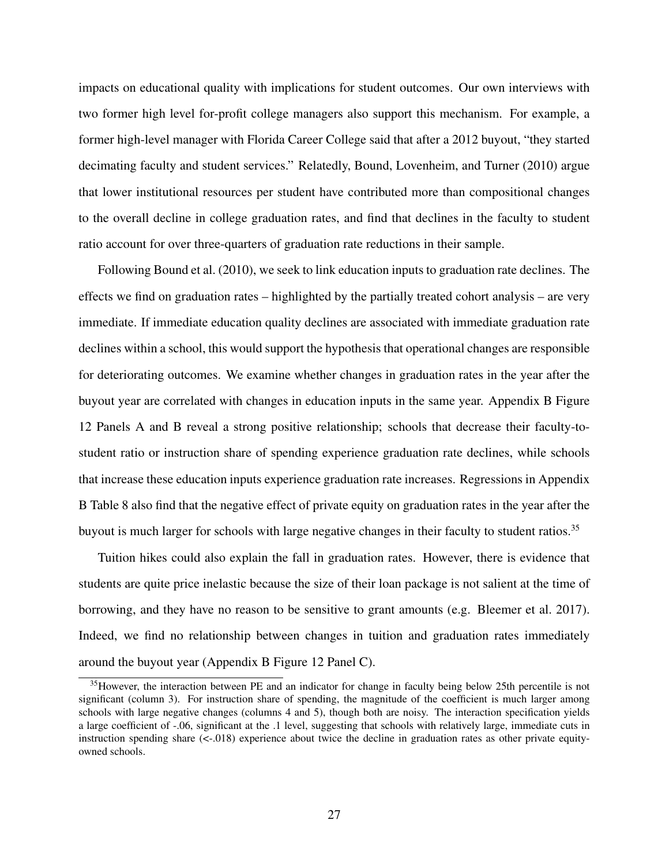impacts on educational quality with implications for student outcomes. Our own interviews with two former high level for-profit college managers also support this mechanism. For example, a former high-level manager with Florida Career College said that after a 2012 buyout, "they started decimating faculty and student services." Relatedly, [Bound, Lovenheim, and Turner](#page-34-16) [\(2010\)](#page-34-16) argue that lower institutional resources per student have contributed more than compositional changes to the overall decline in college graduation rates, and find that declines in the faculty to student ratio account for over three-quarters of graduation rate reductions in their sample.

Following [Bound et al.](#page-34-16) [\(2010\)](#page-34-16), we seek to link education inputs to graduation rate declines. The effects we find on graduation rates – highlighted by the partially treated cohort analysis – are very immediate. If immediate education quality declines are associated with immediate graduation rate declines within a school, this would support the hypothesis that operational changes are responsible for deteriorating outcomes. We examine whether changes in graduation rates in the year after the buyout year are correlated with changes in education inputs in the same year. Appendix B Figure 12 Panels A and B reveal a strong positive relationship; schools that decrease their faculty-tostudent ratio or instruction share of spending experience graduation rate declines, while schools that increase these education inputs experience graduation rate increases. Regressions in Appendix B Table 8 also find that the negative effect of private equity on graduation rates in the year after the buyout is much larger for schools with large negative changes in their faculty to student ratios.<sup>35</sup>

Tuition hikes could also explain the fall in graduation rates. However, there is evidence that students are quite price inelastic because the size of their loan package is not salient at the time of borrowing, and they have no reason to be sensitive to grant amounts (e.g. [Bleemer et al. 2017\)](#page-34-5). Indeed, we find no relationship between changes in tuition and graduation rates immediately around the buyout year (Appendix B Figure 12 Panel C).

<span id="page-28-0"></span><sup>&</sup>lt;sup>35</sup>However, the interaction between PE and an indicator for change in faculty being below 25th percentile is not significant (column 3). For instruction share of spending, the magnitude of the coefficient is much larger among schools with large negative changes (columns 4 and 5), though both are noisy. The interaction specification yields a large coefficient of -.06, significant at the .1 level, suggesting that schools with relatively large, immediate cuts in instruction spending share  $\ll -0.018$ ) experience about twice the decline in graduation rates as other private equityowned schools.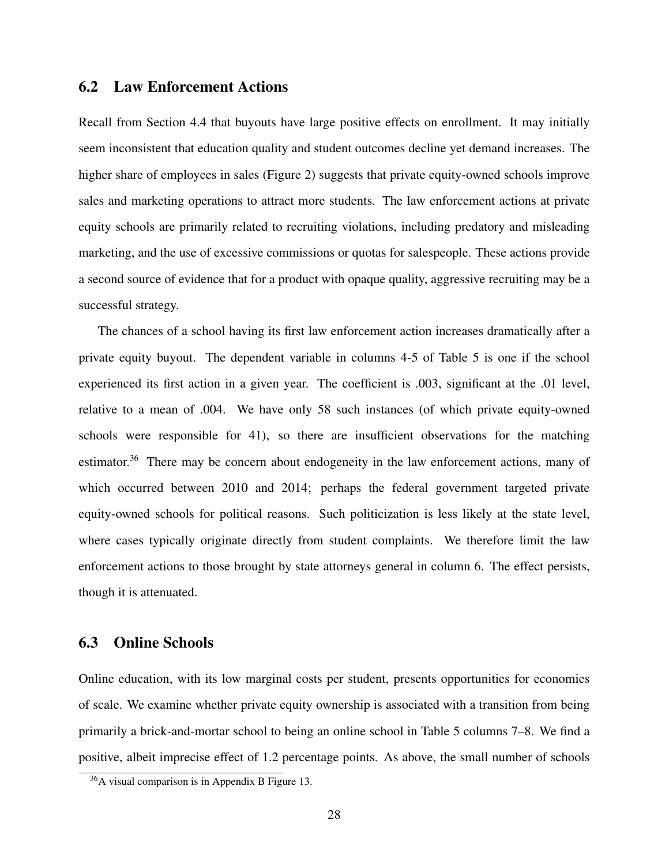# 6.2 Law Enforcement Actions

Recall from Section [4.4](#page-19-2) that buyouts have large positive effects on enrollment. It may initially seem inconsistent that education quality and student outcomes decline yet demand increases. The higher share of employees in sales (Figure [2\)](#page-50-0) suggests that private equity-owned schools improve sales and marketing operations to attract more students. The law enforcement actions at private equity schools are primarily related to recruiting violations, including predatory and misleading marketing, and the use of excessive commissions or quotas for salespeople. These actions provide a second source of evidence that for a product with opaque quality, aggressive recruiting may be a successful strategy.

The chances of a school having its first law enforcement action increases dramatically after a private equity buyout. The dependent variable in columns 4-5 of Table [5](#page-43-0) is one if the school experienced its first action in a given year. The coefficient is .003, significant at the .01 level, relative to a mean of .004. We have only 58 such instances (of which private equity-owned schools were responsible for 41), so there are insufficient observations for the matching estimator.<sup>36</sup> There may be concern about endogeneity in the law enforcement actions, many of which occurred between 2010 and 2014; perhaps the federal government targeted private equity-owned schools for political reasons. Such politicization is less likely at the state level, where cases typically originate directly from student complaints. We therefore limit the law enforcement actions to those brought by state attorneys general in column 6. The effect persists, though it is attenuated.

## 6.3 Online Schools

Online education, with its low marginal costs per student, presents opportunities for economies of scale. We examine whether private equity ownership is associated with a transition from being primarily a brick-and-mortar school to being an online school in Table [5](#page-43-0) columns 7–8. We find a positive, albeit imprecise effect of 1.2 percentage points. As above, the small number of schools

<span id="page-29-0"></span><sup>36</sup>A visual comparison is in Appendix B Figure 13.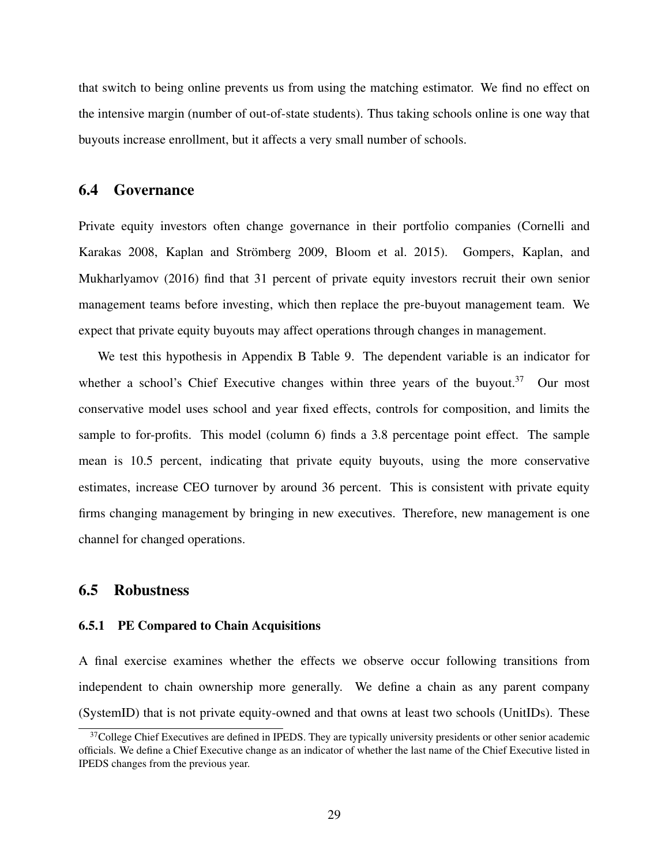that switch to being online prevents us from using the matching estimator. We find no effect on the intensive margin (number of out-of-state students). Thus taking schools online is one way that buyouts increase enrollment, but it affects a very small number of schools.

## 6.4 Governance

Private equity investors often change governance in their portfolio companies [\(Cornelli and](#page-35-16) [Karakas 2008,](#page-35-16) [Kaplan and Strömberg 2009,](#page-36-2) [Bloom et al. 2015\)](#page-34-4). [Gompers, Kaplan, and](#page-35-17) [Mukharlyamov](#page-35-17) [\(2016\)](#page-35-17) find that 31 percent of private equity investors recruit their own senior management teams before investing, which then replace the pre-buyout management team. We expect that private equity buyouts may affect operations through changes in management.

We test this hypothesis in Appendix B Table 9. The dependent variable is an indicator for whether a school's Chief Executive changes within three years of the buyout.<sup>37</sup> Our most conservative model uses school and year fixed effects, controls for composition, and limits the sample to for-profits. This model (column 6) finds a 3.8 percentage point effect. The sample mean is 10.5 percent, indicating that private equity buyouts, using the more conservative estimates, increase CEO turnover by around 36 percent. This is consistent with private equity firms changing management by bringing in new executives. Therefore, new management is one channel for changed operations.

# <span id="page-30-0"></span>6.5 Robustness

### 6.5.1 PE Compared to Chain Acquisitions

A final exercise examines whether the effects we observe occur following transitions from independent to chain ownership more generally. We define a chain as any parent company (SystemID) that is not private equity-owned and that owns at least two schools (UnitIDs). These

<span id="page-30-1"></span><sup>&</sup>lt;sup>37</sup>College Chief Executives are defined in IPEDS. They are typically university presidents or other senior academic officials. We define a Chief Executive change as an indicator of whether the last name of the Chief Executive listed in IPEDS changes from the previous year.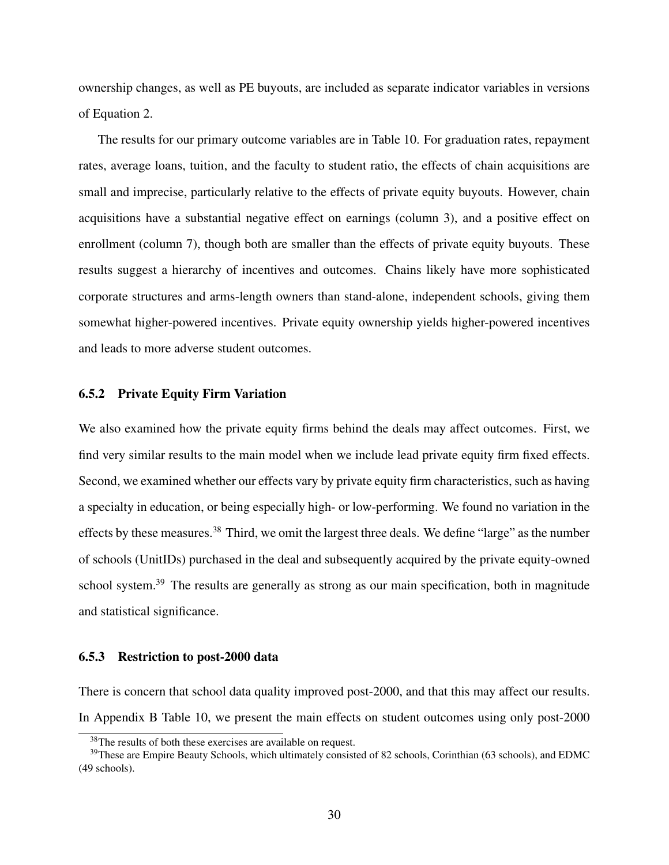ownership changes, as well as PE buyouts, are included as separate indicator variables in versions of Equation [2.](#page-13-0)

The results for our primary outcome variables are in Table [10.](#page-48-0) For graduation rates, repayment rates, average loans, tuition, and the faculty to student ratio, the effects of chain acquisitions are small and imprecise, particularly relative to the effects of private equity buyouts. However, chain acquisitions have a substantial negative effect on earnings (column 3), and a positive effect on enrollment (column 7), though both are smaller than the effects of private equity buyouts. These results suggest a hierarchy of incentives and outcomes. Chains likely have more sophisticated corporate structures and arms-length owners than stand-alone, independent schools, giving them somewhat higher-powered incentives. Private equity ownership yields higher-powered incentives and leads to more adverse student outcomes.

### 6.5.2 Private Equity Firm Variation

We also examined how the private equity firms behind the deals may affect outcomes. First, we find very similar results to the main model when we include lead private equity firm fixed effects. Second, we examined whether our effects vary by private equity firm characteristics, such as having a specialty in education, or being especially high- or low-performing. We found no variation in the effects by these measures[.38](#page-31-0) Third, we omit the largest three deals. We define "large" as the number of schools (UnitIDs) purchased in the deal and subsequently acquired by the private equity-owned school system.<sup>39</sup> The results are generally as strong as our main specification, both in magnitude and statistical significance.

#### 6.5.3 Restriction to post-2000 data

There is concern that school data quality improved post-2000, and that this may affect our results. In Appendix B Table 10, we present the main effects on student outcomes using only post-2000

<span id="page-31-1"></span><span id="page-31-0"></span><sup>&</sup>lt;sup>38</sup>The results of both these exercises are available on request.

<sup>&</sup>lt;sup>39</sup>These are Empire Beauty Schools, which ultimately consisted of 82 schools, Corinthian (63 schools), and EDMC (49 schools).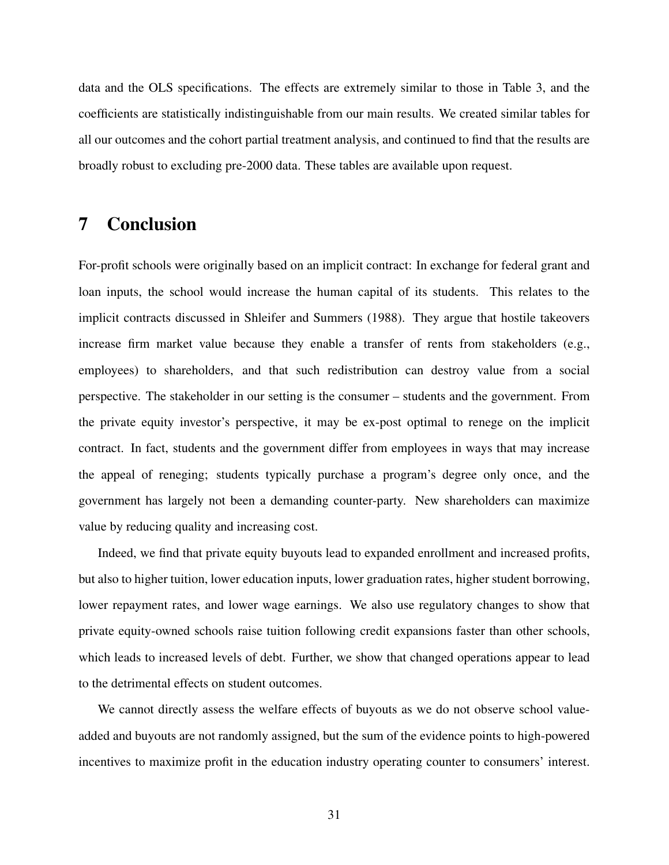data and the OLS specifications. The effects are extremely similar to those in Table [3,](#page-41-0) and the coefficients are statistically indistinguishable from our main results. We created similar tables for all our outcomes and the cohort partial treatment analysis, and continued to find that the results are broadly robust to excluding pre-2000 data. These tables are available upon request.

# 7 Conclusion

For-profit schools were originally based on an implicit contract: In exchange for federal grant and loan inputs, the school would increase the human capital of its students. This relates to the implicit contracts discussed in [Shleifer and Summers](#page-37-1) [\(1988\)](#page-37-1). They argue that hostile takeovers increase firm market value because they enable a transfer of rents from stakeholders (e.g., employees) to shareholders, and that such redistribution can destroy value from a social perspective. The stakeholder in our setting is the consumer – students and the government. From the private equity investor's perspective, it may be ex-post optimal to renege on the implicit contract. In fact, students and the government differ from employees in ways that may increase the appeal of reneging; students typically purchase a program's degree only once, and the government has largely not been a demanding counter-party. New shareholders can maximize value by reducing quality and increasing cost.

Indeed, we find that private equity buyouts lead to expanded enrollment and increased profits, but also to higher tuition, lower education inputs, lower graduation rates, higher student borrowing, lower repayment rates, and lower wage earnings. We also use regulatory changes to show that private equity-owned schools raise tuition following credit expansions faster than other schools, which leads to increased levels of debt. Further, we show that changed operations appear to lead to the detrimental effects on student outcomes.

We cannot directly assess the welfare effects of buyouts as we do not observe school valueadded and buyouts are not randomly assigned, but the sum of the evidence points to high-powered incentives to maximize profit in the education industry operating counter to consumers' interest.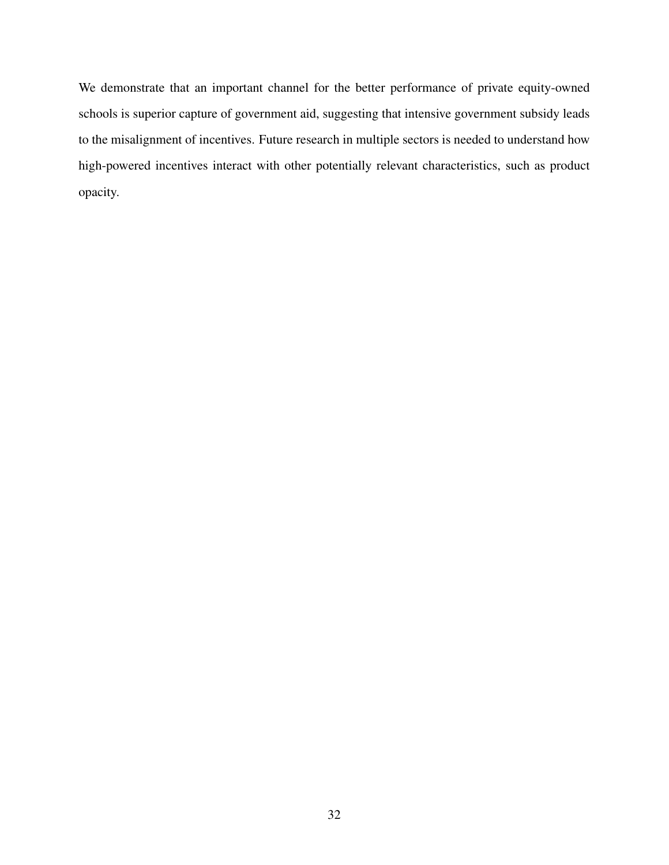We demonstrate that an important channel for the better performance of private equity-owned schools is superior capture of government aid, suggesting that intensive government subsidy leads to the misalignment of incentives. Future research in multiple sectors is needed to understand how high-powered incentives interact with other potentially relevant characteristics, such as product opacity.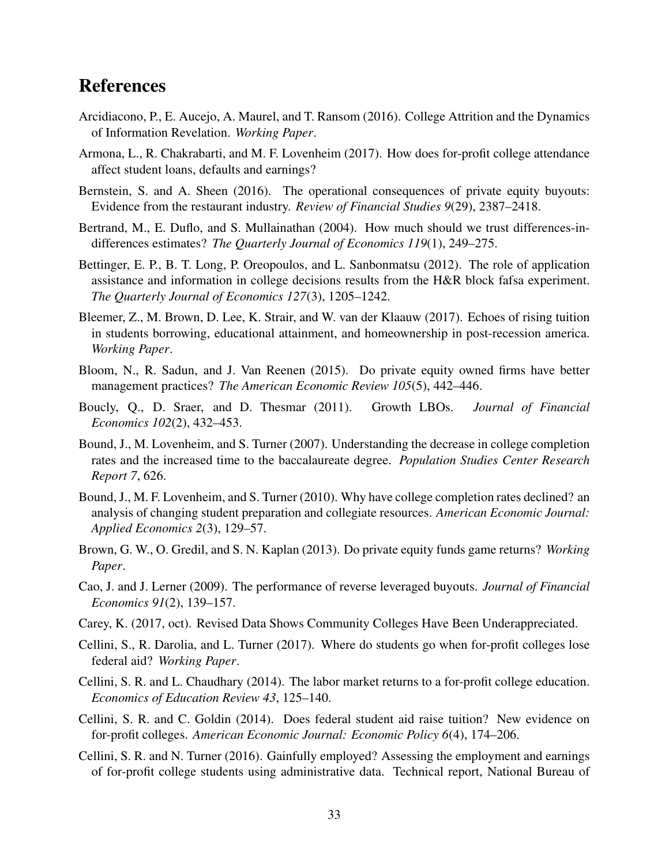# References

- <span id="page-34-11"></span>Arcidiacono, P., E. Aucejo, A. Maurel, and T. Ransom (2016). College Attrition and the Dynamics of Information Revelation. *Working Paper*.
- <span id="page-34-7"></span>Armona, L., R. Chakrabarti, and M. F. Lovenheim (2017). How does for-profit college attendance affect student loans, defaults and earnings?
- <span id="page-34-9"></span>Bernstein, S. and A. Sheen (2016). The operational consequences of private equity buyouts: Evidence from the restaurant industry. *Review of Financial Studies 9*(29), 2387–2418.
- <span id="page-34-14"></span>Bertrand, M., E. Duflo, and S. Mullainathan (2004). How much should we trust differences-indifferences estimates? *The Quarterly Journal of Economics 119*(1), 249–275.
- <span id="page-34-12"></span>Bettinger, E. P., B. T. Long, P. Oreopoulos, and L. Sanbonmatsu (2012). The role of application assistance and information in college decisions results from the H&R block fafsa experiment. *The Quarterly Journal of Economics 127*(3), 1205–1242.
- <span id="page-34-5"></span>Bleemer, Z., M. Brown, D. Lee, K. Strair, and W. van der Klaauw (2017). Echoes of rising tuition in students borrowing, educational attainment, and homeownership in post-recession america. *Working Paper*.
- <span id="page-34-4"></span>Bloom, N., R. Sadun, and J. Van Reenen (2015). Do private equity owned firms have better management practices? *The American Economic Review 105*(5), 442–446.
- <span id="page-34-3"></span>Boucly, Q., D. Sraer, and D. Thesmar (2011). Growth LBOs. *Journal of Financial Economics 102*(2), 432–453.
- <span id="page-34-15"></span>Bound, J., M. Lovenheim, and S. Turner (2007). Understanding the decrease in college completion rates and the increased time to the baccalaureate degree. *Population Studies Center Research Report 7*, 626.
- <span id="page-34-16"></span>Bound, J., M. F. Lovenheim, and S. Turner (2010). Why have college completion rates declined? an analysis of changing student preparation and collegiate resources. *American Economic Journal: Applied Economics 2*(3), 129–57.
- <span id="page-34-10"></span>Brown, G. W., O. Gredil, and S. N. Kaplan (2013). Do private equity funds game returns? *Working Paper*.
- <span id="page-34-2"></span>Cao, J. and J. Lerner (2009). The performance of reverse leveraged buyouts. *Journal of Financial Economics 91*(2), 139–157.
- <span id="page-34-13"></span>Carey, K. (2017, oct). Revised Data Shows Community Colleges Have Been Underappreciated.
- <span id="page-34-8"></span>Cellini, S., R. Darolia, and L. Turner (2017). Where do students go when for-profit colleges lose federal aid? *Working Paper*.
- <span id="page-34-6"></span>Cellini, S. R. and L. Chaudhary (2014). The labor market returns to a for-profit college education. *Economics of Education Review 43*, 125–140.
- <span id="page-34-0"></span>Cellini, S. R. and C. Goldin (2014). Does federal student aid raise tuition? New evidence on for-profit colleges. *American Economic Journal: Economic Policy 6*(4), 174–206.
- <span id="page-34-1"></span>Cellini, S. R. and N. Turner (2016). Gainfully employed? Assessing the employment and earnings of for-profit college students using administrative data. Technical report, National Bureau of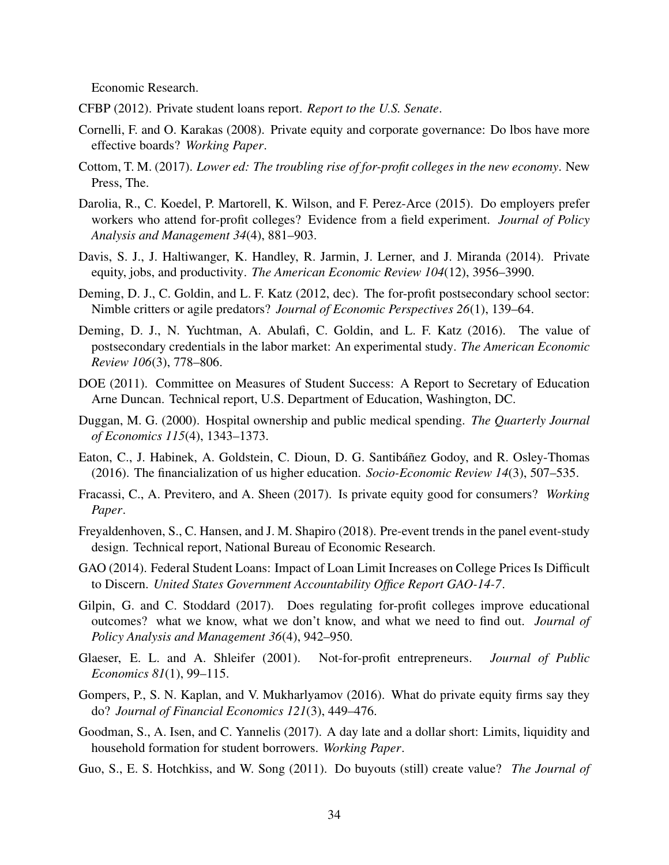Economic Research.

- <span id="page-35-8"></span>CFBP (2012). Private student loans report. *Report to the U.S. Senate*.
- <span id="page-35-16"></span>Cornelli, F. and O. Karakas (2008). Private equity and corporate governance: Do lbos have more effective boards? *Working Paper*.
- <span id="page-35-14"></span>Cottom, T. M. (2017). *Lower ed: The troubling rise of for-profit colleges in the new economy*. New Press, The.
- <span id="page-35-12"></span>Darolia, R., C. Koedel, P. Martorell, K. Wilson, and F. Perez-Arce (2015). Do employers prefer workers who attend for-profit colleges? Evidence from a field experiment. *Journal of Policy Analysis and Management 34*(4), 881–903.
- <span id="page-35-3"></span>Davis, S. J., J. Haltiwanger, K. Handley, R. Jarmin, J. Lerner, and J. Miranda (2014). Private equity, jobs, and productivity. *The American Economic Review 104*(12), 3956–3990.
- <span id="page-35-0"></span>Deming, D. J., C. Goldin, and L. F. Katz (2012, dec). The for-profit postsecondary school sector: Nimble critters or agile predators? *Journal of Economic Perspectives 26*(1), 139–64.
- <span id="page-35-1"></span>Deming, D. J., N. Yuchtman, A. Abulafi, C. Goldin, and L. F. Katz (2016). The value of postsecondary credentials in the labor market: An experimental study. *The American Economic Review 106*(3), 778–806.
- <span id="page-35-9"></span>DOE (2011). Committee on Measures of Student Success: A Report to Secretary of Education Arne Duncan. Technical report, U.S. Department of Education, Washington, DC.
- <span id="page-35-5"></span>Duggan, M. G. (2000). Hospital ownership and public medical spending. *The Quarterly Journal of Economics 115*(4), 1343–1373.
- <span id="page-35-13"></span>Eaton, C., J. Habinek, A. Goldstein, C. Dioun, D. G. Santibáñez Godoy, and R. Osley-Thomas (2016). The financialization of us higher education. *Socio-Economic Review 14*(3), 507–535.
- <span id="page-35-6"></span>Fracassi, C., A. Previtero, and A. Sheen (2017). Is private equity good for consumers? *Working Paper*.
- <span id="page-35-10"></span>Freyaldenhoven, S., C. Hansen, and J. M. Shapiro (2018). Pre-event trends in the panel event-study design. Technical report, National Bureau of Economic Research.
- <span id="page-35-15"></span>GAO (2014). Federal Student Loans: Impact of Loan Limit Increases on College Prices Is Difficult to Discern. *United States Government Accountability Office Report GAO-14-7*.
- <span id="page-35-11"></span>Gilpin, G. and C. Stoddard (2017). Does regulating for-profit colleges improve educational outcomes? what we know, what we don't know, and what we need to find out. *Journal of Policy Analysis and Management 36*(4), 942–950.
- <span id="page-35-7"></span>Glaeser, E. L. and A. Shleifer (2001). Not-for-profit entrepreneurs. *Journal of Public Economics 81*(1), 99–115.
- <span id="page-35-17"></span>Gompers, P., S. N. Kaplan, and V. Mukharlyamov (2016). What do private equity firms say they do? *Journal of Financial Economics 121*(3), 449–476.
- <span id="page-35-4"></span>Goodman, S., A. Isen, and C. Yannelis (2017). A day late and a dollar short: Limits, liquidity and household formation for student borrowers. *Working Paper*.
- <span id="page-35-2"></span>Guo, S., E. S. Hotchkiss, and W. Song (2011). Do buyouts (still) create value? *The Journal of*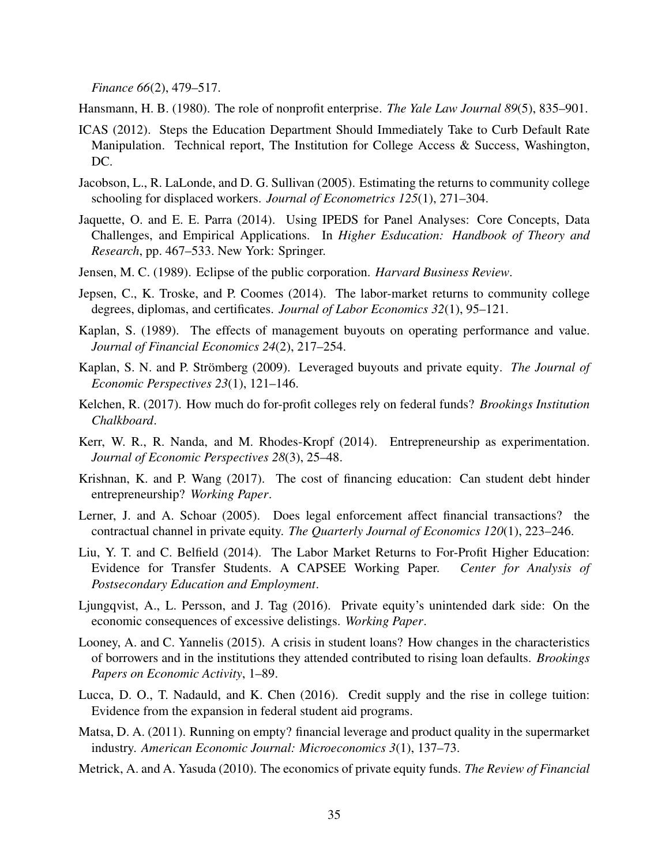*Finance 66*(2), 479–517.

<span id="page-36-8"></span>Hansmann, H. B. (1980). The role of nonprofit enterprise. *The Yale Law Journal 89*(5), 835–901.

- <span id="page-36-13"></span>ICAS (2012). Steps the Education Department Should Immediately Take to Curb Default Rate Manipulation. Technical report, The Institution for College Access & Success, Washington, DC.
- <span id="page-36-15"></span>Jacobson, L., R. LaLonde, and D. G. Sullivan (2005). Estimating the returns to community college schooling for displaced workers. *Journal of Econometrics 125*(1), 271–304.
- <span id="page-36-14"></span>Jaquette, O. and E. E. Parra (2014). Using IPEDS for Panel Analyses: Core Concepts, Data Challenges, and Empirical Applications. In *Higher Esducation: Handbook of Theory and Research*, pp. 467–533. New York: Springer.
- <span id="page-36-0"></span>Jensen, M. C. (1989). Eclipse of the public corporation. *Harvard Business Review*.
- <span id="page-36-16"></span>Jepsen, C., K. Troske, and P. Coomes (2014). The labor-market returns to community college degrees, diplomas, and certificates. *Journal of Labor Economics 32*(1), 95–121.
- <span id="page-36-4"></span>Kaplan, S. (1989). The effects of management buyouts on operating performance and value. *Journal of Financial Economics 24*(2), 217–254.
- <span id="page-36-2"></span>Kaplan, S. N. and P. Strömberg (2009). Leveraged buyouts and private equity. *The Journal of Economic Perspectives 23*(1), 121–146.
- <span id="page-36-12"></span>Kelchen, R. (2017). How much do for-profit colleges rely on federal funds? *Brookings Institution Chalkboard*.
- <span id="page-36-9"></span>Kerr, W. R., R. Nanda, and M. Rhodes-Kropf (2014). Entrepreneurship as experimentation. *Journal of Economic Perspectives 28*(3), 25–48.
- <span id="page-36-6"></span>Krishnan, K. and P. Wang (2017). The cost of financing education: Can student debt hinder entrepreneurship? *Working Paper*.
- <span id="page-36-1"></span>Lerner, J. and A. Schoar (2005). Does legal enforcement affect financial transactions? the contractual channel in private equity. *The Quarterly Journal of Economics 120*(1), 223–246.
- <span id="page-36-7"></span>Liu, Y. T. and C. Belfield (2014). The Labor Market Returns to For-Profit Higher Education: Evidence for Transfer Students. A CAPSEE Working Paper. *Center for Analysis of Postsecondary Education and Employment*.
- <span id="page-36-11"></span>Ljungqvist, A., L. Persson, and J. Tag (2016). Private equity's unintended dark side: On the economic consequences of excessive delistings. *Working Paper*.
- <span id="page-36-5"></span>Looney, A. and C. Yannelis (2015). A crisis in student loans? How changes in the characteristics of borrowers and in the institutions they attended contributed to rising loan defaults. *Brookings Papers on Economic Activity*, 1–89.
- <span id="page-36-17"></span>Lucca, D. O., T. Nadauld, and K. Chen (2016). Credit supply and the rise in college tuition: Evidence from the expansion in federal student aid programs.
- <span id="page-36-10"></span>Matsa, D. A. (2011). Running on empty? financial leverage and product quality in the supermarket industry. *American Economic Journal: Microeconomics 3*(1), 137–73.
- <span id="page-36-3"></span>Metrick, A. and A. Yasuda (2010). The economics of private equity funds. *The Review of Financial*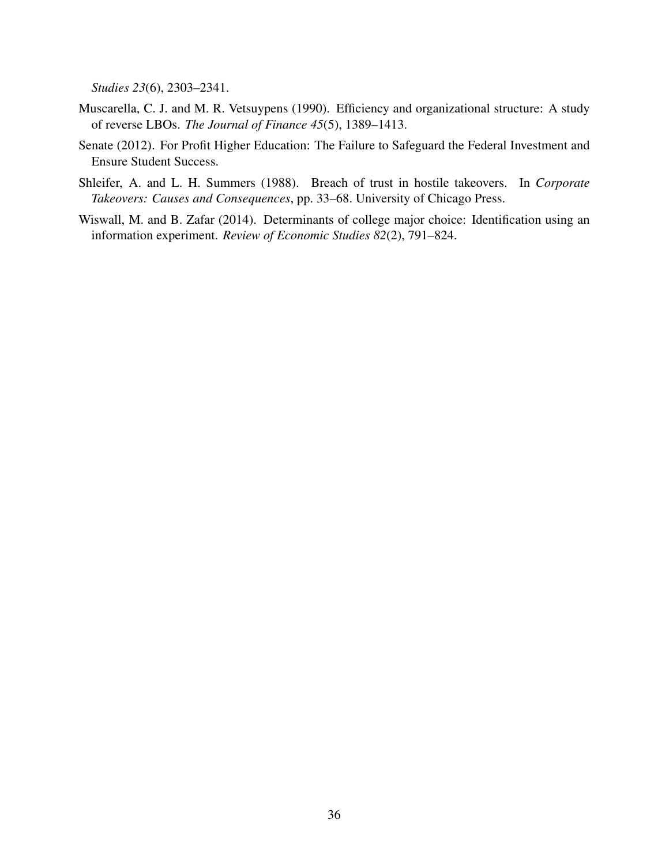*Studies 23*(6), 2303–2341.

- <span id="page-37-0"></span>Muscarella, C. J. and M. R. Vetsuypens (1990). Efficiency and organizational structure: A study of reverse LBOs. *The Journal of Finance 45*(5), 1389–1413.
- <span id="page-37-3"></span>Senate (2012). For Profit Higher Education: The Failure to Safeguard the Federal Investment and Ensure Student Success.
- <span id="page-37-1"></span>Shleifer, A. and L. H. Summers (1988). Breach of trust in hostile takeovers. In *Corporate Takeovers: Causes and Consequences*, pp. 33–68. University of Chicago Press.
- <span id="page-37-2"></span>Wiswall, M. and B. Zafar (2014). Determinants of college major choice: Identification using an information experiment. *Review of Economic Studies 82*(2), 791–824.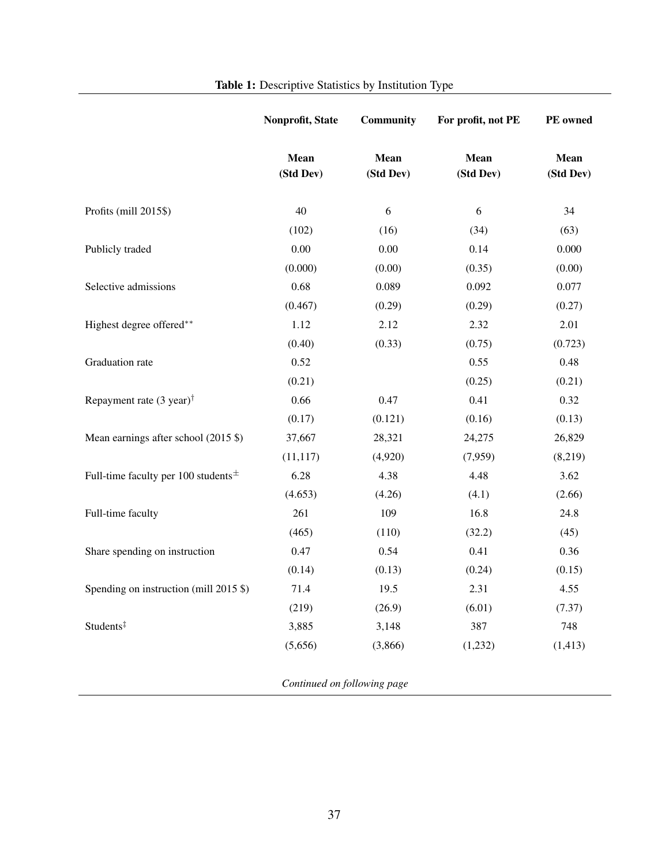<span id="page-38-0"></span>

|                                          | Nonprofit, State  | <b>Community</b>  | For profit, not PE | PE owned          |
|------------------------------------------|-------------------|-------------------|--------------------|-------------------|
|                                          | Mean<br>(Std Dev) | Mean<br>(Std Dev) | Mean<br>(Std Dev)  | Mean<br>(Std Dev) |
| Profits (mill 2015\$)                    | 40                | 6                 | 6                  | 34                |
|                                          | (102)             | (16)              | (34)               | (63)              |
| Publicly traded                          | 0.00              | 0.00              | 0.14               | 0.000             |
|                                          | (0.000)           | (0.00)            | (0.35)             | (0.00)            |
| Selective admissions                     | 0.68              | 0.089             | 0.092              | 0.077             |
|                                          | (0.467)           | (0.29)            | (0.29)             | (0.27)            |
| Highest degree offered**                 | 1.12              | 2.12              | 2.32               | 2.01              |
|                                          | (0.40)            | (0.33)            | (0.75)             | (0.723)           |
| Graduation rate                          | 0.52              |                   | 0.55               | 0.48              |
|                                          | (0.21)            |                   | (0.25)             | (0.21)            |
| Repayment rate (3 year) <sup>†</sup>     | 0.66              | 0.47              | 0.41               | 0.32              |
|                                          | (0.17)            | (0.121)           | (0.16)             | (0.13)            |
| Mean earnings after school (2015 \$)     | 37,667            | 28,321            | 24,275             | 26,829            |
|                                          | (11, 117)         | (4,920)           | (7,959)            | (8,219)           |
| Full-time faculty per 100 students $\pm$ | 6.28              | 4.38              | 4.48               | 3.62              |
|                                          | (4.653)           | (4.26)            | (4.1)              | (2.66)            |
| Full-time faculty                        | 261               | 109               | 16.8               | 24.8              |
|                                          | (465)             | (110)             | (32.2)             | (45)              |
| Share spending on instruction            | 0.47              | 0.54              | 0.41               | 0.36              |
|                                          | (0.14)            | (0.13)            | (0.24)             | (0.15)            |
| Spending on instruction (mill 2015 \$)   | 71.4              | 19.5              | 2.31               | 4.55              |
|                                          | (219)             | (26.9)            | (6.01)             | (7.37)            |
| Students <sup>‡</sup>                    | 3,885             | 3,148             | 387                | 748               |
|                                          | (5,656)           | (3,866)           | (1,232)            | (1, 413)          |

# Table 1: Descriptive Statistics by Institution Type

*Continued on following page*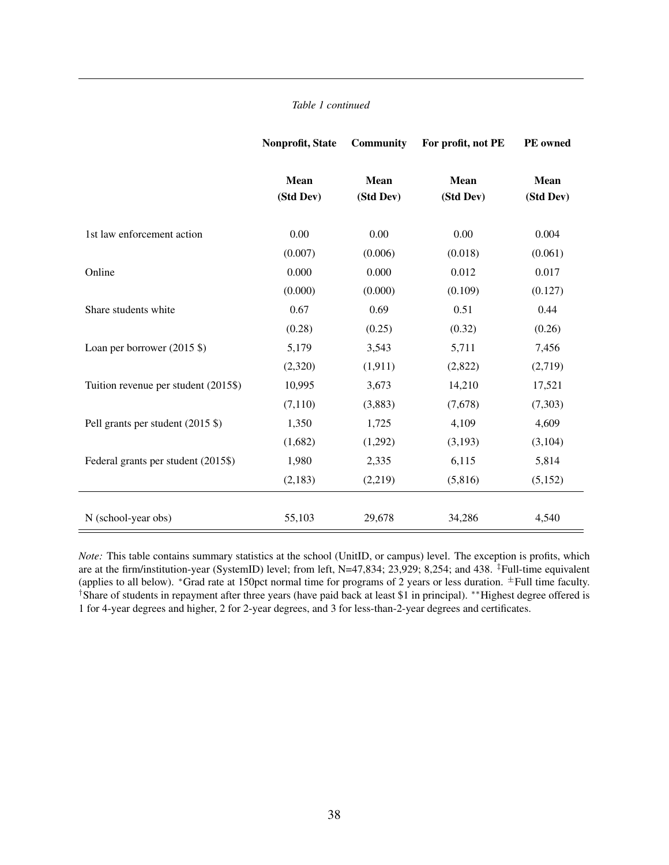### *Table 1 continued*

|                                      | Nonprofit, State         | <b>Community</b>  | For profit, not PE       | PE owned                 |
|--------------------------------------|--------------------------|-------------------|--------------------------|--------------------------|
|                                      | <b>Mean</b><br>(Std Dev) | Mean<br>(Std Dev) | <b>Mean</b><br>(Std Dev) | <b>Mean</b><br>(Std Dev) |
| 1st law enforcement action           | 0.00                     | 0.00              | 0.00                     | 0.004                    |
|                                      | (0.007)                  | (0.006)           | (0.018)                  | (0.061)                  |
| Online                               | 0.000                    | 0.000             | 0.012                    | 0.017                    |
|                                      | (0.000)                  | (0.000)           | (0.109)                  | (0.127)                  |
| Share students white                 | 0.67                     | 0.69              | 0.51                     | 0.44                     |
|                                      | (0.28)                   | (0.25)            | (0.32)                   | (0.26)                   |
| Loan per borrower (2015 \$)          | 5,179                    | 3,543             | 5,711                    | 7,456                    |
|                                      | (2,320)                  | (1, 911)          | (2,822)                  | (2,719)                  |
| Tuition revenue per student (2015\$) | 10,995                   | 3,673             | 14,210                   | 17,521                   |
|                                      | (7, 110)                 | (3,883)           | (7,678)                  | (7,303)                  |
| Pell grants per student (2015 \$)    | 1,350                    | 1,725             | 4,109                    | 4,609                    |
|                                      | (1,682)                  | (1,292)           | (3,193)                  | (3,104)                  |
| Federal grants per student (2015\$)  | 1,980                    | 2,335             | 6,115                    | 5,814                    |
|                                      | (2,183)                  | (2,219)           | (5,816)                  | (5,152)                  |
| N (school-year obs)                  | 55,103                   | 29,678            | 34,286                   | 4,540                    |

*Note:* This table contains summary statistics at the school (UnitID, or campus) level. The exception is profits, which are at the firm/institution-year (SystemID) level; from left, N=47,834; 23,929; 8,254; and 438. *‡*Full-time equivalent (applies to all below). \*Grad rate at 150pct normal time for programs of 2 years or less duration. <sup>±</sup>Full time faculty. <sup>†</sup>Share of students in repayment after three years (have paid back at least \$1 in principal). <sup>\*\*</sup>Highest degree offered is 1 for 4-year degrees and higher, 2 for 2-year degrees, and 3 for less-than-2-year degrees and certificates.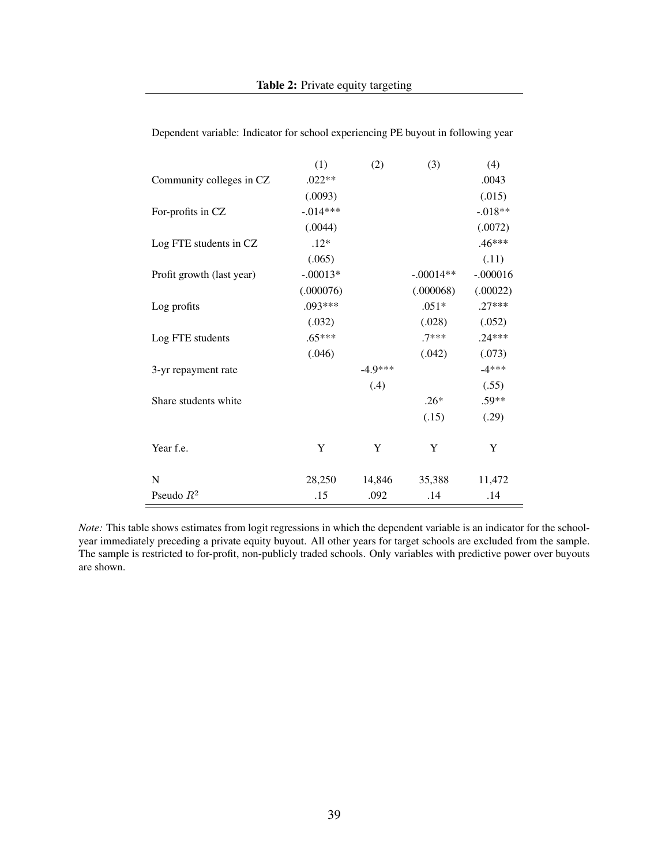|                           | (1)        | (2)       | (3)         | (4)        |
|---------------------------|------------|-----------|-------------|------------|
| Community colleges in CZ  | $.022**$   |           |             | .0043      |
|                           | (.0093)    |           |             | (.015)     |
| For-profits in CZ         | $-.014***$ |           |             | $-.018**$  |
|                           | (.0044)    |           |             | (.0072)    |
| Log FTE students in CZ    | $.12*$     |           |             | $.46***$   |
|                           | (.065)     |           |             | (.11)      |
| Profit growth (last year) | $-.00013*$ |           | $-.00014**$ | $-.000016$ |
|                           | (.000076)  |           | (.000068)   | (.00022)   |
| Log profits               | $.093***$  |           | $.051*$     | $.27***$   |
|                           | (.032)     |           | (.028)      | (.052)     |
| Log FTE students          | $.65***$   |           | $7***$      | $.24***$   |
|                           | (.046)     |           | (.042)      | (.073)     |
| 3-yr repayment rate       |            | $-4.9***$ |             | $-4***$    |
|                           |            | (.4)      |             | (.55)      |
| Share students white      |            |           | $.26*$      | .59**      |
|                           |            |           | (.15)       | (.29)      |
| Year f.e.                 | Y          | Y         | Y           | Y          |
| N                         | 28,250     | 14,846    | 35,388      | 11,472     |
| Pseudo $R^2$              | .15        | .092      | .14         | .14        |

<span id="page-40-0"></span>Dependent variable: Indicator for school experiencing PE buyout in following year

*Note:* This table shows estimates from logit regressions in which the dependent variable is an indicator for the schoolyear immediately preceding a private equity buyout. All other years for target schools are excluded from the sample. The sample is restricted to for-profit, non-publicly traded schools. Only variables with predictive power over buyouts are shown.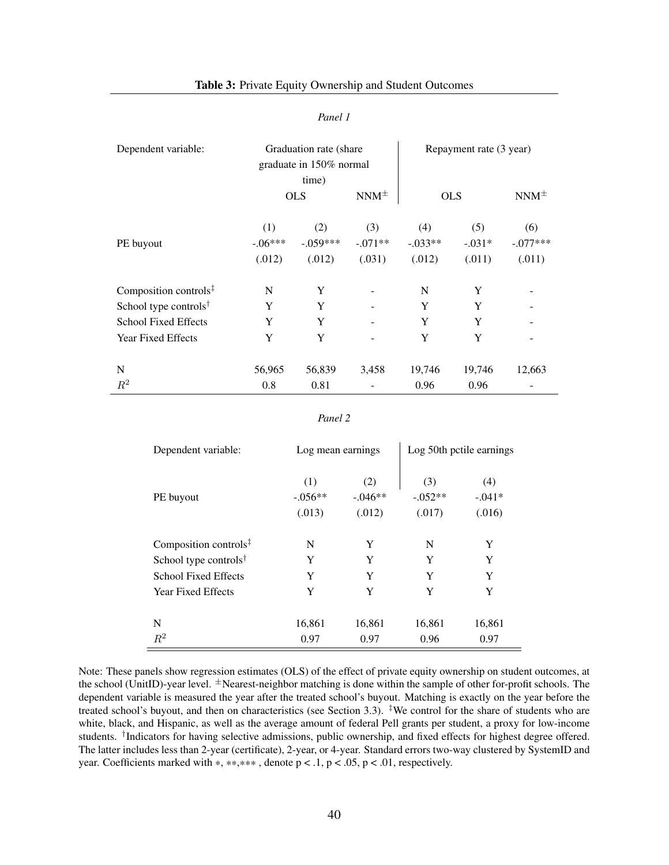#### *Panel 1*

<span id="page-41-0"></span>

| Dependent variable:                                  | Graduation rate (share) |                         |             |            | Repayment rate (3 year) |             |
|------------------------------------------------------|-------------------------|-------------------------|-------------|------------|-------------------------|-------------|
|                                                      |                         | graduate in 150% normal |             |            |                         |             |
|                                                      |                         | time)                   |             |            |                         |             |
|                                                      |                         | <b>OLS</b>              | $NNM^{\pm}$ | <b>OLS</b> |                         | $NNM^{\pm}$ |
|                                                      | (1)                     | (2)                     | (3)         | (4)        | (5)                     | (6)         |
| PE buyout                                            | $-.06***$               | $-.059***$              | $-.071**$   | $-.033**$  | $-.031*$                | $-.077***$  |
|                                                      | (.012)                  | (.012)                  | (.031)      | (.012)     | (.011)                  | (.011)      |
| Composition controls $\ddagger$                      | N                       | Y                       |             | N          | Y                       |             |
| School type controls <sup><math>\dagger</math></sup> | Y                       | Y                       |             | Y          | Y                       |             |
| <b>School Fixed Effects</b>                          | Y                       | Y                       |             | Y          | Y                       |             |
| <b>Year Fixed Effects</b>                            | Y                       | Y                       |             | Y          | Y                       |             |
|                                                      |                         |                         |             |            |                         |             |
| N                                                    | 56,965                  | 56,839                  | 3,458       | 19,746     | 19,746                  | 12,663      |
| $R^2$                                                | 0.8                     | 0.81                    |             | 0.96       | 0.96                    |             |

#### *Panel 2*

| Dependent variable:                                  | Log mean earnings          |                            | Log 50th petile earnings   |                           |  |
|------------------------------------------------------|----------------------------|----------------------------|----------------------------|---------------------------|--|
| PE buyout                                            | (1)<br>$-.056**$<br>(.013) | (2)<br>$-.046**$<br>(.012) | (3)<br>$-.052**$<br>(.017) | (4)<br>$-.041*$<br>(.016) |  |
| Composition controls $\ddagger$                      | N                          | Y                          | N                          | Y                         |  |
| School type controls <sup><math>\dagger</math></sup> | Y                          | Y                          | Y                          | Y                         |  |
| <b>School Fixed Effects</b>                          | Y                          | Y                          | Y                          | Y                         |  |
| <b>Year Fixed Effects</b>                            | Y                          | Y                          | Y                          | Y                         |  |
| N                                                    | 16,861                     | 16,861                     | 16,861                     | 16,861                    |  |
| $R^2$                                                | 0.97                       | 0.97                       | 0.96                       | 0.97                      |  |

Note: These panels show regression estimates (OLS) of the effect of private equity ownership on student outcomes, at the school (UnitID)-year level. *<sup>±</sup>*Nearest-neighbor matching is done within the sample of other for-profit schools. The dependent variable is measured the year after the treated school's buyout. Matching is exactly on the year before the treated school's buyout, and then on characteristics (see Section [3.3\)](#page-14-3). *‡*We control for the share of students who are white, black, and Hispanic, as well as the average amount of federal Pell grants per student, a proxy for low-income students. *†*Indicators for having selective admissions, public ownership, and fixed effects for highest degree offered. The latter includes less than 2-year (certificate), 2-year, or 4-year. Standard errors two-way clustered by SystemID and year. Coefficients marked with  $*, ***, *$ , denote  $p < .1, p < .05, p < .01$ , respectively.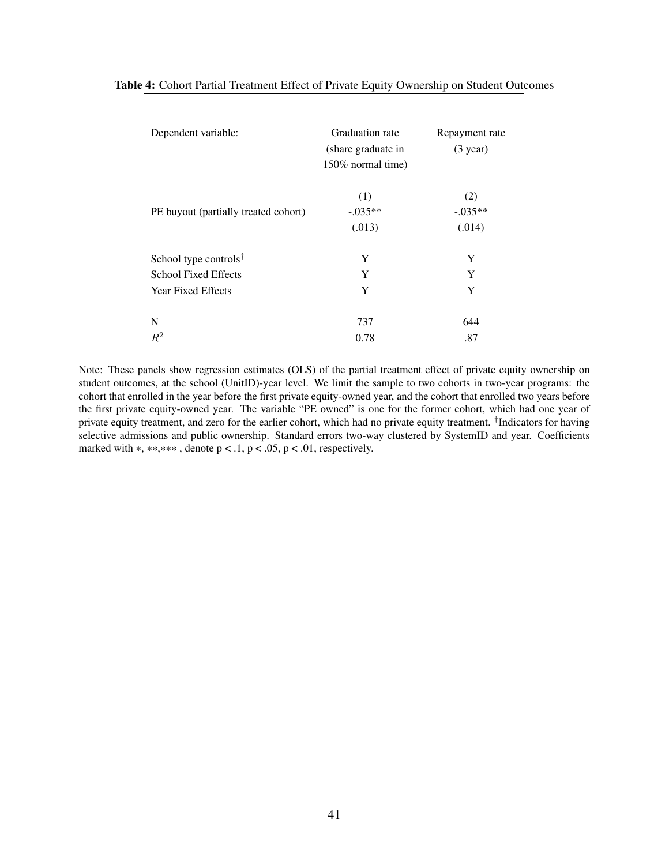<span id="page-42-0"></span>

| Dependent variable:                  | Graduation rate<br>(share graduate in | Repayment rate<br>$(3 \text{ year})$ |
|--------------------------------------|---------------------------------------|--------------------------------------|
|                                      | 150% normal time)                     |                                      |
|                                      | (1)                                   | (2)                                  |
| PE buyout (partially treated cohort) | $-.035**$                             | $-.035**$                            |
|                                      | (.013)                                | (.014)                               |
| School type controls <sup>†</sup>    | Y                                     | Y                                    |
| <b>School Fixed Effects</b>          | Y                                     | Y                                    |
| <b>Year Fixed Effects</b>            | Y                                     | Y                                    |
|                                      |                                       |                                      |
| N                                    | 737                                   | 644                                  |
| $R^2$                                | 0.78                                  | .87                                  |

Note: These panels show regression estimates (OLS) of the partial treatment effect of private equity ownership on student outcomes, at the school (UnitID)-year level. We limit the sample to two cohorts in two-year programs: the cohort that enrolled in the year before the first private equity-owned year, and the cohort that enrolled two years before the first private equity-owned year. The variable "PE owned" is one for the former cohort, which had one year of private equity treatment, and zero for the earlier cohort, which had no private equity treatment. *†*Indicators for having selective admissions and public ownership. Standard errors two-way clustered by SystemID and year. Coefficients marked with  $*, **$ ,  $*$ , denote  $p < .1$ ,  $p < .05$ ,  $p < .01$ , respectively.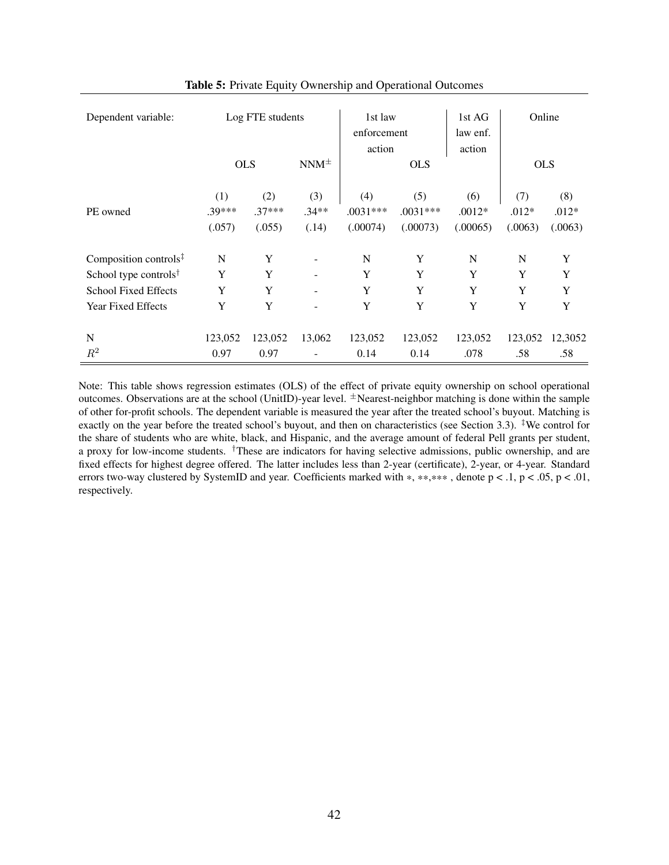<span id="page-43-0"></span>

| Dependent variable:                                  |                           | Log FTE students          |                         | 1st law<br>enforcement        |                               | 1st AG<br>law enf.          | Online                    |                           |
|------------------------------------------------------|---------------------------|---------------------------|-------------------------|-------------------------------|-------------------------------|-----------------------------|---------------------------|---------------------------|
|                                                      | <b>OLS</b>                |                           | $NNM^{\pm}$             | action                        | <b>OLS</b>                    | action                      | <b>OLS</b>                |                           |
| PE owned                                             | (1)<br>$.39***$<br>(.057) | (2)<br>$.37***$<br>(.055) | (3)<br>$.34**$<br>(.14) | (4)<br>$.0031***$<br>(.00074) | (5)<br>$.0031***$<br>(.00073) | (6)<br>$.0012*$<br>(.00065) | (7)<br>$.012*$<br>(.0063) | (8)<br>$.012*$<br>(.0063) |
| Composition controls <sup>‡</sup>                    | N                         | Y                         |                         | N                             | Y                             | N                           | N                         | Y                         |
| School type controls <sup><math>\dagger</math></sup> | Y                         | Y                         |                         | Y                             | Y                             | Y                           | Y                         | Y                         |
| <b>School Fixed Effects</b>                          | Y                         | Y                         |                         | Y                             | Y                             | Y                           | Y                         | Y                         |
| Year Fixed Effects                                   | Y                         | Y                         | ٠                       | Y                             | Y                             | Y                           | Y                         | Y                         |
| N                                                    | 123,052                   | 123,052                   | 13,062                  | 123,052                       | 123,052                       | 123,052                     | 123,052                   | 12,3052                   |
| $R^2$                                                | 0.97                      | 0.97                      |                         | 0.14                          | 0.14                          | .078                        | .58                       | .58                       |

#### Table 5: Private Equity Ownership and Operational Outcomes

Note: This table shows regression estimates (OLS) of the effect of private equity ownership on school operational outcomes. Observations are at the school (UnitID)-year level. *<sup>±</sup>*Nearest-neighbor matching is done within the sample of other for-profit schools. The dependent variable is measured the year after the treated school's buyout. Matching is exactly on the year before the treated school's buyout, and then on characteristics (see Section [3.3\)](#page-14-3). *‡*We control for the share of students who are white, black, and Hispanic, and the average amount of federal Pell grants per student, a proxy for low-income students. *†*These are indicators for having selective admissions, public ownership, and are fixed effects for highest degree offered. The latter includes less than 2-year (certificate), 2-year, or 4-year. Standard errors two-way clustered by SystemID and year. Coefficients marked with  $*, **, **$ , denote  $p < .1, p < .05, p < .01,$ respectively.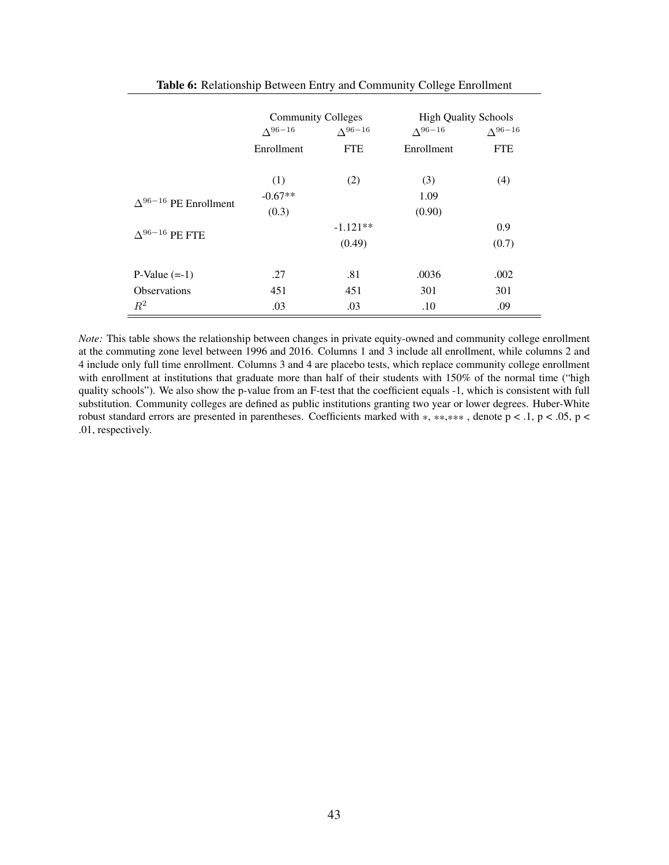<span id="page-44-0"></span>

|                                | <b>Community Colleges</b><br>$\Lambda^{96-16}$ | $\Lambda^{96-16}$ | <b>High Quality Schools</b><br>$\Lambda^{96-16}$ | $\Lambda^{96-16}$ |
|--------------------------------|------------------------------------------------|-------------------|--------------------------------------------------|-------------------|
|                                | Enrollment                                     | <b>FTE</b>        | Enrollment                                       | <b>FTE</b>        |
|                                | (1)                                            | (2)               | (3)                                              | (4)               |
| $\Delta^{96-16}$ PE Enrollment | $-0.67**$                                      |                   | 1.09                                             |                   |
|                                | (0.3)                                          | (0.90)            |                                                  |                   |
| $\Lambda^{96-16}$ PE FTE       |                                                | $-1.121**$        |                                                  | 0.9               |
|                                |                                                | (0.49)            |                                                  | (0.7)             |
| $P-Value (=1)$                 | .27                                            | .81               | .0036                                            | .002              |
| <b>Observations</b>            | 451                                            | 451               | 301                                              | 301               |
| $R^2$                          | .03                                            | .03               | .10                                              | .09               |

Table 6: Relationship Between Entry and Community College Enrollment

*Note:* This table shows the relationship between changes in private equity-owned and community college enrollment at the commuting zone level between 1996 and 2016. Columns 1 and 3 include all enrollment, while columns 2 and 4 include only full time enrollment. Columns 3 and 4 are placebo tests, which replace community college enrollment with enrollment at institutions that graduate more than half of their students with 150% of the normal time ("high quality schools"). We also show the p-value from an F-test that the coefficient equals -1, which is consistent with full substitution. Community colleges are defined as public institutions granting two year or lower degrees. Huber-White robust standard errors are presented in parentheses. Coefficients marked with  $*, **, **$ , denote  $p < 0.1$ ,  $p < 0.05$ ,  $p <$ .01, respectively.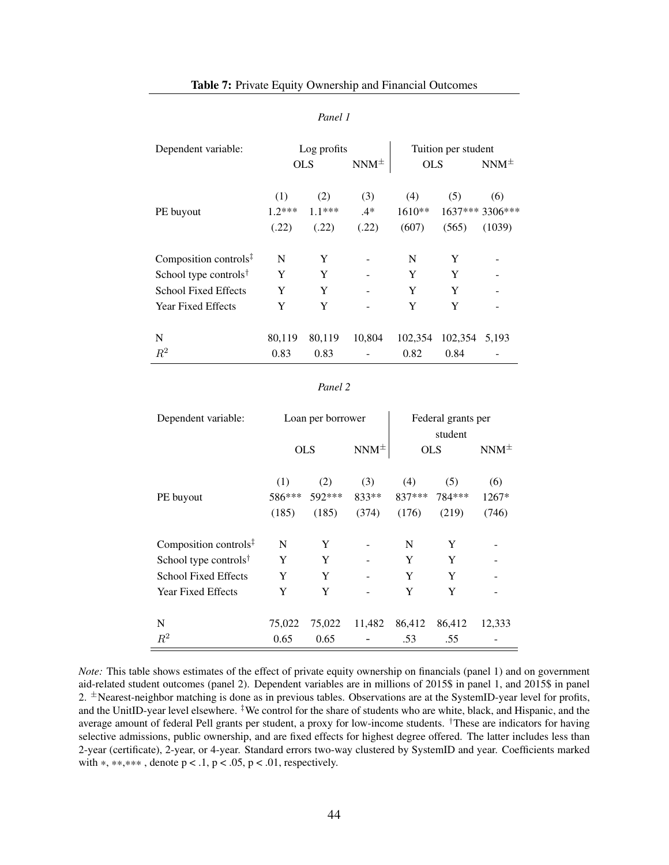#### *Panel 1*

<span id="page-45-0"></span>

| Dependent variable:                                  |          | Log profits |             | Tuition per student |         |                 |
|------------------------------------------------------|----------|-------------|-------------|---------------------|---------|-----------------|
|                                                      |          | <b>OLS</b>  | $NNM^{\pm}$ | <b>OLS</b>          |         | $NNM^{\pm}$     |
|                                                      | (1)      | (2)         | (3)         | (4)                 | (5)     | (6)             |
| PE buyout                                            | $1.2***$ | $1.1***$    | $.4*$       | $1610**$            |         | 1637*** 3306*** |
|                                                      | (.22)    | (.22)       | (.22)       | (607)               | (565)   | (1039)          |
| Composition controls $\ddagger$                      | N        | Y           |             | N                   | Y       |                 |
| School type controls <sup><math>\dagger</math></sup> | Y        | Y           |             | Y                   | Y       |                 |
| <b>School Fixed Effects</b>                          | Y        | Y           |             | Y                   | Y       |                 |
| <b>Year Fixed Effects</b>                            | Y        | Y           |             | Y                   | Y       |                 |
| N                                                    | 80,119   | 80,119      | 10,804      | 102,354             | 102,354 | 5,193           |
| $R^2$                                                | 0.83     | 0.83        |             | 0.82                | 0.84    |                 |

#### *Panel 2*

| Dependent variable:                                  |            | Loan per borrower |             | Federal grants per<br>student |        |             |
|------------------------------------------------------|------------|-------------------|-------------|-------------------------------|--------|-------------|
|                                                      | <b>OLS</b> |                   | $NNM^{\pm}$ | <b>OLS</b>                    |        | $NNM^{\pm}$ |
|                                                      | (1)        | (2)               | (3)         | (4)                           | (5)    | (6)         |
| PE buyout                                            | 586***     | 592***            | 833**       | 837***                        | 784*** | $1267*$     |
|                                                      | (185)      | (185)             | (374)       | (176)                         | (219)  | (746)       |
| Composition controls <sup>‡</sup>                    | N          | Y                 |             | N                             | Y      |             |
| School type controls <sup><math>\dagger</math></sup> | Y          | Y                 |             | Y                             | Y      |             |
| <b>School Fixed Effects</b>                          | Y          | Y                 |             | Y                             | Y      |             |
| Year Fixed Effects                                   | Y          | Y                 |             | Y                             | Y      |             |
| N                                                    | 75,022     | 75,022            | 11,482      | 86,412                        | 86,412 | 12,333      |
| $R^2$                                                | 0.65       | 0.65              |             | .53                           | .55    |             |

*Note:* This table shows estimates of the effect of private equity ownership on financials (panel 1) and on government aid-related student outcomes (panel 2). Dependent variables are in millions of 2015\$ in panel 1, and 2015\$ in panel 2. <sup>±</sup>Nearest-neighbor matching is done as in previous tables. Observations are at the SystemID-year level for profits, and the UnitID-year level elsewhere. *‡*We control for the share of students who are white, black, and Hispanic, and the average amount of federal Pell grants per student, a proxy for low-income students. *†*These are indicators for having selective admissions, public ownership, and are fixed effects for highest degree offered. The latter includes less than 2-year (certificate), 2-year, or 4-year. Standard errors two-way clustered by SystemID and year. Coefficients marked with  $*, **$ , denote  $p < .1$ ,  $p < .05$ ,  $p < .01$ , respectively.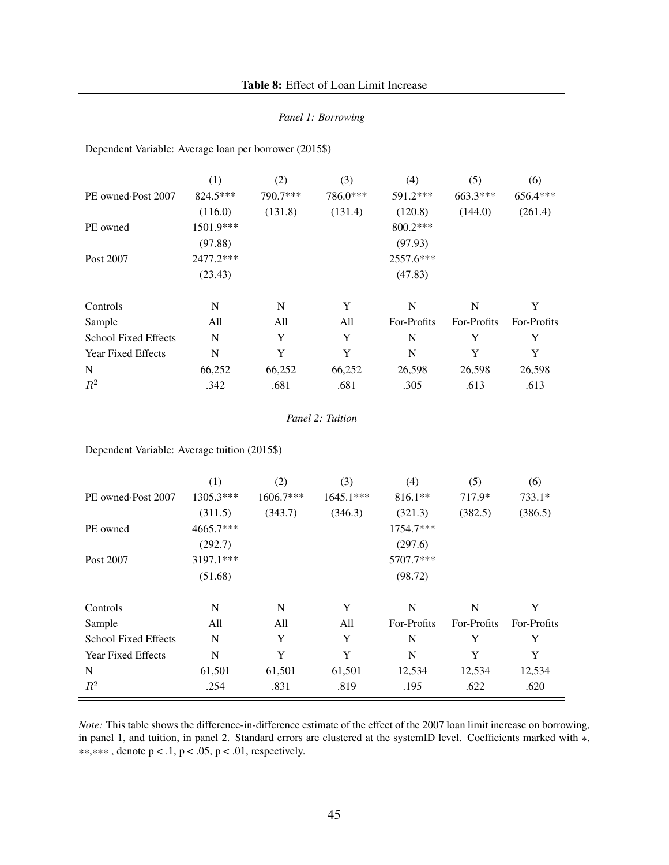#### *Panel 1: Borrowing*

<span id="page-46-0"></span>Dependent Variable: Average loan per borrower (2015\$)

|                             | (1)       | (2)      | (3)      | (4)         | (5)         | (6)         |
|-----------------------------|-----------|----------|----------|-------------|-------------|-------------|
| PE owned Post 2007          | 824.5***  | 790.7*** | 786.0*** | 591.2***    | 663.3***    | 656.4***    |
|                             | (116.0)   | (131.8)  | (131.4)  | (120.8)     | (144.0)     | (261.4)     |
| PE owned                    | 1501.9*** |          |          | 800.2***    |             |             |
|                             | (97.88)   |          |          | (97.93)     |             |             |
| Post 2007                   | 2477.2*** |          |          | 2557.6***   |             |             |
|                             | (23.43)   |          |          | (47.83)     |             |             |
| Controls                    | N         | N        | Y        | N           | N           | Y           |
| Sample                      | All       | All      | All      | For-Profits | For-Profits | For-Profits |
| <b>School Fixed Effects</b> | N         | Y        | Y        | N           | Y           | Y           |
| <b>Year Fixed Effects</b>   | N         | Y        | Y        | N           | Y           | Y           |
| N                           | 66,252    | 66,252   | 66,252   | 26,598      | 26,598      | 26,598      |
| $R^2$                       | .342      | .681     | .681     | .305        | .613        | .613        |

*Panel 2: Tuition*

Dependent Variable: Average tuition (2015\$)

|                             | (1)       | (2)       | (3)         | (4)         | (5)         | (6)         |
|-----------------------------|-----------|-----------|-------------|-------------|-------------|-------------|
| PE owned Post 2007          | 1305.3*** | 1606.7*** | $1645.1***$ | $816.1**$   | 717.9*      | $733.1*$    |
|                             | (311.5)   | (343.7)   | (346.3)     | (321.3)     | (382.5)     | (386.5)     |
| PE owned                    | 4665.7*** |           |             | 1754.7***   |             |             |
|                             | (292.7)   |           |             | (297.6)     |             |             |
| Post 2007                   | 3197.1*** |           |             | 5707.7***   |             |             |
|                             | (51.68)   |           |             | (98.72)     |             |             |
|                             |           |           |             |             |             |             |
| Controls                    | N         | N         | Y           | N           | N           | Y           |
| Sample                      | All       | All       | All         | For-Profits | For-Profits | For-Profits |
| <b>School Fixed Effects</b> | N         | Y         | Y           | N           | Y           | Y           |
| <b>Year Fixed Effects</b>   | N         | Y         | Y           | N           | Y           | Y           |
| N                           | 61,501    | 61,501    | 61,501      | 12,534      | 12,534      | 12,534      |
| $R^2$                       | .254      | .831      | .819        | .195        | .622        | .620        |

*Note:* This table shows the difference-in-difference estimate of the effect of the 2007 loan limit increase on borrowing, in panel 1, and tuition, in panel 2. Standard errors are clustered at the systemID level. Coefficients marked with \*, \*\*,\*\*\*, denote  $p < .1$ ,  $p < .05$ ,  $p < .01$ , respectively.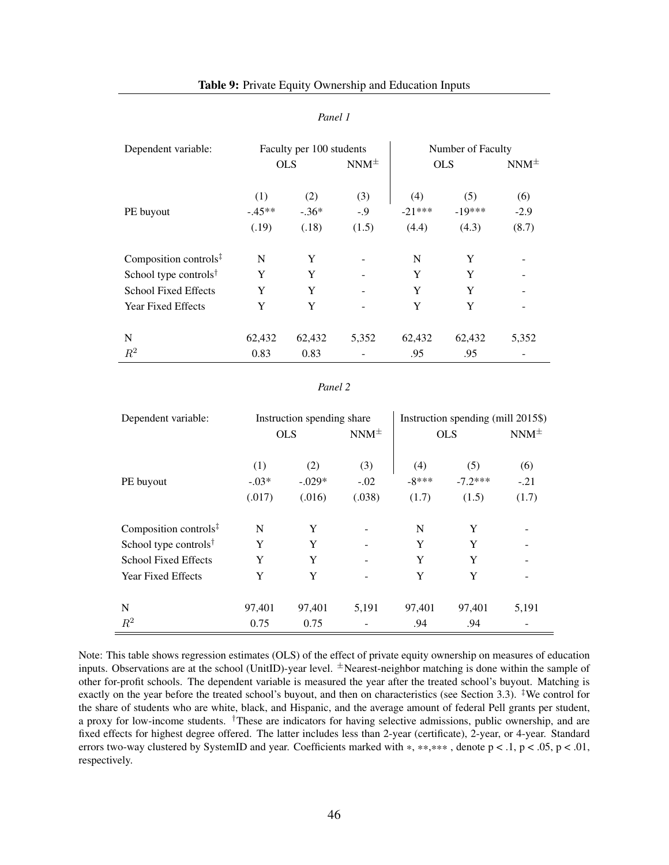#### *Panel 1*

<span id="page-47-0"></span>

| Dependent variable:               | Faculty per 100 students |                         |                        | Number of Faculty        |                          |                        |  |
|-----------------------------------|--------------------------|-------------------------|------------------------|--------------------------|--------------------------|------------------------|--|
|                                   | <b>OLS</b>               |                         | $NNM^{\pm}$            | <b>OLS</b>               |                          | $NNM^{\pm}$            |  |
| PE buyout                         | (1)<br>$-45**$<br>(.19)  | (2)<br>$-.36*$<br>(.18) | (3)<br>$-0.9$<br>(1.5) | (4)<br>$-21***$<br>(4.4) | (5)<br>$-19***$<br>(4.3) | (6)<br>$-2.9$<br>(8.7) |  |
| Composition controls $\ddagger$   | N                        | Y                       |                        | N                        | Y                        |                        |  |
| School type controls <sup>†</sup> | Y                        | Y                       |                        | Y                        | Y                        |                        |  |
| <b>School Fixed Effects</b>       | Y                        | Y                       |                        | Y                        | Y                        |                        |  |
| <b>Year Fixed Effects</b>         | Y                        | Y                       |                        | Y                        | Y                        |                        |  |
| N                                 | 62,432                   | 62,432                  | 5,352                  | 62,432                   | 62,432                   | 5,352                  |  |
| $R^2$                             | 0.83                     | 0.83                    |                        | .95                      | .95                      |                        |  |

#### *Panel 2*

| Dependent variable:                                  | Instruction spending share |                 |               | Instruction spending (mill 2015\$) |                  |               |  |
|------------------------------------------------------|----------------------------|-----------------|---------------|------------------------------------|------------------|---------------|--|
|                                                      |                            | <b>OLS</b>      | $NNM^{\pm}$   | <b>OLS</b>                         |                  | $NNM^{\pm}$   |  |
| PE buyout                                            | (1)<br>$-.03*$             | (2)<br>$-.029*$ | (3)<br>$-.02$ | (4)<br>$-8***$                     | (5)<br>$-7.2***$ | (6)<br>$-.21$ |  |
|                                                      | (.017)                     | (.016)          | (.038)        | (1.7)                              | (1.5)            | (1.7)         |  |
| Composition controls $\overline{z}$                  | N                          | Y               |               | N                                  | Y                |               |  |
| School type controls <sup><math>\dagger</math></sup> | Y                          | Y               |               | Y                                  | Y                |               |  |
| <b>School Fixed Effects</b>                          | Y                          | Y               |               | Y                                  | Y                |               |  |
| <b>Year Fixed Effects</b>                            | Y                          | Y               |               | Y                                  | Y                |               |  |
|                                                      |                            |                 |               |                                    |                  |               |  |
| N                                                    | 97,401                     | 97,401          | 5,191         | 97,401                             | 97,401           | 5,191         |  |
| $R^2$                                                | 0.75                       | 0.75            |               | .94                                | .94              |               |  |

Note: This table shows regression estimates (OLS) of the effect of private equity ownership on measures of education inputs. Observations are at the school (UnitID)-year level. *<sup>±</sup>*Nearest-neighbor matching is done within the sample of other for-profit schools. The dependent variable is measured the year after the treated school's buyout. Matching is exactly on the year before the treated school's buyout, and then on characteristics (see Section [3.3\)](#page-14-3). *‡*We control for the share of students who are white, black, and Hispanic, and the average amount of federal Pell grants per student, a proxy for low-income students. *†*These are indicators for having selective admissions, public ownership, and are fixed effects for highest degree offered. The latter includes less than 2-year (certificate), 2-year, or 4-year. Standard errors two-way clustered by SystemID and year. Coefficients marked with \*, \*\*,\*\*\*, denote  $p < 0.1$ ,  $p < 0.05$ ,  $p < 0.01$ , respectively.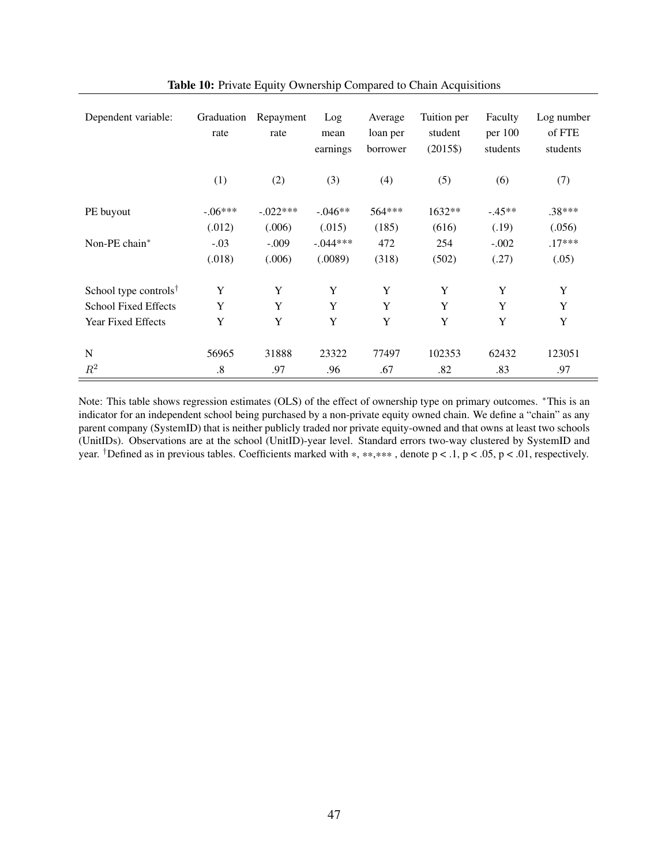<span id="page-48-0"></span>

| Dependent variable:               | Graduation<br>rate | Repayment<br>rate | Log<br>mean<br>earnings | Average<br>loan per<br>borrower | Tuition per<br>student<br>$(2015\$ | Faculty<br>per 100<br>students | Log number<br>of FTE<br>students |
|-----------------------------------|--------------------|-------------------|-------------------------|---------------------------------|------------------------------------|--------------------------------|----------------------------------|
|                                   | (1)                | (2)               | (3)                     | (4)                             | (5)                                | (6)                            | (7)                              |
| PE buyout                         | $-.06***$          | $-.022***$        | $-0.046**$              | 564***                          | 1632**                             | $-.45**$                       | $.38***$                         |
|                                   | (.012)             | (.006)            | (.015)                  | (185)                           | (616)                              | (.19)                          | (.056)                           |
| Non-PE chain*                     | $-.03$             | $-.009$           | $-.044***$              | 472                             | 254                                | $-.002$                        | $.17***$                         |
|                                   | (.018)             | (.006)            | (.0089)                 | (318)                           | (502)                              | (.27)                          | (.05)                            |
| School type controls <sup>†</sup> | Y                  | Y                 | Y                       | Y                               | Y                                  | Y                              | Y                                |
| <b>School Fixed Effects</b>       | Y                  | Y                 | Y                       | Y                               | Y                                  | Y                              | Y                                |
| <b>Year Fixed Effects</b>         | Y                  | Y                 | Y                       | Y                               | Y                                  | Y                              | Y                                |
|                                   |                    |                   |                         |                                 |                                    |                                |                                  |
| N                                 | 56965              | 31888             | 23322                   | 77497                           | 102353                             | 62432                          | 123051                           |
| $R^2$                             | $.8\,$             | .97               | .96                     | .67                             | .82                                | .83                            | .97                              |

Table 10: Private Equity Ownership Compared to Chain Acquisitions

Note: This table shows regression estimates (OLS) of the effect of ownership type on primary outcomes. \*This is an indicator for an independent school being purchased by a non-private equity owned chain. We define a "chain" as any parent company (SystemID) that is neither publicly traded nor private equity-owned and that owns at least two schools (UnitIDs). Observations are at the school (UnitID)-year level. Standard errors two-way clustered by SystemID and year. <sup>†</sup>Defined as in previous tables. Coefficients marked with \*, \*\*,\*\*\*, denote  $p < 0.1$ ,  $p < 0.05$ ,  $p < 0.01$ , respectively.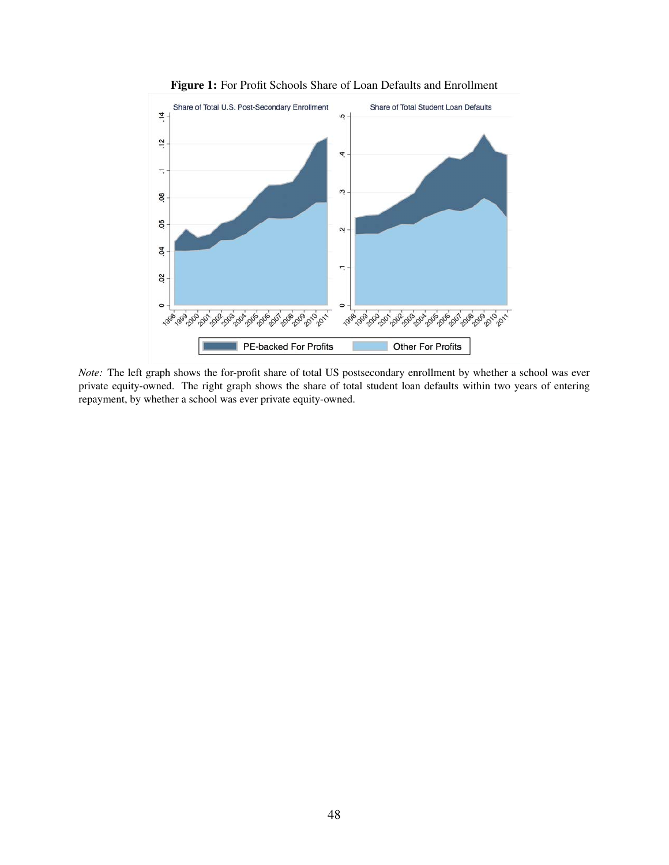<span id="page-49-0"></span>

Figure 1: For Profit Schools Share of Loan Defaults and Enrollment

*Note:* The left graph shows the for-profit share of total US postsecondary enrollment by whether a school was ever private equity-owned. The right graph shows the share of total student loan defaults within two years of entering repayment, by whether a school was ever private equity-owned.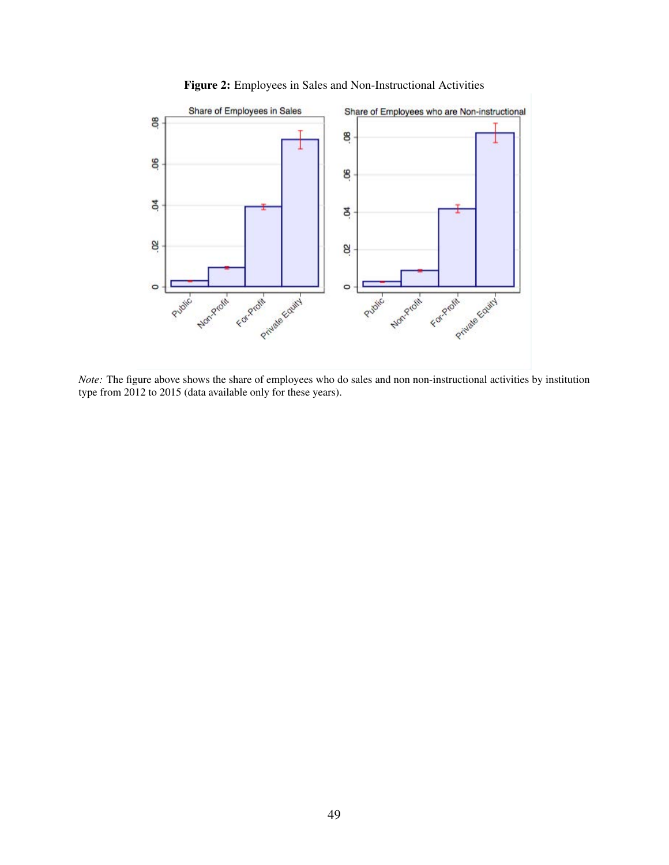<span id="page-50-0"></span>

Figure 2: Employees in Sales and Non-Instructional Activities

*Note:* The figure above shows the share of employees who do sales and non non-instructional activities by institution type from 2012 to 2015 (data available only for these years).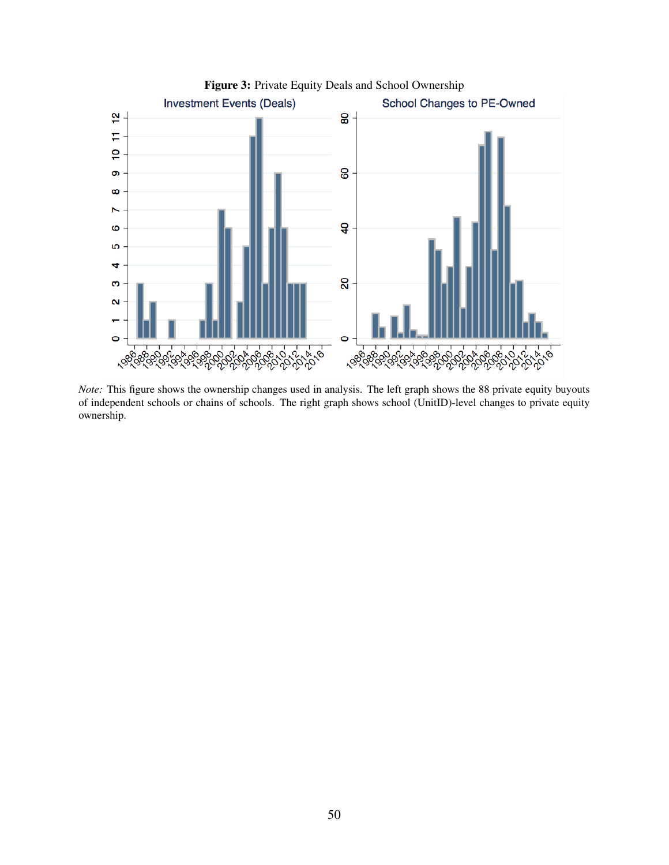<span id="page-51-0"></span>

*Note:* This figure shows the ownership changes used in analysis. The left graph shows the 88 private equity buyouts of independent schools or chains of schools. The right graph shows school (UnitID)-level changes to private equity ownership.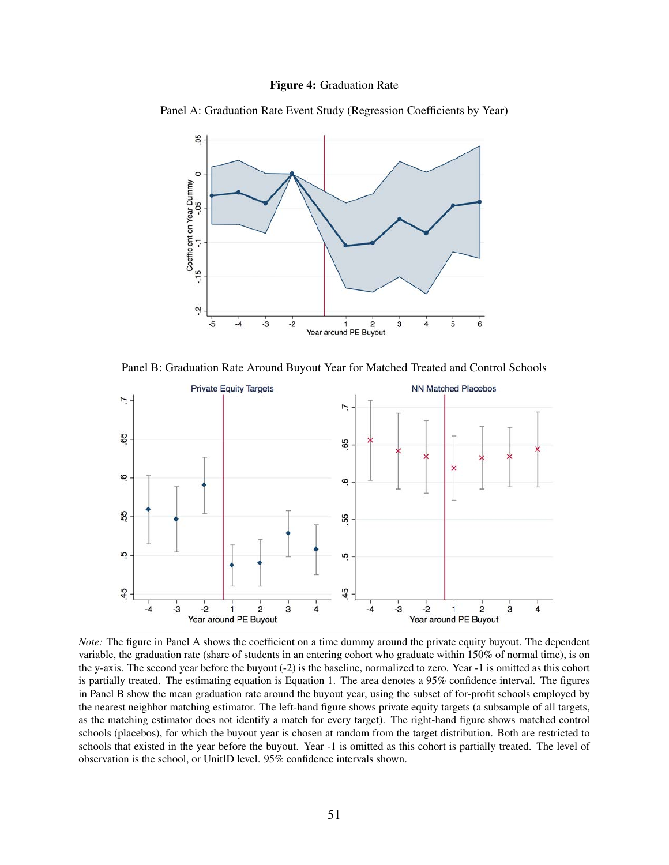

<span id="page-52-0"></span>Panel A: Graduation Rate Event Study (Regression Coefficients by Year)



Panel B: Graduation Rate Around Buyout Year for Matched Treated and Control Schools



*Note:* The figure in Panel A shows the coefficient on a time dummy around the private equity buyout. The dependent variable, the graduation rate (share of students in an entering cohort who graduate within 150% of normal time), is on the y-axis. The second year before the buyout (-2) is the baseline, normalized to zero. Year -1 is omitted as this cohort is partially treated. The estimating equation is Equation [1.](#page-12-3) The area denotes a 95% confidence interval. The figures in Panel B show the mean graduation rate around the buyout year, using the subset of for-profit schools employed by the nearest neighbor matching estimator. The left-hand figure shows private equity targets (a subsample of all targets, as the matching estimator does not identify a match for every target). The right-hand figure shows matched control schools (placebos), for which the buyout year is chosen at random from the target distribution. Both are restricted to schools that existed in the year before the buyout. Year -1 is omitted as this cohort is partially treated. The level of observation is the school, or UnitID level. 95% confidence intervals shown.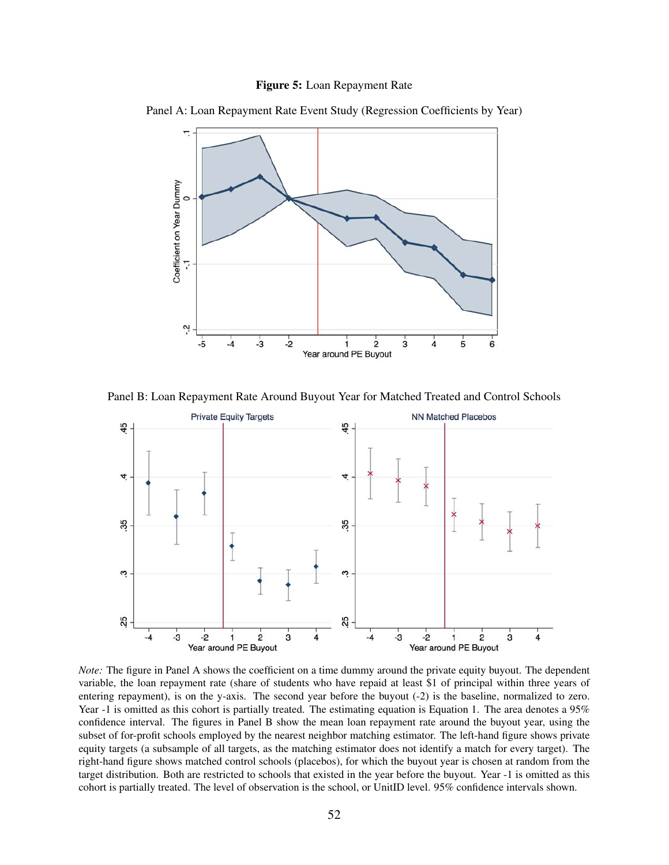



<span id="page-53-0"></span>Panel A: Loan Repayment Rate Event Study (Regression Coefficients by Year)

Panel B: Loan Repayment Rate Around Buyout Year for Matched Treated and Control Schools



*Note:* The figure in Panel A shows the coefficient on a time dummy around the private equity buyout. The dependent variable, the loan repayment rate (share of students who have repaid at least \$1 of principal within three years of entering repayment), is on the y-axis. The second year before the buyout (-2) is the baseline, normalized to zero. Year -1 is omitted as this cohort is partially treated. The estimating equation is Equation [1.](#page-12-3) The area denotes a 95% confidence interval. The figures in Panel B show the mean loan repayment rate around the buyout year, using the subset of for-profit schools employed by the nearest neighbor matching estimator. The left-hand figure shows private equity targets (a subsample of all targets, as the matching estimator does not identify a match for every target). The right-hand figure shows matched control schools (placebos), for which the buyout year is chosen at random from the target distribution. Both are restricted to schools that existed in the year before the buyout. Year -1 is omitted as this cohort is partially treated. The level of observation is the school, or UnitID level. 95% confidence intervals shown.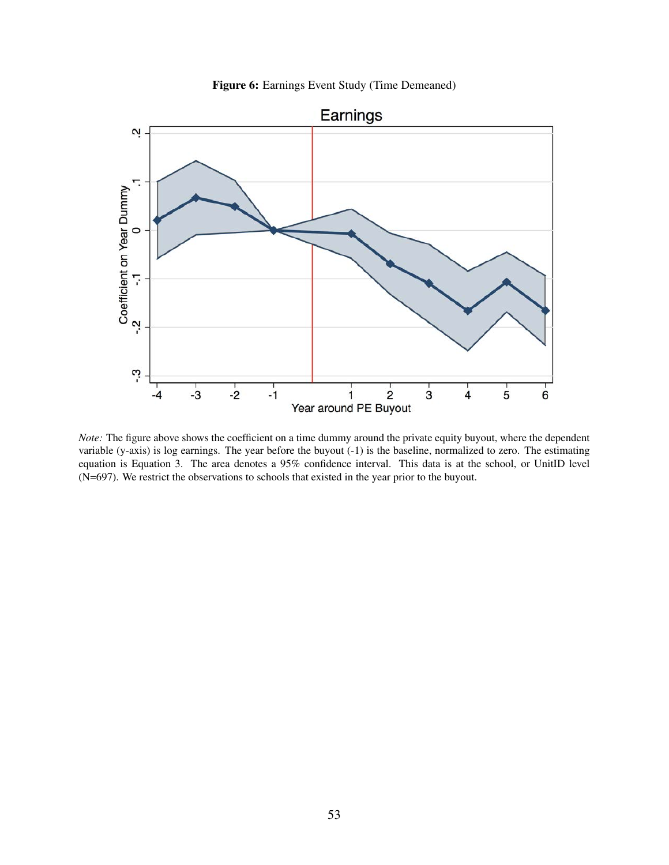Figure 6: Earnings Event Study (Time Demeaned)

<span id="page-54-0"></span>

*Note:* The figure above shows the coefficient on a time dummy around the private equity buyout, where the dependent variable (y-axis) is log earnings. The year before the buyout (-1) is the baseline, normalized to zero. The estimating equation is Equation [3.](#page-17-1) The area denotes a 95% confidence interval. This data is at the school, or UnitID level (N=697). We restrict the observations to schools that existed in the year prior to the buyout.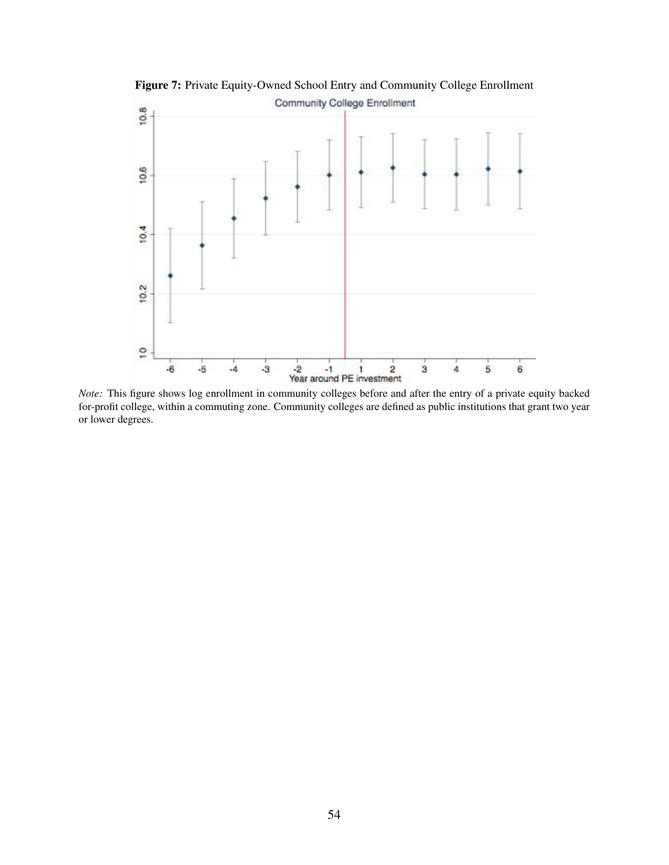

<span id="page-55-0"></span>Figure 7: Private Equity-Owned School Entry and Community College Enrollment

*Note:* This figure shows log enrollment in community colleges before and after the entry of a private equity backed for-profit college, within a commuting zone. Community colleges are defined as public institutions that grant two year or lower degrees.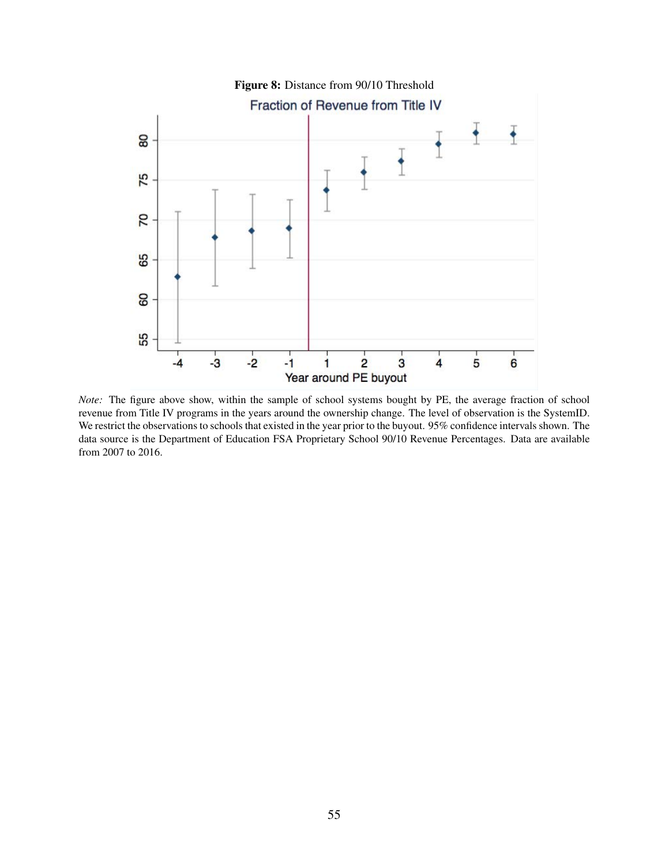<span id="page-56-0"></span>

*Note:* The figure above show, within the sample of school systems bought by PE, the average fraction of school revenue from Title IV programs in the years around the ownership change. The level of observation is the SystemID. We restrict the observations to schools that existed in the year prior to the buyout. 95% confidence intervals shown. The data source is the Department of Education FSA Proprietary School 90/10 Revenue Percentages. Data are available from 2007 to 2016.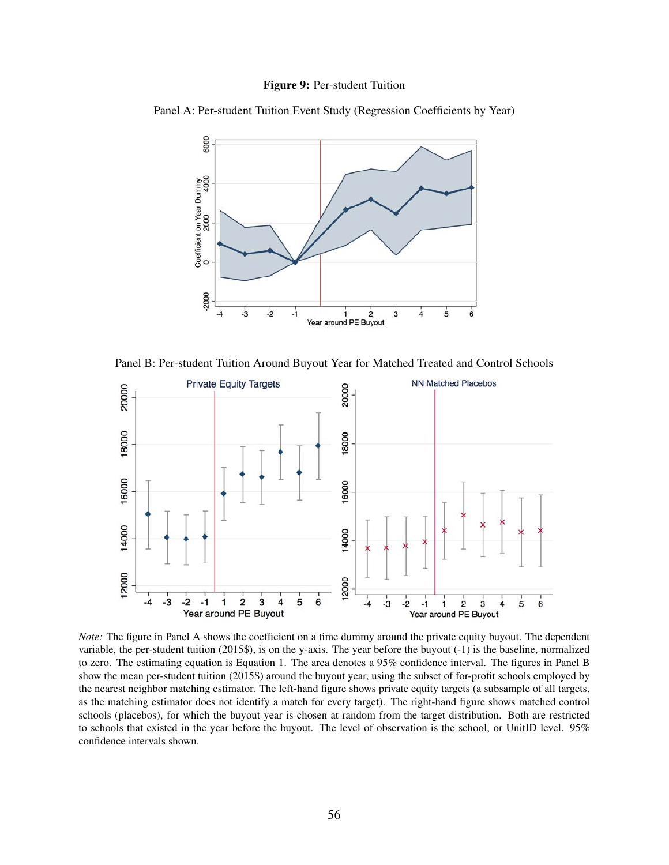#### Figure 9: Per-student Tuition

<span id="page-57-0"></span>Panel A: Per-student Tuition Event Study (Regression Coefficients by Year)



Panel B: Per-student Tuition Around Buyout Year for Matched Treated and Control Schools



*Note:* The figure in Panel A shows the coefficient on a time dummy around the private equity buyout. The dependent variable, the per-student tuition (2015\$), is on the y-axis. The year before the buyout (-1) is the baseline, normalized to zero. The estimating equation is Equation [1.](#page-12-3) The area denotes a 95% confidence interval. The figures in Panel B show the mean per-student tuition (2015\$) around the buyout year, using the subset of for-profit schools employed by the nearest neighbor matching estimator. The left-hand figure shows private equity targets (a subsample of all targets, as the matching estimator does not identify a match for every target). The right-hand figure shows matched control schools (placebos), for which the buyout year is chosen at random from the target distribution. Both are restricted to schools that existed in the year before the buyout. The level of observation is the school, or UnitID level. 95% confidence intervals shown.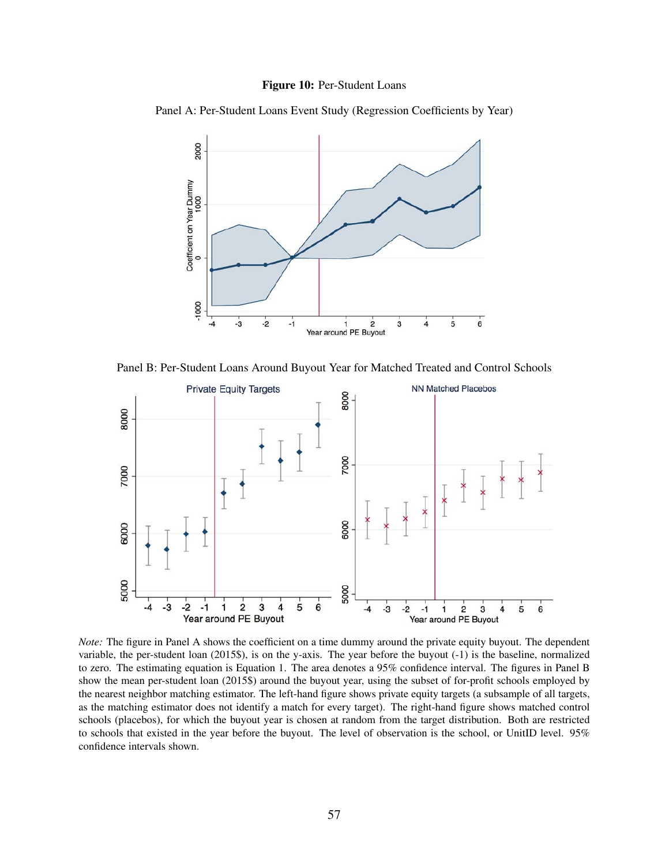#### Figure 10: Per-Student Loans

<span id="page-58-0"></span>Panel A: Per-Student Loans Event Study (Regression Coefficients by Year)



Panel B: Per-Student Loans Around Buyout Year for Matched Treated and Control Schools



*Note:* The figure in Panel A shows the coefficient on a time dummy around the private equity buyout. The dependent variable, the per-student loan (2015\$), is on the y-axis. The year before the buyout (-1) is the baseline, normalized to zero. The estimating equation is Equation [1.](#page-12-3) The area denotes a 95% confidence interval. The figures in Panel B show the mean per-student loan (2015\$) around the buyout year, using the subset of for-profit schools employed by the nearest neighbor matching estimator. The left-hand figure shows private equity targets (a subsample of all targets, as the matching estimator does not identify a match for every target). The right-hand figure shows matched control schools (placebos), for which the buyout year is chosen at random from the target distribution. Both are restricted to schools that existed in the year before the buyout. The level of observation is the school, or UnitID level. 95% confidence intervals shown.